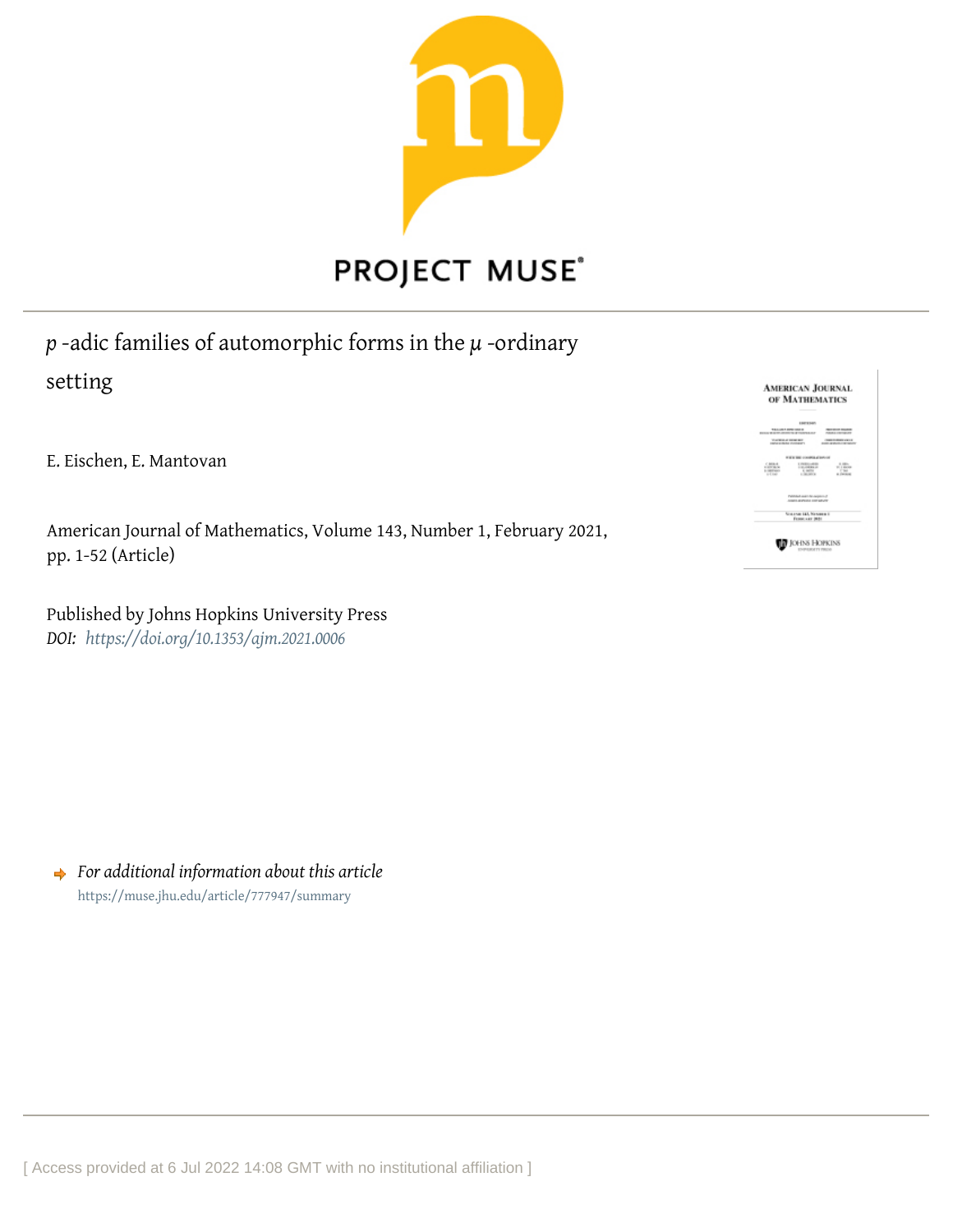

# *p* -adic families of automorphic forms in the *µ* -ordinary setting

E. Eischen, E. Mantovan

American Journal of Mathematics, Volume 143, Number 1, February 2021, pp. 1-52 (Article)

Published by Johns Hopkins University Press *DOI: <https://doi.org/10.1353/ajm.2021.0006>*

**AMERICAN JOURNAL** OF MATHEMATICS  $-100$  $\frac{1}{\sqrt{2}}\frac{\partial \mathbf{u}}{\partial \mathbf{u}}$ 1258 145 Nos **D** JOHN HOPKINS

*For additional information about this article* <https://muse.jhu.edu/article/777947/summary>

[ Access provided at 6 Jul 2022 14:08 GMT with no institutional affiliation ]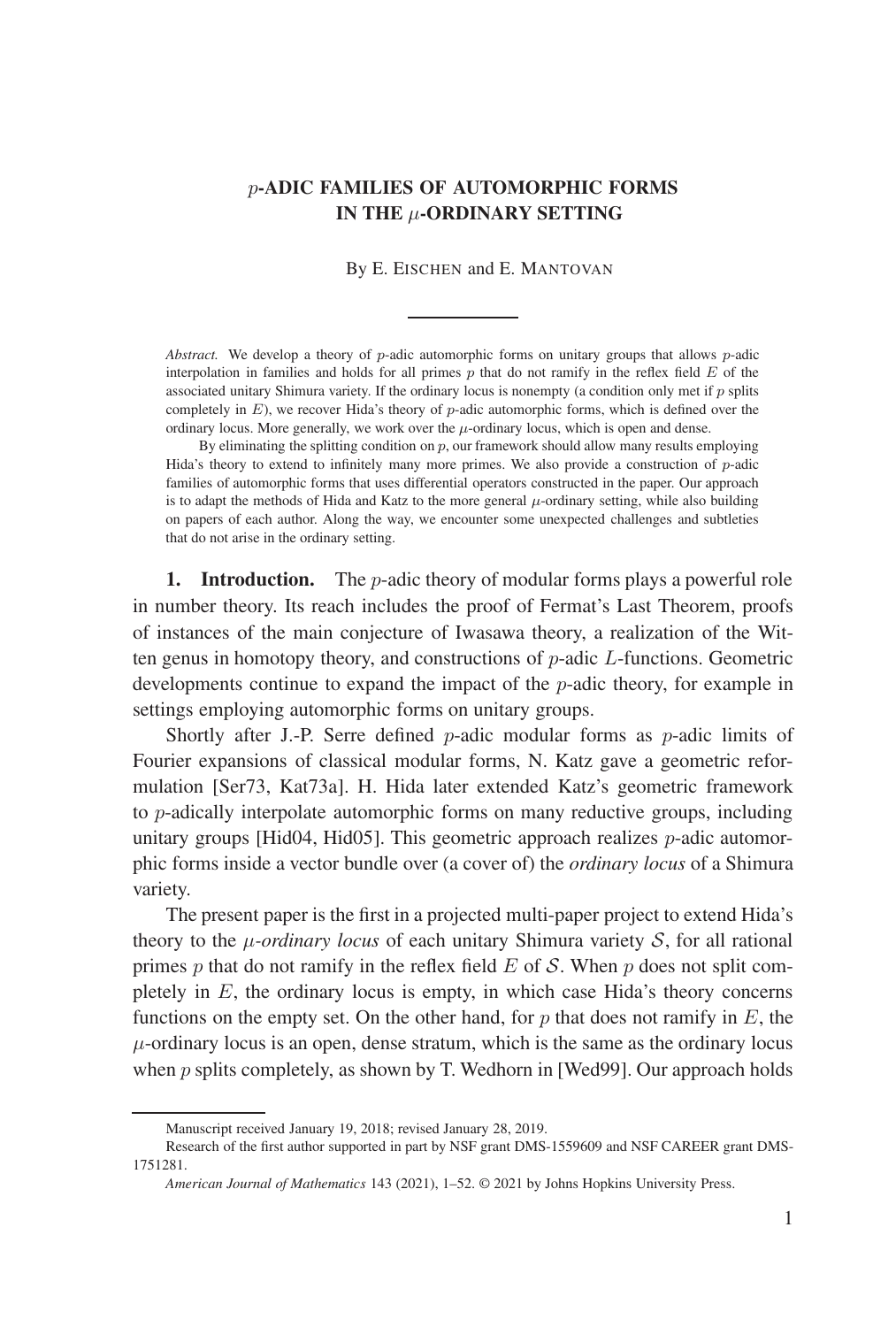# p**-ADIC FAMILIES OF AUTOMORPHIC FORMS IN THE** μ**-ORDINARY SETTING**

### By E. EISCHEN and E. MANTOVAN

*Abstract.* We develop a theory of p-adic automorphic forms on unitary groups that allows p-adic interpolation in families and holds for all primes  $p$  that do not ramify in the reflex field  $E$  of the associated unitary Shimura variety. If the ordinary locus is nonempty (a condition only met if  $p$  splits completely in  $E$ ), we recover Hida's theory of p-adic automorphic forms, which is defined over the ordinary locus. More generally, we work over the  $\mu$ -ordinary locus, which is open and dense.

By eliminating the splitting condition on  $p$ , our framework should allow many results employing Hida's theory to extend to infinitely many more primes. We also provide a construction of  $p$ -adic families of automorphic forms that uses differential operators constructed in the paper. Our approach is to adapt the methods of Hida and Katz to the more general  $\mu$ -ordinary setting, while also building on papers of each author. Along the way, we encounter some unexpected challenges and subtleties that do not arise in the ordinary setting.

**1. Introduction.** The p-adic theory of modular forms plays a powerful role in number theory. Its reach includes the proof of Fermat's Last Theorem, proofs of instances of the main conjecture of Iwasawa theory, a realization of the Witten genus in homotopy theory, and constructions of  $p$ -adic  $L$ -functions. Geometric developments continue to expand the impact of the p-adic theory, for example in settings employing automorphic forms on unitary groups.

Shortly after J.-P. Serre defined  $p$ -adic modular forms as  $p$ -adic limits of Fourier expansions of classical modular forms, N. Katz gave a geometric reformulation [Ser73, Kat73a]. H. Hida later extended Katz's geometric framework to p-adically interpolate automorphic forms on many reductive groups, including unitary groups [Hid04, Hid05]. This geometric approach realizes p-adic automorphic forms inside a vector bundle over (a cover of) the *ordinary locus* of a Shimura variety.

The present paper is the first in a projected multi-paper project to extend Hida's theory to the μ*-ordinary locus* of each unitary Shimura variety S, for all rational primes p that do not ramify in the reflex field  $E$  of  $S$ . When p does not split completely in  $E$ , the ordinary locus is empty, in which case Hida's theory concerns functions on the empty set. On the other hand, for  $p$  that does not ramify in  $E$ , the  $\mu$ -ordinary locus is an open, dense stratum, which is the same as the ordinary locus when  $p$  splits completely, as shown by T. Wedhorn in [Wed99]. Our approach holds

Manuscript received January 19, 2018; revised January 28, 2019.

Research of the first author supported in part by NSF grant DMS-1559609 and NSF CAREER grant DMS-1751281.

*American Journal of Mathematics* 143 (2021), 1–52. © 2021 by Johns Hopkins University Press.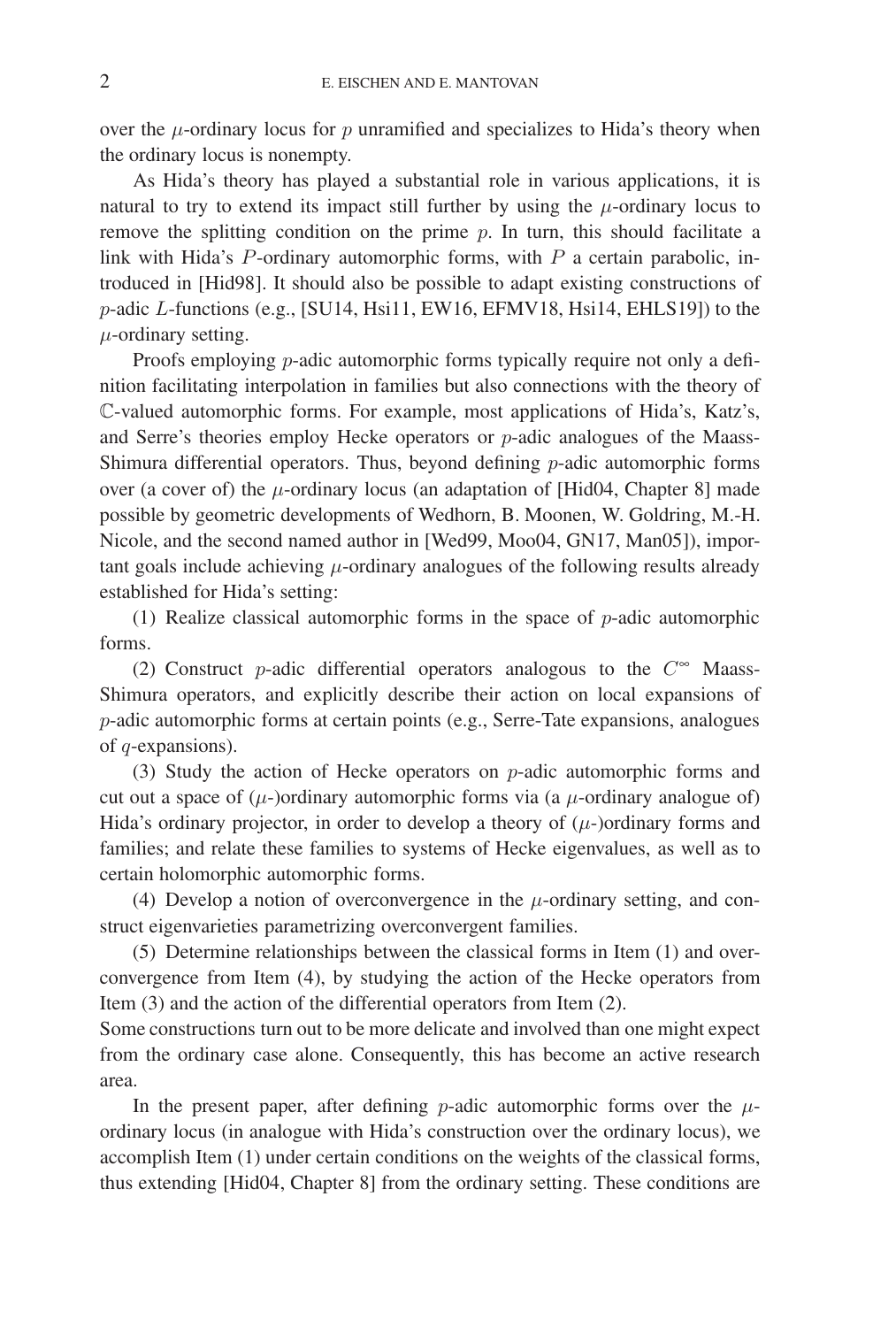over the  $\mu$ -ordinary locus for  $p$  unramified and specializes to Hida's theory when the ordinary locus is nonempty.

As Hida's theory has played a substantial role in various applications, it is natural to try to extend its impact still further by using the  $\mu$ -ordinary locus to remove the splitting condition on the prime  $p$ . In turn, this should facilitate a link with Hida's  $P$ -ordinary automorphic forms, with  $P$  a certain parabolic, introduced in [Hid98]. It should also be possible to adapt existing constructions of p-adic L-functions (e.g., [SU14, Hsi11, EW16, EFMV18, Hsi14, EHLS19]) to the  $\mu$ -ordinary setting.

Proofs employing *p*-adic automorphic forms typically require not only a definition facilitating interpolation in families but also connections with the theory of C-valued automorphic forms. For example, most applications of Hida's, Katz's, and Serre's theories employ Hecke operators or p-adic analogues of the Maass-Shimura differential operators. Thus, beyond defining  $p$ -adic automorphic forms over (a cover of) the  $\mu$ -ordinary locus (an adaptation of [Hid04, Chapter 8] made possible by geometric developments of Wedhorn, B. Moonen, W. Goldring, M.-H. Nicole, and the second named author in [Wed99, Moo04, GN17, Man05]), important goals include achieving  $\mu$ -ordinary analogues of the following results already established for Hida's setting:

(1) Realize classical automorphic forms in the space of  $p$ -adic automorphic forms.

(2) Construct p-adic differential operators analogous to the  $C^{\infty}$  Maass-Shimura operators, and explicitly describe their action on local expansions of p-adic automorphic forms at certain points (e.g., Serre-Tate expansions, analogues of q-expansions).

(3) Study the action of Hecke operators on  $p$ -adic automorphic forms and cut out a space of  $(\mu$ -)ordinary automorphic forms via (a  $\mu$ -ordinary analogue of) Hida's ordinary projector, in order to develop a theory of  $(\mu$ -)ordinary forms and families; and relate these families to systems of Hecke eigenvalues, as well as to certain holomorphic automorphic forms.

(4) Develop a notion of overconvergence in the  $\mu$ -ordinary setting, and construct eigenvarieties parametrizing overconvergent families.

(5) Determine relationships between the classical forms in Item (1) and overconvergence from Item (4), by studying the action of the Hecke operators from Item (3) and the action of the differential operators from Item (2).

Some constructions turn out to be more delicate and involved than one might expect from the ordinary case alone. Consequently, this has become an active research area.

In the present paper, after defining *p*-adic automorphic forms over the  $\mu$ ordinary locus (in analogue with Hida's construction over the ordinary locus), we accomplish Item (1) under certain conditions on the weights of the classical forms, thus extending [Hid04, Chapter 8] from the ordinary setting. These conditions are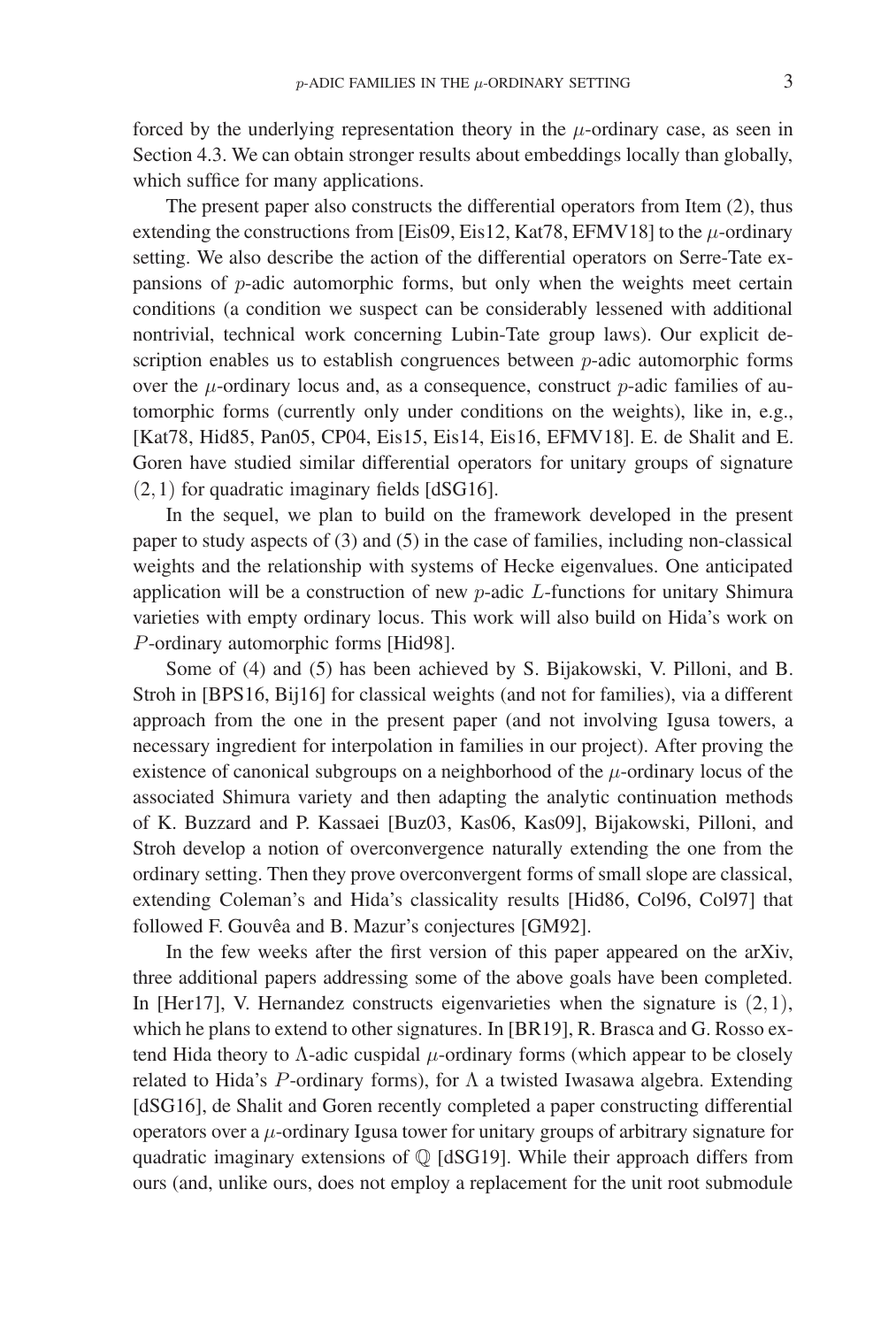forced by the underlying representation theory in the  $\mu$ -ordinary case, as seen in Section 4.3. We can obtain stronger results about embeddings locally than globally, which suffice for many applications.

The present paper also constructs the differential operators from Item (2), thus extending the constructions from [Eis09, Eis12, Kat78, EFMV18] to the  $\mu$ -ordinary setting. We also describe the action of the differential operators on Serre-Tate expansions of p-adic automorphic forms, but only when the weights meet certain conditions (a condition we suspect can be considerably lessened with additional nontrivial, technical work concerning Lubin-Tate group laws). Our explicit description enables us to establish congruences between  $p$ -adic automorphic forms over the  $\mu$ -ordinary locus and, as a consequence, construct  $p$ -adic families of automorphic forms (currently only under conditions on the weights), like in, e.g., [Kat78, Hid85, Pan05, CP04, Eis15, Eis14, Eis16, EFMV18]. E. de Shalit and E. Goren have studied similar differential operators for unitary groups of signature (2,1) for quadratic imaginary fields [dSG16].

In the sequel, we plan to build on the framework developed in the present paper to study aspects of (3) and (5) in the case of families, including non-classical weights and the relationship with systems of Hecke eigenvalues. One anticipated application will be a construction of new  $p$ -adic  $L$ -functions for unitary Shimura varieties with empty ordinary locus. This work will also build on Hida's work on P-ordinary automorphic forms [Hid98].

Some of (4) and (5) has been achieved by S. Bijakowski, V. Pilloni, and B. Stroh in [BPS16, Bij16] for classical weights (and not for families), via a different approach from the one in the present paper (and not involving Igusa towers, a necessary ingredient for interpolation in families in our project). After proving the existence of canonical subgroups on a neighborhood of the  $\mu$ -ordinary locus of the associated Shimura variety and then adapting the analytic continuation methods of K. Buzzard and P. Kassaei [Buz03, Kas06, Kas09], Bijakowski, Pilloni, and Stroh develop a notion of overconvergence naturally extending the one from the ordinary setting. Then they prove overconvergent forms of small slope are classical, extending Coleman's and Hida's classicality results [Hid86, Col96, Col97] that followed F. Gouvêa and B. Mazur's conjectures [GM92].

In the few weeks after the first version of this paper appeared on the arXiv, three additional papers addressing some of the above goals have been completed. In [Her17], V. Hernandez constructs eigenvarieties when the signature is  $(2,1)$ , which he plans to extend to other signatures. In [BR19], R. Brasca and G. Rosso extend Hida theory to  $\Lambda$ -adic cuspidal  $\mu$ -ordinary forms (which appear to be closely related to Hida's P-ordinary forms), for  $\Lambda$  a twisted Iwasawa algebra. Extending [dSG16], de Shalit and Goren recently completed a paper constructing differential operators over a  $\mu$ -ordinary Igusa tower for unitary groups of arbitrary signature for quadratic imaginary extensions of  $Q$  [dSG19]. While their approach differs from ours (and, unlike ours, does not employ a replacement for the unit root submodule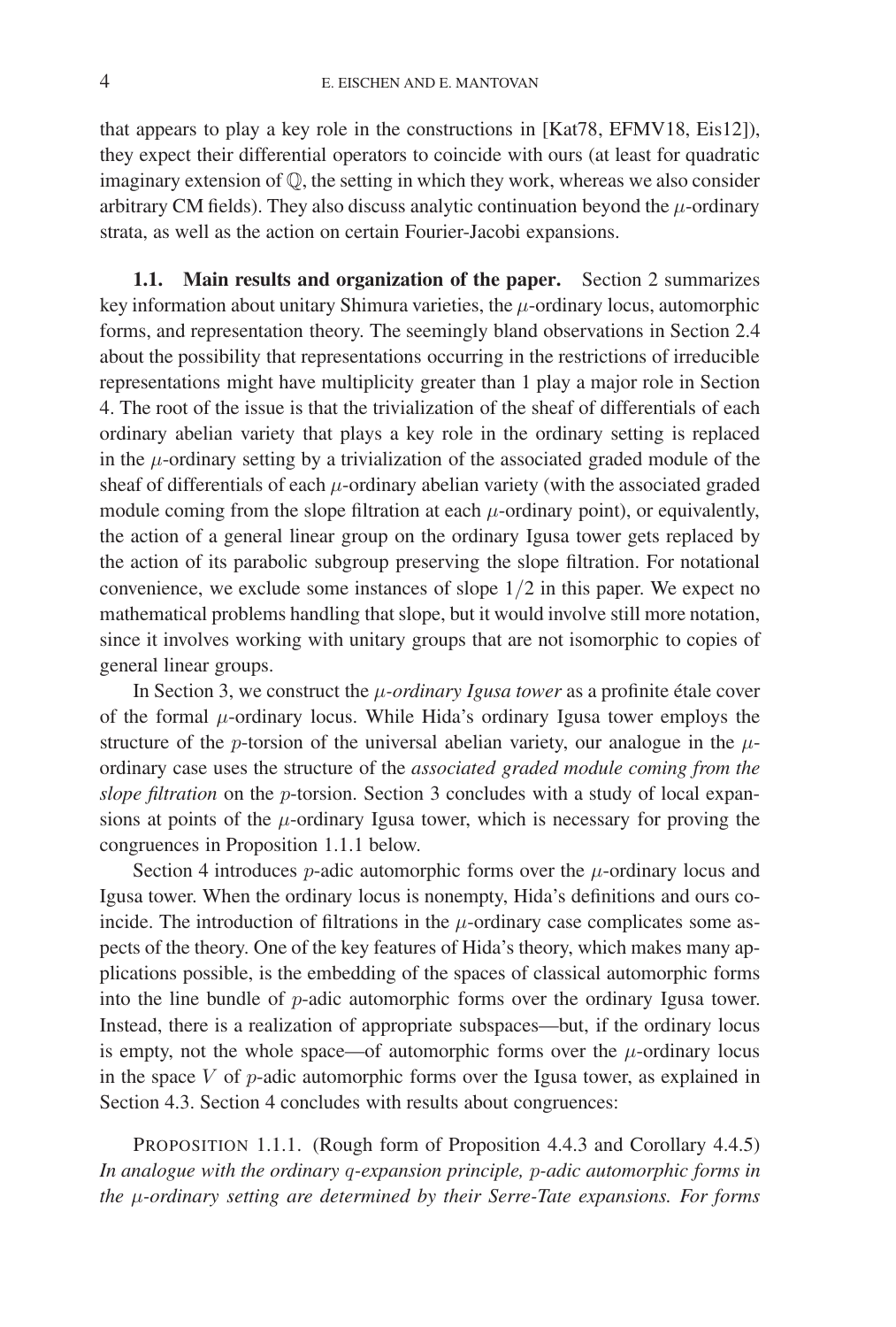that appears to play a key role in the constructions in [Kat78, EFMV18, Eis12]), they expect their differential operators to coincide with ours (at least for quadratic imaginary extension of Q, the setting in which they work, whereas we also consider arbitrary CM fields). They also discuss analytic continuation beyond the  $\mu$ -ordinary strata, as well as the action on certain Fourier-Jacobi expansions.

**1.1. Main results and organization of the paper.** Section 2 summarizes key information about unitary Shimura varieties, the  $\mu$ -ordinary locus, automorphic forms, and representation theory. The seemingly bland observations in Section 2.4 about the possibility that representations occurring in the restrictions of irreducible representations might have multiplicity greater than 1 play a major role in Section 4. The root of the issue is that the trivialization of the sheaf of differentials of each ordinary abelian variety that plays a key role in the ordinary setting is replaced in the  $\mu$ -ordinary setting by a trivialization of the associated graded module of the sheaf of differentials of each  $\mu$ -ordinary abelian variety (with the associated graded module coming from the slope filtration at each  $\mu$ -ordinary point), or equivalently, the action of a general linear group on the ordinary Igusa tower gets replaced by the action of its parabolic subgroup preserving the slope filtration. For notational convenience, we exclude some instances of slope 1/2 in this paper. We expect no mathematical problems handling that slope, but it would involve still more notation, since it involves working with unitary groups that are not isomorphic to copies of general linear groups.

In Section 3, we construct the  $\mu$ -ordinary Igusa tower as a profinite étale cover of the formal  $\mu$ -ordinary locus. While Hida's ordinary Igusa tower employs the structure of the p-torsion of the universal abelian variety, our analogue in the  $\mu$ ordinary case uses the structure of the *associated graded module coming from the slope filtration* on the p-torsion. Section 3 concludes with a study of local expansions at points of the  $\mu$ -ordinary Igusa tower, which is necessary for proving the congruences in Proposition 1.1.1 below.

Section 4 introduces  $p$ -adic automorphic forms over the  $\mu$ -ordinary locus and Igusa tower. When the ordinary locus is nonempty, Hida's definitions and ours coincide. The introduction of filtrations in the  $\mu$ -ordinary case complicates some aspects of the theory. One of the key features of Hida's theory, which makes many applications possible, is the embedding of the spaces of classical automorphic forms into the line bundle of p-adic automorphic forms over the ordinary Igusa tower. Instead, there is a realization of appropriate subspaces—but, if the ordinary locus is empty, not the whole space—of automorphic forms over the  $\mu$ -ordinary locus in the space  $V$  of  $p$ -adic automorphic forms over the Igusa tower, as explained in Section 4.3. Section 4 concludes with results about congruences:

PROPOSITION 1.1.1. (Rough form of Proposition 4.4.3 and Corollary 4.4.5) *In analogue with the ordinary* q*-expansion principle,* p*-adic automorphic forms in the* μ*-ordinary setting are determined by their Serre-Tate expansions. For forms*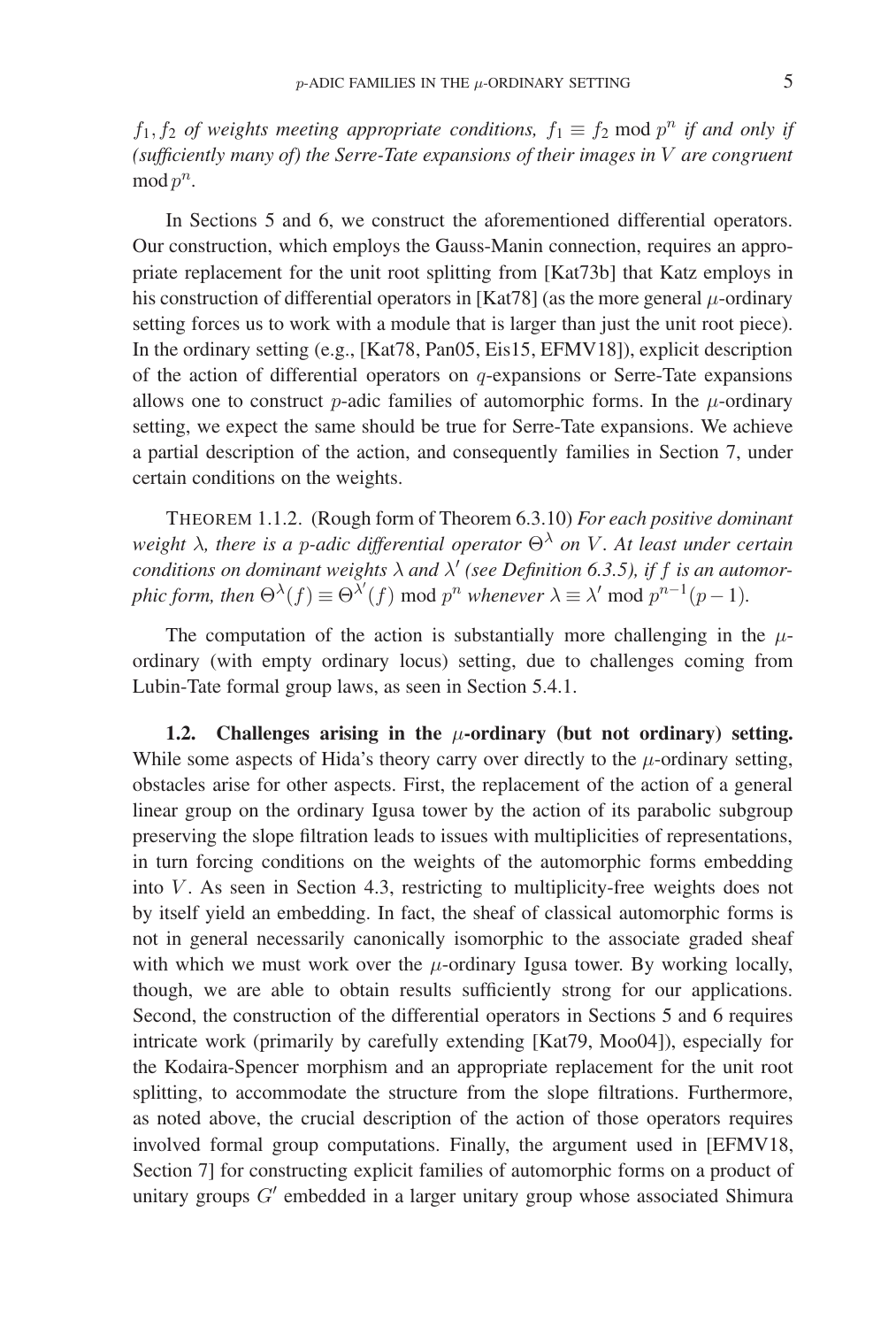$f_1, f_2$  *of weights meeting appropriate conditions,*  $f_1 \equiv f_2 \mod p^n$  *if and only if (sufficiently many of) the Serre-Tate expansions of their images in* V *are congruent* mod  $p^n$ .

In Sections 5 and 6, we construct the aforementioned differential operators. Our construction, which employs the Gauss-Manin connection, requires an appropriate replacement for the unit root splitting from [Kat73b] that Katz employs in his construction of differential operators in [Kat78] (as the more general  $\mu$ -ordinary setting forces us to work with a module that is larger than just the unit root piece). In the ordinary setting (e.g., [Kat78, Pan05, Eis15, EFMV18]), explicit description of the action of differential operators on q-expansions or Serre-Tate expansions allows one to construct p-adic families of automorphic forms. In the  $\mu$ -ordinary setting, we expect the same should be true for Serre-Tate expansions. We achieve a partial description of the action, and consequently families in Section 7, under certain conditions on the weights.

THEOREM 1.1.2. (Rough form of Theorem 6.3.10) *For each positive dominant weight* λ*, there is a* p*-adic differential operator* Θ<sup>λ</sup> *on* V *. At least under certain conditions on dominant weights*  $\lambda$  *and*  $\lambda'$  *(see Definition 6.3.5), if f is an automorphic form, then*  $\Theta^{\lambda}(f) \equiv \Theta^{\lambda'}(f)$  mod  $p^n$  *whenever*  $\lambda \equiv \lambda'$  mod  $p^{n-1}(p-1)$ *.* 

The computation of the action is substantially more challenging in the  $\mu$ ordinary (with empty ordinary locus) setting, due to challenges coming from Lubin-Tate formal group laws, as seen in Section 5.4.1.

**1.2. Challenges arising in the** μ**-ordinary (but not ordinary) setting.** While some aspects of Hida's theory carry over directly to the  $\mu$ -ordinary setting, obstacles arise for other aspects. First, the replacement of the action of a general linear group on the ordinary Igusa tower by the action of its parabolic subgroup preserving the slope filtration leads to issues with multiplicities of representations, in turn forcing conditions on the weights of the automorphic forms embedding into  $V$ . As seen in Section 4.3, restricting to multiplicity-free weights does not by itself yield an embedding. In fact, the sheaf of classical automorphic forms is not in general necessarily canonically isomorphic to the associate graded sheaf with which we must work over the  $\mu$ -ordinary Igusa tower. By working locally, though, we are able to obtain results sufficiently strong for our applications. Second, the construction of the differential operators in Sections 5 and 6 requires intricate work (primarily by carefully extending [Kat79, Moo04]), especially for the Kodaira-Spencer morphism and an appropriate replacement for the unit root splitting, to accommodate the structure from the slope filtrations. Furthermore, as noted above, the crucial description of the action of those operators requires involved formal group computations. Finally, the argument used in [EFMV18, Section 7] for constructing explicit families of automorphic forms on a product of unitary groups  $G'$  embedded in a larger unitary group whose associated Shimura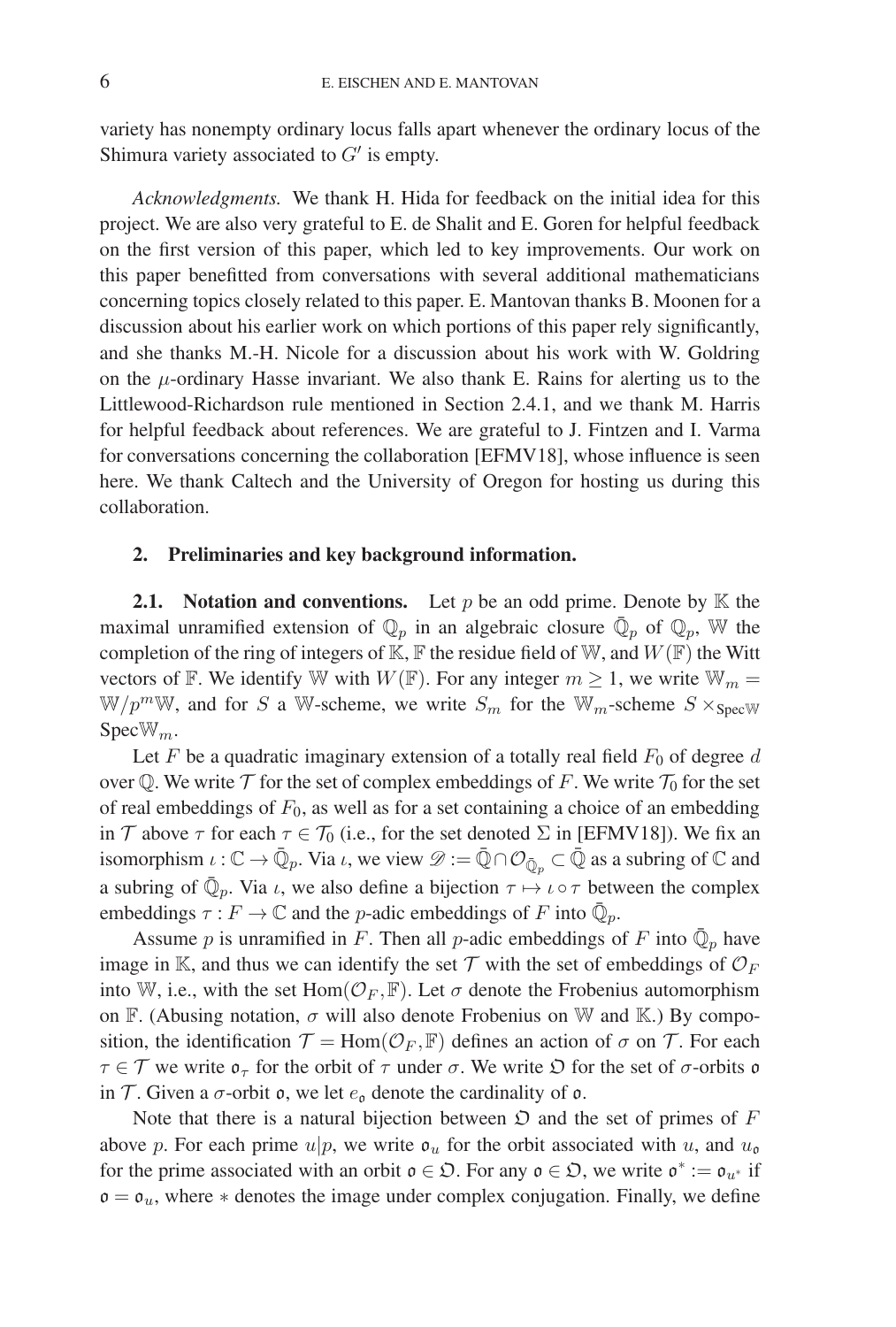variety has nonempty ordinary locus falls apart whenever the ordinary locus of the Shimura variety associated to  $G'$  is empty.

*Acknowledgments.* We thank H. Hida for feedback on the initial idea for this project. We are also very grateful to E. de Shalit and E. Goren for helpful feedback on the first version of this paper, which led to key improvements. Our work on this paper benefitted from conversations with several additional mathematicians concerning topics closely related to this paper. E. Mantovan thanks B. Moonen for a discussion about his earlier work on which portions of this paper rely significantly, and she thanks M.-H. Nicole for a discussion about his work with W. Goldring on the  $\mu$ -ordinary Hasse invariant. We also thank E. Rains for alerting us to the Littlewood-Richardson rule mentioned in Section 2.4.1, and we thank M. Harris for helpful feedback about references. We are grateful to J. Fintzen and I. Varma for conversations concerning the collaboration [EFMV18], whose influence is seen here. We thank Caltech and the University of Oregon for hosting us during this collaboration.

### **2. Preliminaries and key background information.**

**2.1.** Notation and conventions. Let p be an odd prime. Denote by  $K$  the maximal unramified extension of  $\mathbb{Q}_p$  in an algebraic closure  $\bar{\mathbb{Q}}_p$  of  $\mathbb{Q}_p$ , W the completion of the ring of integers of  $K$ ,  $F$  the residue field of W, and  $W(F)$  the Witt vectors of F. We identify W with  $W(F)$ . For any integer  $m \geq 1$ , we write  $W_m =$  $W/p^mW$ , and for S a W-scheme, we write  $S_m$  for the  $W_m$ -scheme  $S \times_{\text{Spec}W}$  $Spec \mathbb{W}_m$ .

Let F be a quadratic imaginary extension of a totally real field  $F_0$  of degree d over Q. We write  $\mathcal T$  for the set of complex embeddings of F. We write  $\mathcal T_0$  for the set of real embeddings of  $F_0$ , as well as for a set containing a choice of an embedding in T above  $\tau$  for each  $\tau \in \mathcal{T}_0$  (i.e., for the set denoted  $\Sigma$  in [EFMV18]). We fix an isomorphism  $\iota : \mathbb{C} \to \bar{\mathbb{Q}}_p$ . Via  $\iota$ , we view  $\mathscr{D} := \bar{\mathbb{Q}} \cap \mathcal{O}_{\bar{\mathbb{Q}}_p} \subset \bar{\mathbb{Q}}$  as a subring of  $\mathbb{C}$  and a subring of  $\mathbb{Q}_p$ . Via  $\iota$ , we also define a bijection  $\tau \mapsto \iota \circ \tau$  between the complex embeddings  $\tau : F \to \mathbb{C}$  and the *p*-adic embeddings of *F* into  $\overline{\mathbb{Q}}_p$ .

Assume p is unramified in F. Then all p-adic embeddings of F into  $\bar{\mathbb{Q}}_p$  have image in K, and thus we can identify the set  $\mathcal T$  with the set of embeddings of  $\mathcal O_F$ into W, i.e., with the set Hom $(\mathcal{O}_F, \mathbb{F})$ . Let  $\sigma$  denote the Frobenius automorphism on F. (Abusing notation,  $\sigma$  will also denote Frobenius on W and K.) By composition, the identification  $\mathcal{T} = \text{Hom}(\mathcal{O}_F, \mathbb{F})$  defines an action of  $\sigma$  on  $\mathcal{T}$ . For each  $\tau \in \mathcal{T}$  we write  $\mathfrak{o}_{\tau}$  for the orbit of  $\tau$  under  $\sigma$ . We write  $\mathfrak{O}$  for the set of  $\sigma$ -orbits  $\mathfrak{o}$ in T. Given a  $\sigma$ -orbit  $\mathfrak{o}$ , we let  $e_{\mathfrak{o}}$  denote the cardinality of  $\mathfrak{o}$ .

Note that there is a natural bijection between  $\mathfrak D$  and the set of primes of F above p. For each prime  $u|p$ , we write  $\mathfrak{o}_u$  for the orbit associated with u, and  $u_{\mathfrak{o}}$ for the prime associated with an orbit  $\mathfrak{o} \in \mathfrak{D}$ . For any  $\mathfrak{o} \in \mathfrak{D}$ , we write  $\mathfrak{o}^* := \mathfrak{o}_{u^*}$  if  $o = o_u$ , where  $*$  denotes the image under complex conjugation. Finally, we define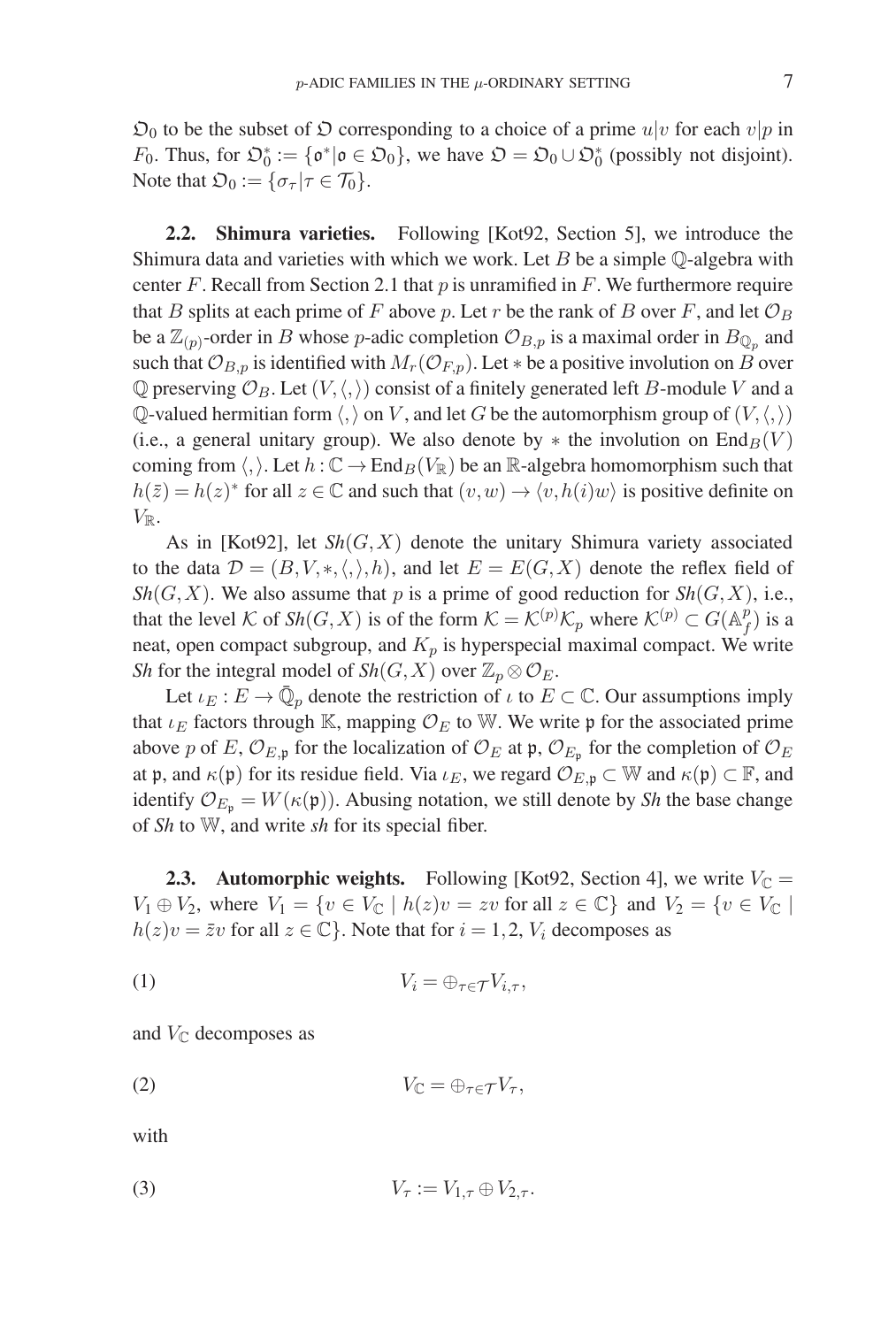$\mathfrak{O}_0$  to be the subset of  $\mathfrak O$  corresponding to a choice of a prime  $u|v$  for each  $v|p$  in F<sub>0</sub>. Thus, for  $\mathfrak{O}_0^* := {\mathfrak o}^* | {\mathfrak o} \in \mathfrak{O}_0$ , we have  $\mathfrak{O} = \mathfrak{O}_0 \cup \mathfrak{O}_0^*$  (possibly not disjoint). Note that  $\mathfrak{O}_0 := {\sigma_\tau | \tau \in \mathcal{T}_0}.$ 

**2.2. Shimura varieties.** Following [Kot92, Section 5], we introduce the Shimura data and varieties with which we work. Let  $B$  be a simple  $\mathbb Q$ -algebra with center F. Recall from Section 2.1 that  $p$  is unramified in  $F$ . We furthermore require that B splits at each prime of F above p. Let r be the rank of B over F, and let  $\mathcal{O}_B$ be a  $\mathbb{Z}_{(p)}$ -order in B whose p-adic completion  $\mathcal{O}_{B,p}$  is a maximal order in  $B_{\mathbb{Q}_p}$  and such that  $\mathcal{O}_{B,p}$  is identified with  $M_r(\mathcal{O}_{F,p})$ . Let  $*$  be a positive involution on B over  $\mathbb Q$  preserving  $\mathcal O_B$ . Let  $(V, \langle, \rangle)$  consist of a finitely generated left B-module V and a Q-valued hermitian form  $\langle, \rangle$  on V, and let G be the automorphism group of  $(V, \langle, \rangle)$ (i.e., a general unitary group). We also denote by  $*$  the involution on  $\text{End}_B(V)$ coming from  $\langle , \rangle$ . Let  $h : \mathbb{C} \to \text{End}_B(V_\mathbb{R})$  be an  $\mathbb{R}$ -algebra homomorphism such that  $h(\bar{z}) = h(z)^*$  for all  $z \in \mathbb{C}$  and such that  $(v, w) \to \langle v, h(i)w \rangle$  is positive definite on  $V_{\mathbb{R}}$ .

As in [Kot92], let  $\mathcal{S}_h(G, X)$  denote the unitary Shimura variety associated to the data  $\mathcal{D} = (B, V, *, \langle, \rangle, h)$ , and let  $E = E(G, X)$  denote the reflex field of  $Sh(G, X)$ . We also assume that p is a prime of good reduction for  $Sh(G, X)$ , i.e., that the level K of  $\mathcal{S}h(G,X)$  is of the form  $\mathcal{K} = \mathcal{K}^{(p)}\mathcal{K}_p$  where  $\mathcal{K}^{(p)} \subset G(\mathbb{A}_f^p)$  is a neat, open compact subgroup, and  $K_p$  is hyperspecial maximal compact. We write *Sh* for the integral model of *Sh*(*G*, *X*) over  $\mathbb{Z}_p \otimes \mathcal{O}_E$ .

Let  $\iota_E : E \to \mathbb{Q}_p$  denote the restriction of  $\iota$  to  $E \subset \mathbb{C}$ . Our assumptions imply that  $\iota_E$  factors through K, mapping  $\mathcal{O}_E$  to W. We write p for the associated prime above p of E,  $\mathcal{O}_{E,\mathfrak{p}}$  for the localization of  $\mathcal{O}_E$  at  $\mathfrak{p}, \mathcal{O}_{E_\mathfrak{p}}$  for the completion of  $\mathcal{O}_E$ at p, and  $\kappa(\mathfrak{p})$  for its residue field. Via  $\iota_E$ , we regard  $\mathcal{O}_{E,\mathfrak{p}} \subset \mathbb{W}$  and  $\kappa(\mathfrak{p}) \subset \mathbb{F}$ , and identify  $\mathcal{O}_{E_p} = W(\kappa(\mathfrak{p}))$ . Abusing notation, we still denote by *Sh* the base change of *Sh* to W, and write *sh* for its special fiber.

**2.3. Automorphic weights.** Following [Kot92, Section 4], we write  $V_{\mathbb{C}} =$  $V_1 \oplus V_2$ , where  $V_1 = \{v \in V_{\mathbb{C}} \mid h(z)v = zv \text{ for all } z \in \mathbb{C}\}\$  and  $V_2 = \{v \in V_{\mathbb{C}} \mid h(z)v = zv \text{ for all } z \in \mathbb{C}\}\$  $h(z)v = \overline{z}v$  for all  $z \in \mathbb{C}$ . Note that for  $i = 1, 2, V_i$  decomposes as

$$
(1) \t V_i = \bigoplus_{\tau \in \mathcal{T}} V_{i,\tau},
$$

and  $V_{\mathbb{C}}$  decomposes as

$$
(2) \t V_{\mathbb{C}} = \oplus_{\tau \in \mathcal{T}} V_{\tau},
$$

with

$$
(3) \t V_{\tau} := V_{1,\tau} \oplus V_{2,\tau}.
$$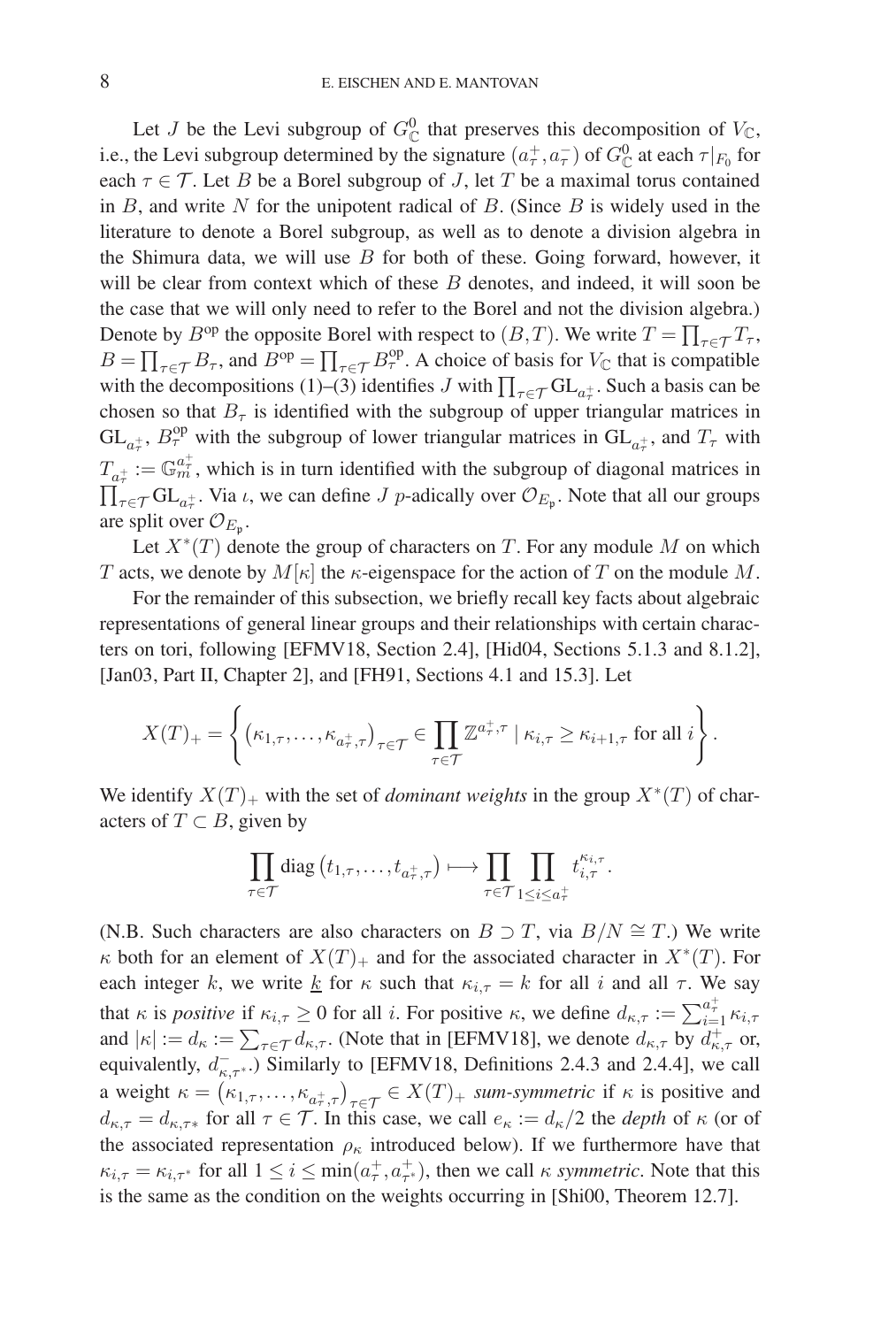Let J be the Levi subgroup of  $G^0_{\mathbb{C}}$  that preserves this decomposition of  $V_{\mathbb{C}}$ , i.e., the Levi subgroup determined by the signature  $(a^+_\tau, a^-_\tau)$  of  $G^0_{\mathbb{C}}$  at each  $\tau|_{F_0}$  for each  $\tau \in \mathcal{T}$ . Let B be a Borel subgroup of J, let T be a maximal torus contained in  $B$ , and write  $N$  for the unipotent radical of  $B$ . (Since  $B$  is widely used in the literature to denote a Borel subgroup, as well as to denote a division algebra in the Shimura data, we will use  $B$  for both of these. Going forward, however, it will be clear from context which of these  $B$  denotes, and indeed, it will soon be the case that we will only need to refer to the Borel and not the division algebra.) Denote by  $B^{op}$  the opposite Borel with respect to  $(B,T)$ . We write  $T = \prod_{\tau \in \mathcal{T}} T_{\tau}$ ,  $B = \prod_{\tau \in \mathcal{T}} B_{\tau}$ , and  $B^{op} = \prod_{\tau \in \mathcal{T}} B_{\tau}^{op}$ . A choice of basis for  $V_{\mathbb{C}}$  that is compatible with the decompositions (1)–(3) identifies J with  $\prod_{\tau \in \mathcal{T}} GL_{a_{\tau}^+}$ . Such a basis can be abosen so that  $P_{\tau}$  is identified with the subgroup of upper triangular matrices in chosen so that  $B<sub>\tau</sub>$  is identified with the subgroup of upper triangular matrices in  $GL_{a_{\tau}^{+}}$ ,  $B_{\tau}^{\text{op}}$  with the subgroup of lower triangular matrices in  $GL_{a_{\tau}^{+}}$ , and  $T_{\tau}$  with  $T_{a_\tau^+}:=\mathbb{G}_m^{a_\tau^+}$  $\frac{a_{\tau}}{m}$ , which is in turn identified with the subgroup of diagonal matrices in  $\prod_{\tau \in \mathcal{T}} GL_{a_{\tau}^+}$ . Via *t*, we can define *J p*-adically over  $\mathcal{O}_{E_{\mathfrak{p}}}$ . Note that all our groups are split over  $\mathcal{O}_{E_n}$ .

Let  $X^*(T)$  denote the group of characters on T. For any module M on which T acts, we denote by  $M[\kappa]$  the  $\kappa$ -eigenspace for the action of T on the module M.

For the remainder of this subsection, we briefly recall key facts about algebraic representations of general linear groups and their relationships with certain characters on tori, following [EFMV18, Section 2.4], [Hid04, Sections 5.1.3 and 8.1.2], [Jan03, Part II, Chapter 2], and [FH91, Sections 4.1 and 15.3]. Let

$$
X(T)_{+} = \left\{ \left( \kappa_{1,\tau}, \ldots, \kappa_{a_{\tau,\tau}} \right)_{\tau \in \mathcal{T}} \in \prod_{\tau \in \mathcal{T}} \mathbb{Z}^{a_{\tau}^{+},\tau} \mid \kappa_{i,\tau} \geq \kappa_{i+1,\tau} \text{ for all } i \right\}.
$$

We identify  $X(T)_+$  with the set of *dominant weights* in the group  $X^*(T)$  of characters of  $T \subset B$ , given by

$$
\prod_{\tau \in \mathcal{T}} \text{diag}(t_{1,\tau}, \ldots, t_{a_{\tau}^{\pm},\tau}) \longmapsto \prod_{\tau \in \mathcal{T}} \prod_{1 \leq i \leq a_{\tau}^{\pm}} t_{i,\tau}^{\kappa_{i,\tau}}.
$$

(N.B. Such characters are also characters on  $B \supset T$ , via  $B/N \cong T$ .) We write  $\kappa$  both for an element of  $X(T)$  and for the associated character in  $X^*(T)$ . For each integer k, we write k for  $\kappa$  such that  $\kappa_{i,\tau} = k$  for all i and all  $\tau$ . We say that  $\kappa$  is *positive* if  $\kappa_{i,\tau} \ge 0$  for all i. For positive  $\kappa$ , we define  $d_{\kappa,\tau} := \sum_{i=1}^{a_{\tau}^{+}} \kappa_{i,\tau}$ and  $|\kappa| := d_{\kappa} := \sum_{\tau \in \mathcal{T}} d_{\kappa,\tau}$ . (Note that in [EFMV18], we denote  $d_{\kappa,\tau}$  by  $d_{\kappa,\tau}^+$  or, equivalently,  $d_{\kappa,\tau^*}$ .) Similarly to [EFMV18, Definitions 2.4.3 and 2.4.4], we call a weight  $\kappa = (\kappa_{1,\tau}, \ldots, \kappa_{a_{\tau,\tau}})_{\tau \in \mathcal{T}} \in X(T)_{+}$  *sum-symmetric* if  $\kappa$  is positive and  $d_{\kappa,\tau} = d_{\kappa,\tau^*}$  for all  $\tau \in \mathcal{T}$ . In this case, we call  $e_{\kappa} := d_{\kappa}/2$  the *depth* of  $\kappa$  (or of the associated representation  $\rho_{\kappa}$  introduced below). If we furthermore have that  $\kappa_{i,\tau} = \kappa_{i,\tau^*}$  for all  $1 \leq i \leq \min(a_{\tau}^+, a_{\tau^*}^+)$ , then we call  $\kappa$  *symmetric*. Note that this is the same as the condition on the weights occurring in [Shi00, Theorem 12.7].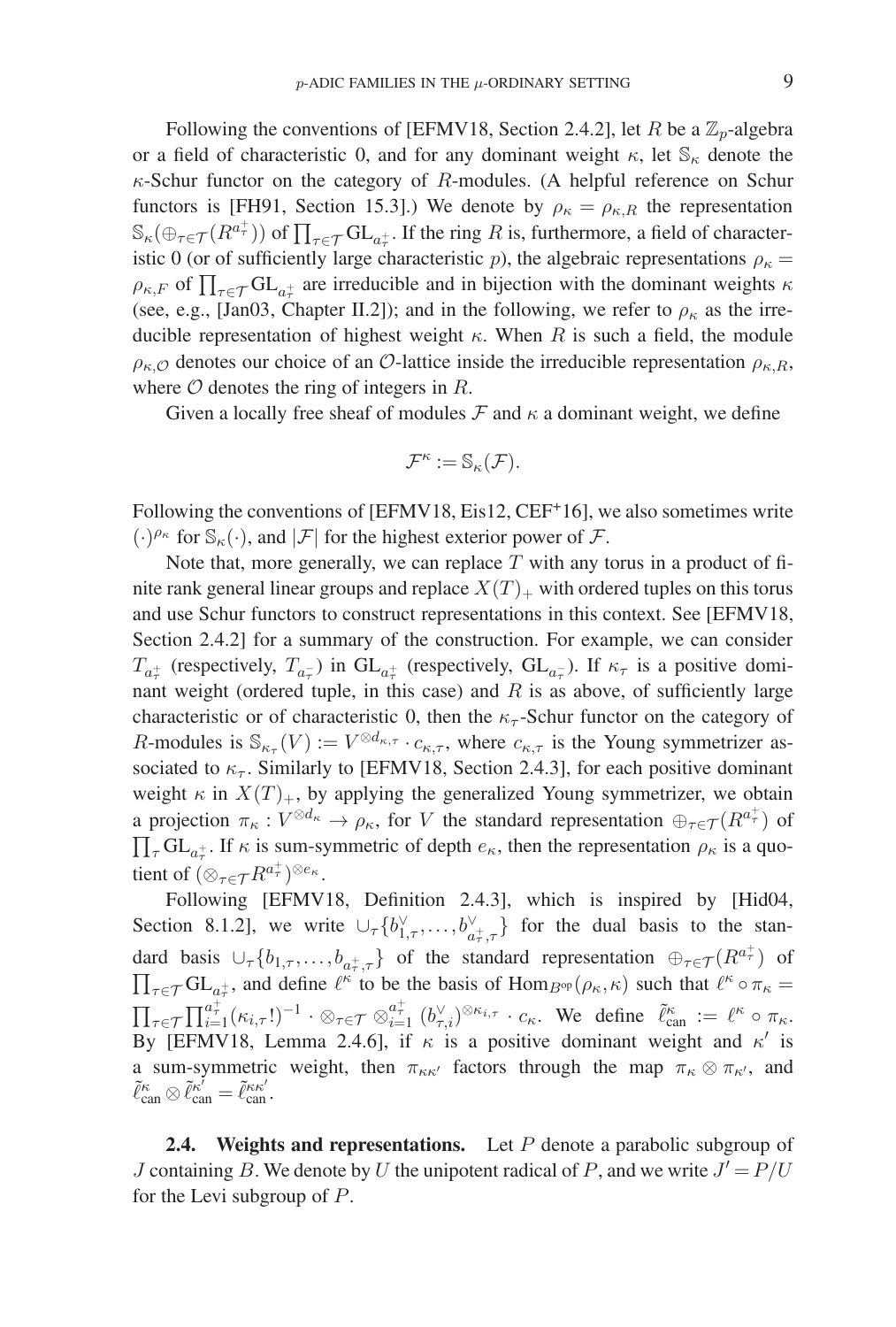Following the conventions of [EFMV18, Section 2.4.2], let R be a  $\mathbb{Z}_p$ -algebra or a field of characteristic 0, and for any dominant weight  $\kappa$ , let  $\mathbb{S}_{\kappa}$  denote the  $\kappa$ -Schur functor on the category of  $R$ -modules. (A helpful reference on Schur functors is [FH91, Section 15.3].) We denote by  $\rho_{\kappa} = \rho_{\kappa,R}$  the representation  $\mathbb{S}_{\kappa}(\bigoplus_{\tau \in \mathcal{T}} (R^{a_{\tau}^{+}}))$  of  $\prod_{\tau \in \mathcal{T}} \mathrm{GL}_{a_{\tau}^{+}}$ . If the ring R is, furthermore, a field of characteristic 0 (or of sufficiently large characteristic p), the algebraic representations  $\rho_{\kappa} =$  $\rho_{\kappa,F}$  of  $\prod_{\tau \in \mathcal{T}} GL_{a_{\tau}^{+}}$  are irreducible and in bijection with the dominant weights  $\kappa$ (see, e.g., [Jan03, Chapter II.2]); and in the following, we refer to  $\rho_{\kappa}$  as the irreducible representation of highest weight  $\kappa$ . When R is such a field, the module  $\rho_{\kappa,Q}$  denotes our choice of an O-lattice inside the irreducible representation  $\rho_{\kappa,R}$ , where  $O$  denotes the ring of integers in  $R$ .

Given a locally free sheaf of modules  $\mathcal F$  and  $\kappa$  a dominant weight, we define

$$
\mathcal{F}^\kappa:=\mathbb{S}_\kappa(\mathcal{F}).
$$

Following the conventions of [EFMV18, Eis12, CEF<sup>+</sup>16], we also sometimes write  $(\cdot)^{\rho_{\kappa}}$  for  $\mathbb{S}_{\kappa}(\cdot)$ , and  $|\mathcal{F}|$  for the highest exterior power of  $\mathcal{F}$ .

Note that, more generally, we can replace  $T$  with any torus in a product of finite rank general linear groups and replace  $X(T)_+$  with ordered tuples on this torus and use Schur functors to construct representations in this context. See [EFMV18, Section 2.4.2] for a summary of the construction. For example, we can consider  $T_{a_{\tau}}$  (respectively,  $T_{a_{\tau}}$ ) in  $GL_{a_{\tau}}$  (respectively,  $GL_{a_{\tau}}$ ). If  $\kappa_{\tau}$  is a positive domi-<br>next weight (ordered tuple, in this case) and B is as above, of sufficiently large nant weight (ordered tuple, in this case) and  $R$  is as above, of sufficiently large characteristic or of characteristic 0, then the  $\kappa_{\tau}$ -Schur functor on the category of R-modules is  $\mathbb{S}_{\kappa_{\tau}}(V) := V^{\otimes d_{\kappa,\tau}} \cdot c_{\kappa,\tau}$ , where  $c_{\kappa,\tau}$  is the Young symmetrizer associated to  $\kappa_{\tau}$ . Similarly to [EFMV18, Section 2.4.3], for each positive dominant weight  $\kappa$  in  $X(T)_+$ , by applying the generalized Young symmetrizer, we obtain a projection  $\pi_{\kappa}: V^{\otimes d_{\kappa}} \to \rho_{\kappa}$ , for V the standard representation  $\oplus_{\tau \in \mathcal{T}} (R^{a_{\tau}^{+}})$  of  $\prod_{\tau} GL_{a_{\tau}^{+}}$ . If  $\kappa$  is sum-symmetric of depth  $e_{\kappa}$ , then the representation  $\rho_{\kappa}$  is a quotient of  $(\otimes_{\tau \in \mathcal{T}} R^{a^+_{\tau}})^{\otimes e_{\kappa}}$ .

Following [EFMV18, Definition 2.4.3], which is inspired by [Hid04, Section 8.1.2], we write  $\cup_{\tau} \{b_{1,\tau}^{\vee}, \ldots, b_{a_{\tau}^{\dagger},\tau}^{\vee}\}$  for the dual basis to the standard basis  $\cup_{\tau} \{b_{1,\tau}, \ldots, b_{a_{\tau}^{+},\tau}\}\$  of the standard representation  $\bigoplus_{\tau \in \mathcal{T}} (R^{a_{\tau}^{+}})$  of  $\prod_{\tau\in\mathcal{T}}\mathrm{GL}_{a_{\tau}^+}$  $\prod_{\tau \in \mathcal{T}} GL_{a_{\tau}^{+}}$ , and define  $\ell^{\kappa}$  to be the basis of  $\text{Hom}_{B^{\text{op}}}(\rho_{\kappa}, \kappa)$  such that  $\ell^{\kappa} \circ \pi_{\kappa} = \prod_{\tau \in \mathcal{T}} \prod_{i=1}^{a_{\tau}^{+}} (\kappa_{i,\tau}!)^{-1} \cdot \otimes_{\tau \in \mathcal{T}} \otimes_{i=1}^{a_{\tau}^{+}} ^{a_{\tau}^{+}} (b_{\tau,i}^{\vee})^{\otimes \kappa$  $\prod_{\tau\in\mathcal{T}}\prod_{i=1}^{a_{\tau}^{+}}(\kappa_{i,\tau}!)^{-1}\cdot\otimes_{\tau\in\mathcal{T}}\otimes_{i=1}^{a_{\tau}^{+}}(b_{\tau,i}^{\vee})^{\otimes\kappa_{i,\tau}}\cdot c_{\kappa}$ . We define  $\tilde{\ell}_{\text{can}}^{\kappa}:=\ell^{\kappa}\circ\pi_{\kappa}$ . By [EFMV18, Lemma 2.4.6], if  $\kappa$  is a positive dominant weight and  $\kappa'$  is a sum-symmetric weight, then  $\pi_{\kappa\kappa'}$  factors through the map  $\pi_{\kappa} \otimes \pi_{\kappa'}$ , and  $\tilde{\ell}_{\mathrm{can}}^{\kappa} \otimes \tilde{\ell}_{\mathrm{can}}^{\kappa'} = \tilde{\ell}_{\mathrm{can}}^{\kappa \kappa'}.$ 

**2.4. Weights and representations.** Let P denote a parabolic subgroup of J containing B. We denote by U the unipotent radical of P, and we write  $J' = P/U$ for the Levi subgroup of P.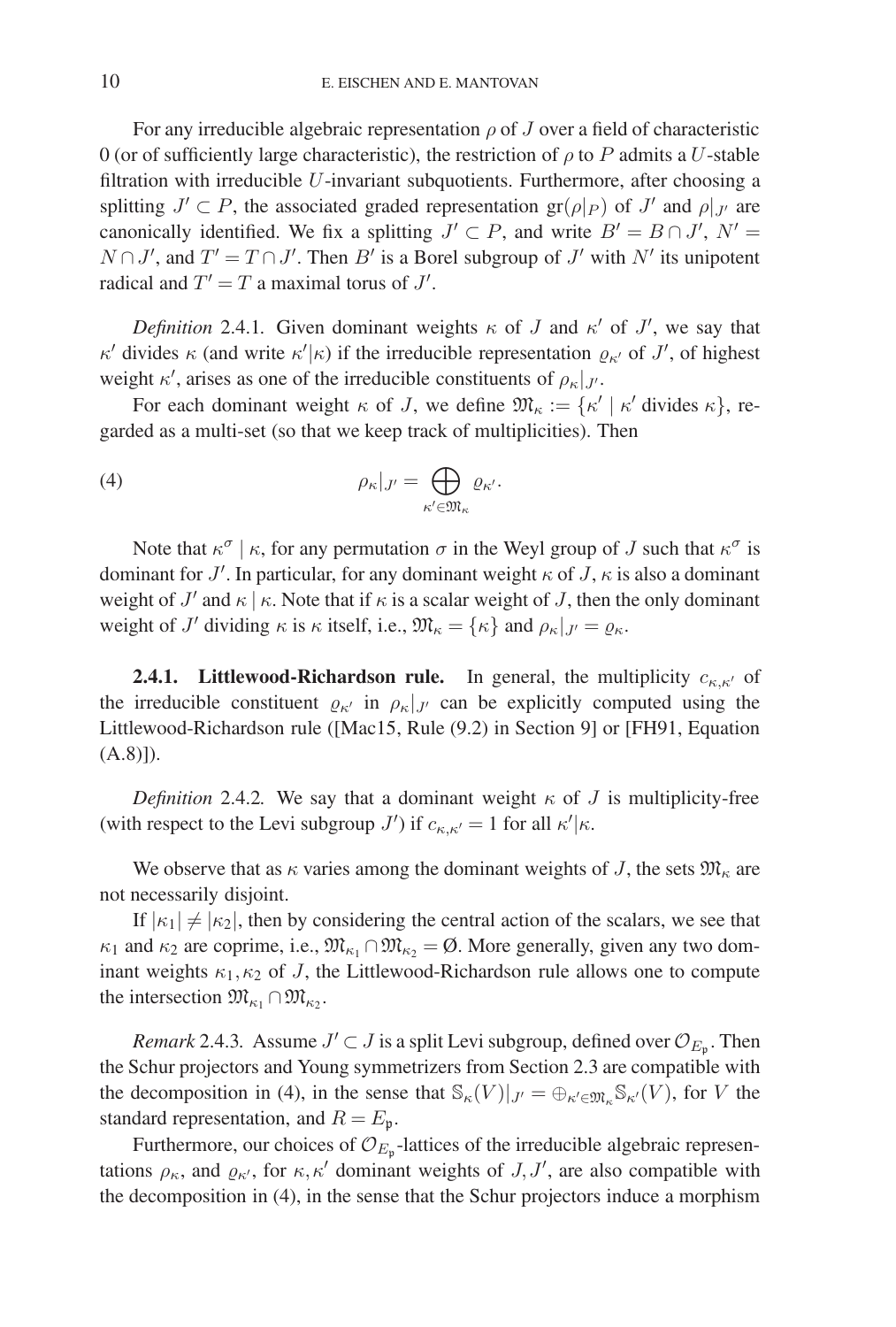For any irreducible algebraic representation  $\rho$  of J over a field of characteristic 0 (or of sufficiently large characteristic), the restriction of  $\rho$  to P admits a U-stable filtration with irreducible  $U$ -invariant subquotients. Furthermore, after choosing a splitting  $J' \subset P$ , the associated graded representation gr( $\rho|_P$ ) of  $J'$  and  $\rho|_{J'}$  are canonically identified. We fix a splitting  $J' \subset P$ , and write  $B' = B \cap J'$ ,  $N' =$  $N \cap J'$ , and  $T' = T \cap J'$ . Then B' is a Borel subgroup of J' with N' its unipotent radical and  $T' = T$  a maximal torus of  $J'$ .

*Definition* 2.4.1. Given dominant weights  $\kappa$  of J and  $\kappa'$  of J', we say that  $\kappa'$  divides  $\kappa$  (and write  $\kappa'|\kappa$ ) if the irreducible representation  $\varrho_{\kappa'}$  of J', of highest weight  $\kappa'$ , arises as one of the irreducible constituents of  $\rho_{\kappa}|_{J'}$ .

For each dominant weight  $\kappa$  of J, we define  $\mathfrak{M}_{\kappa} := {\kappa' | \kappa' }$  divides  $\kappa$ , regarded as a multi-set (so that we keep track of multiplicities). Then

(4) 
$$
\rho_{\kappa}|_{J'} = \bigoplus_{\kappa' \in \mathfrak{M}_{\kappa}} \varrho_{\kappa'}.
$$

Note that  $\kappa^{\sigma} \mid \kappa$ , for any permutation  $\sigma$  in the Weyl group of J such that  $\kappa^{\sigma}$  is dominant for  $J'$ . In particular, for any dominant weight  $\kappa$  of  $J$ ,  $\kappa$  is also a dominant weight of  $J'$  and  $\kappa \mid \kappa$ . Note that if  $\kappa$  is a scalar weight of  $J$ , then the only dominant weight of  $J'$  dividing  $\kappa$  is  $\kappa$  itself, i.e.,  $\mathfrak{M}_{\kappa} = {\kappa}$  and  $\rho_{\kappa}|_{J'} = \varrho_{\kappa}$ .

**2.4.1.** Littlewood-Richardson rule. In general, the multiplicity  $c_{\kappa,\kappa'}$  of the irreducible constituent  $\rho_{\kappa}$  in  $\rho_{\kappa}|_{J'}$  can be explicitly computed using the Littlewood-Richardson rule ([Mac15, Rule (9.2) in Section 9] or [FH91, Equation  $(A.8)]$ .

*Definition* 2.4.2. We say that a dominant weight  $\kappa$  of J is multiplicity-free (with respect to the Levi subgroup  $J'$ ) if  $c_{\kappa,\kappa'} = 1$  for all  $\kappa'|\kappa$ .

We observe that as  $\kappa$  varies among the dominant weights of J, the sets  $\mathfrak{M}_{\kappa}$  are not necessarily disjoint.

If  $|\kappa_1| \neq |\kappa_2|$ , then by considering the central action of the scalars, we see that  $\kappa_1$  and  $\kappa_2$  are coprime, i.e.,  $\mathfrak{M}_{\kappa_1} \cap \mathfrak{M}_{\kappa_2} = \emptyset$ . More generally, given any two dominant weights  $\kappa_1, \kappa_2$  of J, the Littlewood-Richardson rule allows one to compute the intersection  $\mathfrak{M}_{\kappa_1} \cap \mathfrak{M}_{\kappa_2}$ .

*Remark* 2.4.3*.* Assume  $J' \subset J$  is a split Levi subgroup, defined over  $\mathcal{O}_{E_n}$ . Then the Schur projectors and Young symmetrizers from Section 2.3 are compatible with the decomposition in (4), in the sense that  $\mathbb{S}_{\kappa}(V)|_{J'} = \bigoplus_{\kappa' \in \mathfrak{M}_{\kappa}} \mathbb{S}_{\kappa'}(V)$ , for V the standard representation, and  $R = E_p$ .

Furthermore, our choices of  $\mathcal{O}_{E_{p}}$ -lattices of the irreducible algebraic representations  $\rho_{\kappa}$ , and  $\varrho_{\kappa'}$ , for  $\kappa, \kappa'$  dominant weights of  $J, J'$ , are also compatible with the decomposition in (4), in the sense that the Schur projectors induce a morphism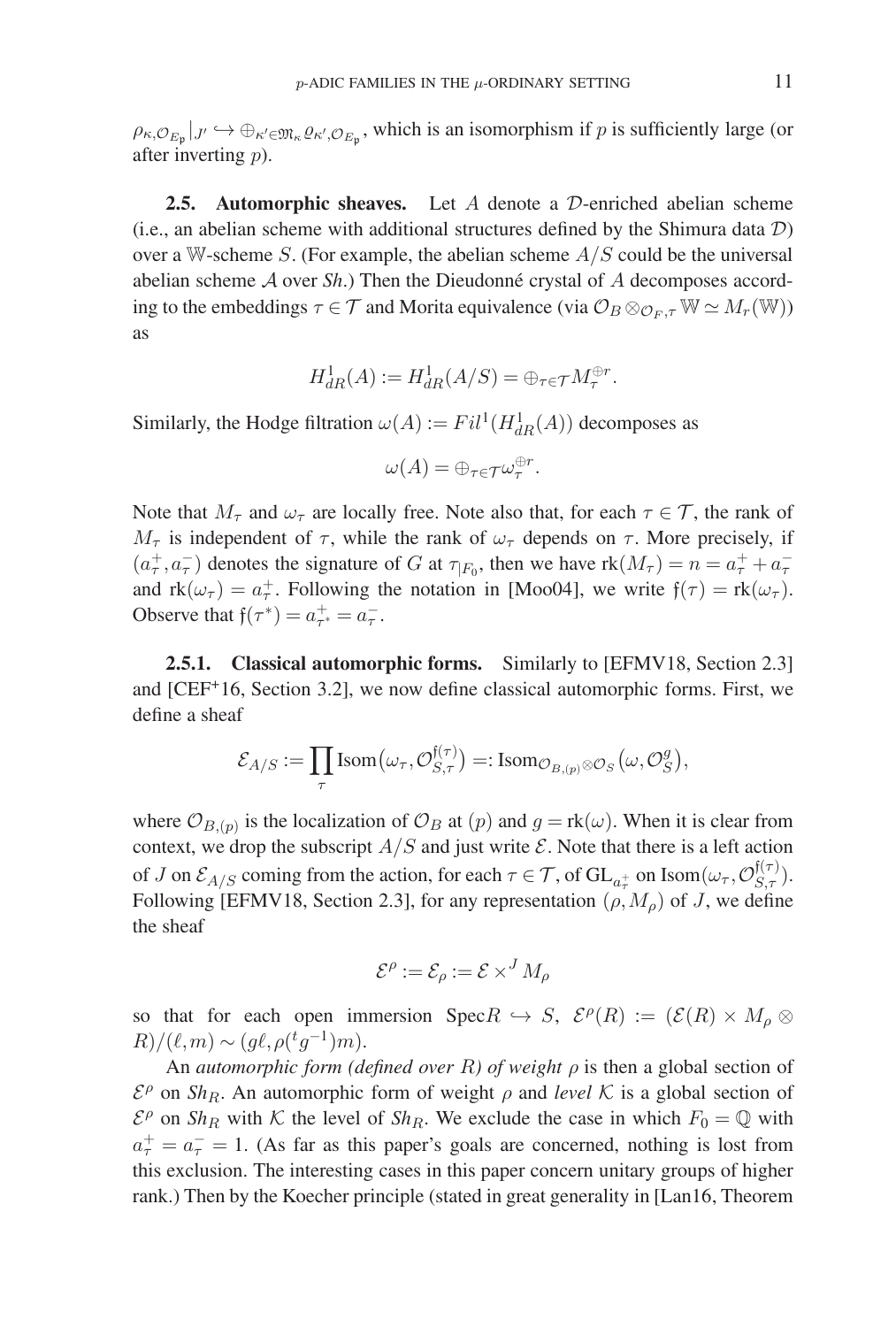$\rho_{\kappa,Q_{E_{\mathfrak{p}}}}|_{J'} \hookrightarrow \bigoplus_{\kappa' \in \mathfrak{M}_{\kappa} Q_{\kappa',Q_{E_{\mathfrak{p}}}},}$  which is an isomorphism if p is sufficiently large (or after inverting p).

**2.5. Automorphic sheaves.** Let A denote a D-enriched abelian scheme (i.e., an abelian scheme with additional structures defined by the Shimura data  $\mathcal{D}$ ) over a W-scheme  $S$ . (For example, the abelian scheme  $A/S$  could be the universal abelian scheme  $A$  over  $Sh$ .) Then the Dieudonné crystal of  $A$  decomposes according to the embeddings  $\tau \in \mathcal{T}$  and Morita equivalence (via  $\mathcal{O}_B \otimes_{\mathcal{O}_F, \tau} \mathbb{W} \simeq M_r(\mathbb{W})$ ) as

$$
H_{dR}^1(A) := H_{dR}^1(A/S) = \bigoplus_{\tau \in \mathcal{T}} M_{\tau}^{\oplus r}.
$$

Similarly, the Hodge filtration  $\omega(A) := Fil^1(H^1_{dR}(A))$  decomposes as

$$
\omega(A) = \oplus_{\tau \in \mathcal{T}} \omega_{\tau}^{\oplus r}.
$$

Note that  $M_{\tau}$  and  $\omega_{\tau}$  are locally free. Note also that, for each  $\tau \in \mathcal{T}$ , the rank of  $M_{\tau}$  is independent of  $\tau$ , while the rank of  $\omega_{\tau}$  depends on  $\tau$ . More precisely, if  $(a^+_\tau, a^-_\tau)$  denotes the signature of G at  $\tau_{|F_0}$ , then we have  $\text{rk}(M_\tau) = n = a^+_\tau + a^-_\tau$ and  $rk(\omega_{\tau}) = a_{\tau}^+$ . Following the notation in [Moo04], we write  $f(\tau) = rk(\omega_{\tau})$ . Observe that  $f(\tau^*) = a_{\tau^*}^+ = a_{\tau}^-$ .

**2.5.1. Classical automorphic forms.** Similarly to [EFMV18, Section 2.3] and [CEF+16, Section 3.2], we now define classical automorphic forms. First, we define a sheaf

$$
\mathcal{E}_{A/S} := \prod_{\tau} \text{Isom}(\omega_{\tau}, \mathcal{O}_{S,\tau}^{\mathfrak{f}(\tau)}) =: \text{Isom}_{\mathcal{O}_{B,(p)} \otimes \mathcal{O}_S}(\omega, \mathcal{O}_S^g),
$$

where  $\mathcal{O}_{B,(p)}$  is the localization of  $\mathcal{O}_B$  at  $(p)$  and  $g = \text{rk}(\omega)$ . When it is clear from context, we drop the subscript  $A/S$  and just write  $\mathcal E$ . Note that there is a left action of J on  $\mathcal{E}_{A/S}$  coming from the action, for each  $\tau \in \mathcal{T}$ , of  $\mathrm{GL}_{a_{\tau}^{+}}$  on  $\mathrm{Isom}(\omega_{\tau}, \mathcal{O}_{S,\tau}^{f(\tau)})$ . Following [EFMV18, Section 2.3], for any representation  $(\rho, M_{\rho})$  of J, we define the sheaf

$$
\mathcal{E}^{\rho} := \mathcal{E}_{\rho} := \mathcal{E} \times^{J} M_{\rho}
$$

so that for each open immersion  $\text{Spec } R \hookrightarrow S$ ,  $\mathcal{E}^{\rho}(R) := (\mathcal{E}(R) \times M_{\rho} \otimes$  $R)/(\ell,m) \sim (g\ell, \rho({}^tg^{-1})m).$ 

An *automorphic form (defined over* R*) of weight* ρ is then a global section of  $\mathcal{E}^{\rho}$  on *Sh<sub>R</sub>*. An automorphic form of weight  $\rho$  and *level* K is a global section of  $\mathcal{E}^{\rho}$  on *Sh<sub>R</sub>* with K the level of *Sh<sub>R</sub>*. We exclude the case in which  $F_0 = \mathbb{Q}$  with  $a_{\tau}^{+} = a_{\tau}^{-} = 1$ . (As far as this paper's goals are concerned, nothing is lost from this exclusion. The interesting cases in this paper concern unitary groups of higher rank.) Then by the Koecher principle (stated in great generality in [Lan16, Theorem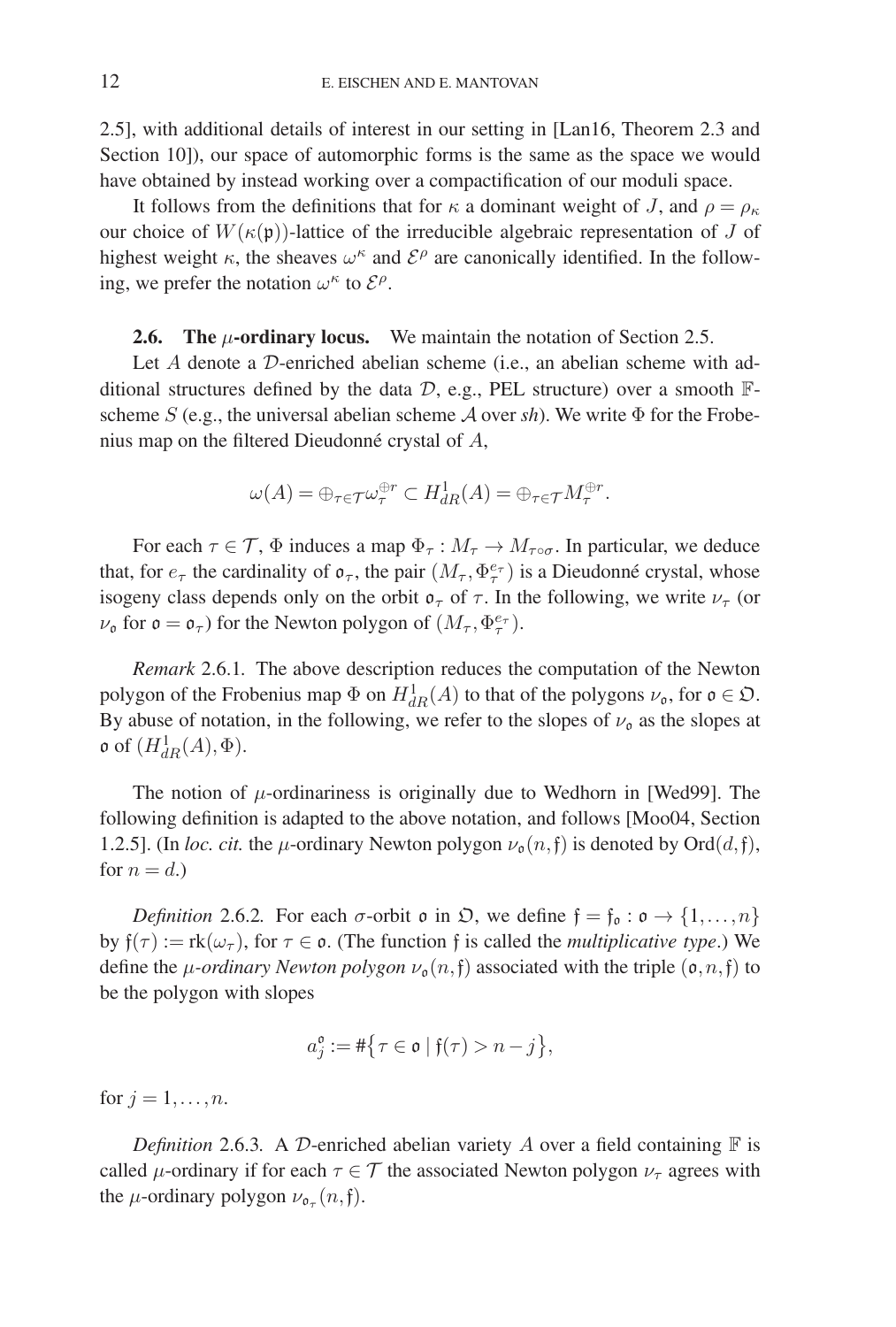2.5], with additional details of interest in our setting in [Lan16, Theorem 2.3 and Section 10]), our space of automorphic forms is the same as the space we would have obtained by instead working over a compactification of our moduli space.

It follows from the definitions that for  $\kappa$  a dominant weight of J, and  $\rho = \rho_{\kappa}$ our choice of  $W(\kappa(\mathfrak{p}))$ -lattice of the irreducible algebraic representation of J of highest weight  $\kappa$ , the sheaves  $\omega^{\kappa}$  and  $\mathcal{E}^{\rho}$  are canonically identified. In the following, we prefer the notation  $\omega^{\kappa}$  to  $\mathcal{E}^{\rho}$ .

# **2.6.** The  $\mu$ -ordinary locus. We maintain the notation of Section 2.5.

Let A denote a D-enriched abelian scheme (i.e., an abelian scheme with additional structures defined by the data  $D$ , e.g., PEL structure) over a smooth  $\mathbb{F}$ scheme  $S$  (e.g., the universal abelian scheme  $A$  over  $sh$ ). We write  $\Phi$  for the Frobenius map on the filtered Dieudonné crystal of  $A$ ,

$$
\omega(A) = \oplus_{\tau \in \mathcal{T}} \omega_{\tau}^{\oplus r} \subset H^1_{dR}(A) = \oplus_{\tau \in \mathcal{T}} M_{\tau}^{\oplus r}.
$$

For each  $\tau \in \mathcal{T}$ ,  $\Phi$  induces a map  $\Phi_{\tau}: M_{\tau} \to M_{\tau \circ \sigma}$ . In particular, we deduce that, for  $e_{\tau}$  the cardinality of  $\mathfrak{o}_{\tau}$ , the pair  $(M_{\tau}, \Phi_{\tau}^{e_{\tau}})$  is a Dieudonné crystal, whose isogeny class depends only on the orbit  $\sigma_{\tau}$  of  $\tau$ . In the following, we write  $\nu_{\tau}$  (or  $\nu_{\mathfrak{o}}$  for  $\mathfrak{o} = \mathfrak{o}_{\tau}$ ) for the Newton polygon of  $(M_{\tau}, \Phi_{\tau}^{e_{\tau}})$ .

*Remark* 2.6.1*.* The above description reduces the computation of the Newton polygon of the Frobenius map  $\Phi$  on  $H^1_{dR}(A)$  to that of the polygons  $\nu_{\mathfrak{o}}$ , for  $\mathfrak{o} \in \mathfrak{O}$ . By abuse of notation, in the following, we refer to the slopes of  $\nu_0$  as the slopes at **o** of  $(H_{dR}^1(A), \Phi)$ .

The notion of  $\mu$ -ordinariness is originally due to Wedhorn in [Wed99]. The following definition is adapted to the above notation, and follows [Moo04, Section 1.2.5]. (In *loc. cit.* the  $\mu$ -ordinary Newton polygon  $\nu_{\mathfrak{g}}(n,\mathfrak{f})$  is denoted by Ord $(d,\mathfrak{f})$ , for  $n = d$ .)

*Definition* 2.6.2. For each  $\sigma$ -orbit  $\mathfrak o$  in  $\mathfrak O$ , we define  $\mathfrak f = \mathfrak f_{\mathfrak o} : \mathfrak o \to \{1, \ldots, n\}$ by  $f(\tau) := \text{rk}(\omega_{\tau})$ , for  $\tau \in \mathfrak{o}$ . (The function f is called the *multiplicative type*.) We define the *μ*-*ordinary Newton polygon*  $\nu_0(n,f)$  associated with the triple  $(o, n,f)$  to be the polygon with slopes

$$
a_j^{\mathfrak{o}}:=\#\big\{\tau\in \mathfrak{o}\mid \mathfrak{f}(\tau)>n-j\big\},
$$

for  $j = 1, \ldots, n$ .

*Definition* 2.6.3. A D-enriched abelian variety A over a field containing  $\mathbb F$  is called  $\mu$ -ordinary if for each  $\tau \in \mathcal{T}$  the associated Newton polygon  $\nu_{\tau}$  agrees with the  $\mu$ -ordinary polygon  $\nu_{\mathfrak{o}_{\tau}}(n,\mathfrak{f}).$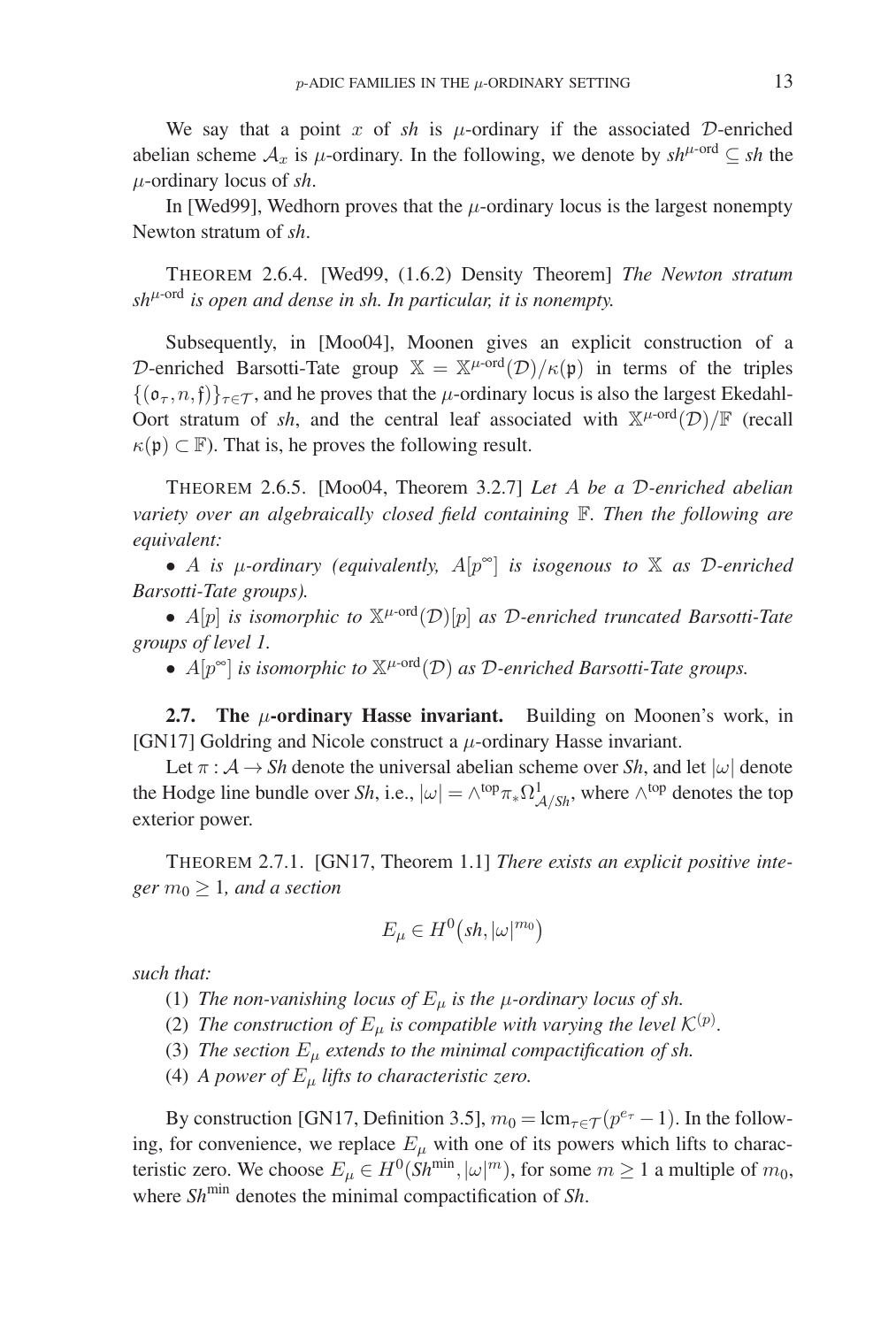We say that a point x of  $sh$  is  $\mu$ -ordinary if the associated D-enriched abelian scheme  $A_x$  is  $\mu$ -ordinary. In the following, we denote by  $sh^{\mu\text{-ord}} \subseteq sh$  the μ-ordinary locus of *sh*.

In [Wed99], Wedhorn proves that the  $\mu$ -ordinary locus is the largest nonempty Newton stratum of *sh*.

THEOREM 2.6.4. [Wed99, (1.6.2) Density Theorem] *The Newton stratum*  $sh^{\mu\text{-ord}}$  *is open and dense in sh. In particular, it is nonempty.* 

Subsequently, in [Moo04], Moonen gives an explicit construction of a D-enriched Barsotti-Tate group  $\mathbb{X} = \mathbb{X}^{\mu \text{-ord}}(\mathcal{D})/\kappa(\mathfrak{p})$  in terms of the triples  $\{(\mathfrak{o}_{\tau}, n, \mathfrak{f})\}_{\tau \in \mathcal{T}}$ , and he proves that the *μ*-ordinary locus is also the largest Ekedahl-Oort stratum of *sh*, and the central leaf associated with  $X^{\mu\text{-ord}}(\mathcal{D})/F$  (recall  $\kappa(\mathfrak{p}) \subset \mathbb{F}$ ). That is, he proves the following result.

THEOREM 2.6.5. [Moo04, Theorem 3.2.7] *Let* A *be a* D*-enriched abelian variety over an algebraically closed field containing* F*. Then the following are equivalent:*

• A *is* μ*-ordinary (equivalently,* A[p∞] *is isogenous to* X *as* D*-enriched Barsotti-Tate groups).*

•  $A[p]$  *is isomorphic to*  $\mathbb{X}^{\mu\text{-ord}}(\mathcal{D})[p]$  *as D*-enriched truncated Barsotti-Tate *groups of level 1.*

•  $A[p^{\infty}]$  *is isomorphic to*  $\mathbb{X}^{\mu\text{-ord}}(\mathcal{D})$  *as*  $\mathcal{D}\text{-enriched Barsotti-Tate groups.$ 

**2.7. The** μ**-ordinary Hasse invariant.** Building on Moonen's work, in [GN17] Goldring and Nicole construct a  $\mu$ -ordinary Hasse invariant.

Let  $\pi : A \to Sh$  denote the universal abelian scheme over *Sh*, and let  $|\omega|$  denote the Hodge line bundle over *Sh*, i.e.,  $|\omega| = \wedge^{top} \pi_* \Omega^1_{A/Sh}$ , where  $\wedge^{top}$  denotes the top exterior power.

THEOREM 2.7.1. [GN17, Theorem 1.1] *There exists an explicit positive integer*  $m_0 \geq 1$ *, and a section* 

$$
E_{\mu} \in H^0\big(sh, |\omega|^{m_0}\big)
$$

*such that:*

- (1) *The non-vanishing locus of*  $E_{\mu}$  *is the*  $\mu$ *-ordinary locus of sh.*
- (2) The construction of  $E_{\mu}$  is compatible with varying the level  $\mathcal{K}^{(p)}$ .
- (3) *The section*  $E_{\mu}$  *extends to the minimal compactification of sh.*
- (4) *A power of*  $E_{\mu}$  *lifts to characteristic zero.*

By construction [GN17, Definition 3.5],  $m_0 = \text{lcm}_{\tau \in \mathcal{T}} (p^{e_{\tau}} - 1)$ . In the following, for convenience, we replace  $E_{\mu}$  with one of its powers which lifts to characteristic zero. We choose  $E_{\mu} \in H^0(Sh^{\text{min}}, |\omega|^m)$ , for some  $m \ge 1$  a multiple of  $m_0$ , where *Sh*<sup>min</sup> denotes the minimal compactification of *Sh*.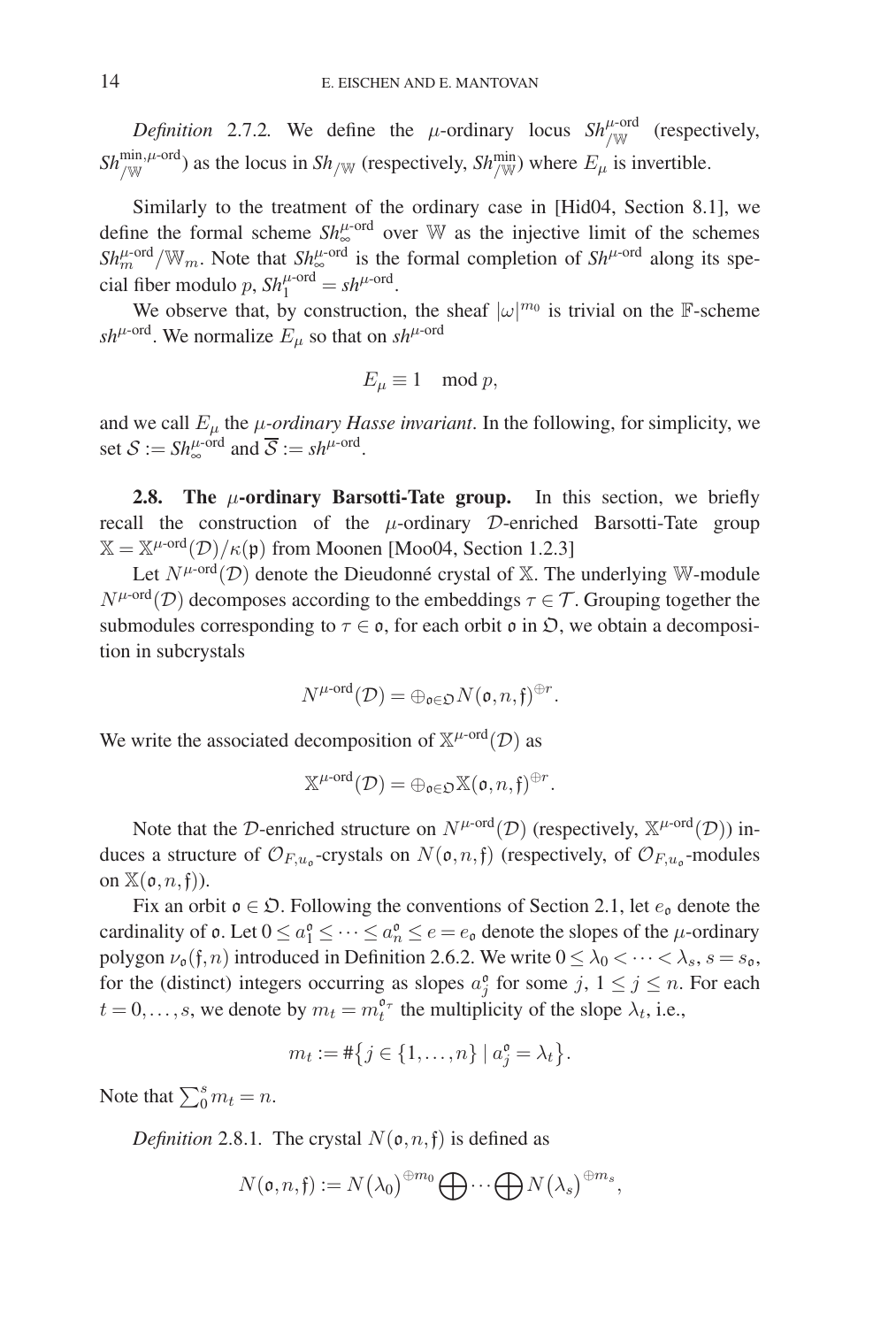*Definition* 2.7.2. We define the  $\mu$ -ordinary locus  $Sh_{/\mathbb{W}}^{\mu\text{-ord}}$  (respectively,  $Sh_{/\mathbb{W}}^{\min,\mu\text{-ord}}$ ) as the locus in  $Sh_{/\mathbb{W}}$  (respectively,  $Sh_{/\mathbb{W}}^{\min}$ ) where  $E_{\mu}$  is invertible.

Similarly to the treatment of the ordinary case in [Hid04, Section 8.1], we define the formal scheme  $Sh_{\infty}^{\mu\text{-ord}}$  over W as the injective limit of the schemes  $Sh_m^{\mu\text{-ord}}/\mathbb{W}_m$ . Note that  $Sh_\infty^{\mu\text{-ord}}$  is the formal completion of  $Sh^{\mu\text{-ord}}$  along its special fiber modulo p,  $\mathit{Sh}_1^{\mu\text{-ord}} = \mathit{sh}^{\mu\text{-ord}}$ .

We observe that, by construction, the sheaf  $|\omega|^{m_0}$  is trivial on the F-scheme  $sh^{\mu\text{-ord}}$ . We normalize  $E_{\mu}$  so that on  $sh^{\mu\text{-ord}}$ 

$$
E_{\mu} \equiv 1 \mod p,
$$

and we call  $E_{\mu}$  the *μ-ordinary Hasse invariant*. In the following, for simplicity, we set  $S := Sh_{\infty}^{\mu\text{-ord}}$  and  $\overline{S} := sh^{\mu\text{-ord}}$ .

**2.8.** The  $\mu$ -ordinary Barsotti-Tate group. In this section, we briefly recall the construction of the  $\mu$ -ordinary D-enriched Barsotti-Tate group  $\mathbb{X} = \mathbb{X}^{\mu \cdot \text{ord}}(\mathcal{D})/\kappa(\mathfrak{p})$  from Moonen [Moo04, Section 1.2.3]

Let  $N^{\mu\text{-ord}}(\mathcal{D})$  denote the Dieudonné crystal of X. The underlying W-module  $N^{\mu\text{-ord}}(\mathcal{D})$  decomposes according to the embeddings  $\tau \in \mathcal{T}$ . Grouping together the submodules corresponding to  $\tau \in \mathfrak{o}$ , for each orbit  $\mathfrak{o}$  in  $\mathfrak{D}$ , we obtain a decomposition in subcrystals

$$
N^{\mu\text{-}\mathrm{ord}}(\mathcal{D})=\oplus_{\mathfrak{o}\in \mathfrak{O}}N(\mathfrak{o},n,\mathfrak{f})^{\oplus r}.
$$

We write the associated decomposition of  $\mathbb{X}^{\mu\text{-ord}}(\mathcal{D})$  as

$$
\mathbb{X}^{\mu\text{-}\mathrm{ord}}(\mathcal{D})=\oplus_{\mathfrak{o}\in\mathfrak{O}}\mathbb{X}(\mathfrak{o},n,\mathfrak{f})^{\oplus r}.
$$

Note that the D-enriched structure on  $N^{\mu\text{-ord}}(\mathcal{D})$  (respectively,  $\mathbb{X}^{\mu\text{-ord}}(\mathcal{D})$ ) induces a structure of  $\mathcal{O}_{F,u_0}$ -crystals on  $N(\mathfrak{o}, n, \mathfrak{f})$  (respectively, of  $\mathcal{O}_{F,u_0}$ -modules on  $\mathbb{X}(\mathfrak{o}, n, \mathfrak{f})$ ).

Fix an orbit  $\mathfrak{o} \in \mathfrak{D}$ . Following the conventions of Section 2.1, let  $e_{\mathfrak{o}}$  denote the cardinality of  $\mathfrak{o}$ . Let  $0 \le a_1^{\mathfrak{o}} \le \cdots \le a_n^{\mathfrak{o}} \le e = e_{\mathfrak{o}}$  denote the slopes of the  $\mu$ -ordinary polygon  $\nu_{\mathfrak{o}}(\mathfrak{f},n)$  introduced in Definition 2.6.2. We write  $0 \leq \lambda_0 < \cdots < \lambda_s$ ,  $s = s_{\mathfrak{o}}$ , for the (distinct) integers occurring as slopes  $a_j^{\circ}$  for some j,  $1 \le j \le n$ . For each  $t = 0, \ldots, s$ , we denote by  $m_t = m_t^{\mathfrak{d}_{\tau}}$  the multiplicity of the slope  $\lambda_t$ , i.e.,

$$
m_t := #\{j \in \{1, \ldots, n\} \mid a_j^{\mathfrak{o}} = \lambda_t\}.
$$

Note that  $\sum_{0}^{s} m_t = n$ .

*Definition* 2.8.1. The crystal  $N(\mathfrak{o}, n, \mathfrak{f})$  is defined as

$$
N(\mathfrak{o}, n, \mathfrak{f}) := N(\lambda_0)^{\oplus m_0} \bigoplus \cdots \bigoplus N(\lambda_s)^{\oplus m_s},
$$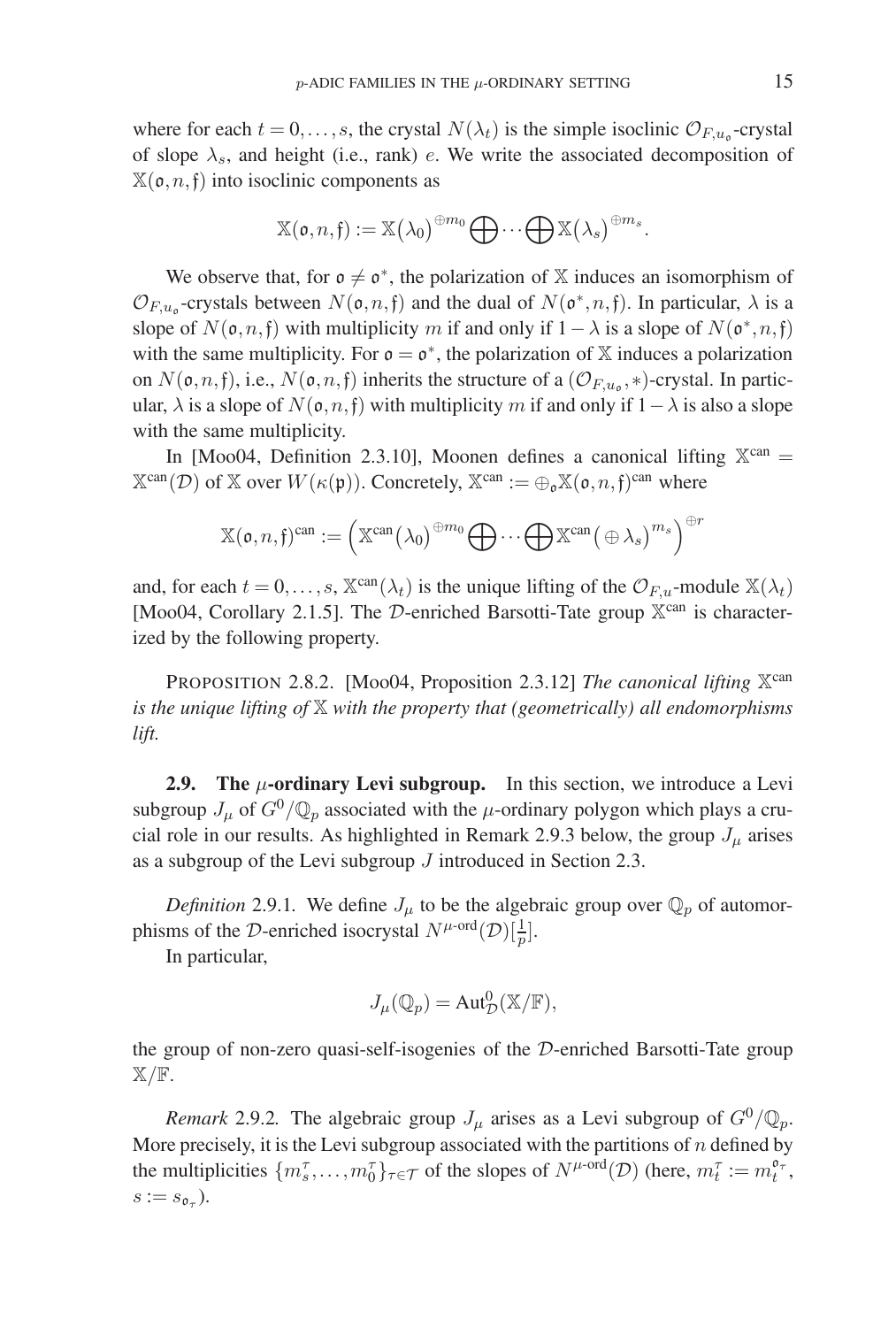where for each  $t = 0, \ldots, s$ , the crystal  $N(\lambda_t)$  is the simple isoclinic  $\mathcal{O}_{F,u_0}$ -crystal of slope  $\lambda_s$ , and height (i.e., rank) e. We write the associated decomposition of  $X(\mathfrak{o}, n, \mathfrak{f})$  into isoclinic components as

$$
\mathbb{X}(\mathfrak{o}, n, \mathfrak{f}) := \mathbb{X}(\lambda_0)^{\oplus m_0} \bigoplus \cdots \bigoplus \mathbb{X}(\lambda_s)^{\oplus m_s}.
$$

We observe that, for  $\varphi \neq \varphi^*$ , the polarization of X induces an isomorphism of  $\mathcal{O}_{F,u_0}$ -crystals between  $N(\mathfrak{o}, n, \mathfrak{f})$  and the dual of  $N(\mathfrak{o}^*, n, \mathfrak{f})$ . In particular,  $\lambda$  is a slope of  $N(\mathfrak{o}, n, \mathfrak{f})$  with multiplicity m if and only if  $1-\lambda$  is a slope of  $N(\mathfrak{o}^*, n, \mathfrak{f})$ with the same multiplicity. For  $\mathfrak{o} = \mathfrak{o}^*$ , the polarization of X induces a polarization on  $N(\mathfrak{o}, n, \mathfrak{f})$ , i.e.,  $N(\mathfrak{o}, n, \mathfrak{f})$  inherits the structure of a  $(\mathcal{O}_{F,u_0}, *)$ -crystal. In particular,  $\lambda$  is a slope of  $N(\mathfrak{o},n,\mathfrak{f})$  with multiplicity m if and only if  $1-\lambda$  is also a slope with the same multiplicity.

In [Moo04, Definition 2.3.10], Moonen defines a canonical lifting  $\mathbb{X}^{\text{can}} =$  $\mathbb{X}^{\text{can}}(\mathcal{D})$  of  $\mathbb X$  over  $W(\kappa(\mathfrak{p}))$ . Concretely,  $\mathbb{X}^{\text{can}} := \bigoplus_{\mathfrak{d}} \mathbb{X}(\mathfrak{o}, n, \mathfrak{f})^{\text{can}}$  where

$$
\mathbb{X}(\mathfrak{o}, n, \mathfrak{f})^{\mathrm{can}} := \left( \mathbb{X}^{\mathrm{can}}(\lambda_0)^{\oplus m_0} \bigoplus \cdots \bigoplus \mathbb{X}^{\mathrm{can}} \big( \oplus \lambda_s \big)^{m_s} \right)^{\oplus r}
$$

and, for each  $t = 0, \ldots, s$ ,  $\mathbb{X}^{\text{can}}(\lambda_t)$  is the unique lifting of the  $\mathcal{O}_{F,u}$ -module  $\mathbb{X}(\lambda_t)$ [Moo04, Corollary 2.1.5]. The D-enriched Barsotti-Tate group  $\mathbb{X}^{\text{can}}$  is characterized by the following property.

PROPOSITION 2.8.2. [Moo04, Proposition 2.3.12] *The canonical lifting*  $X^{can}$ *is the unique lifting of* X *with the property that (geometrically) all endomorphisms lift.*

**2.9.** The  $\mu$ -ordinary Levi subgroup. In this section, we introduce a Levi subgroup  $J_\mu$  of  $G^0/{\mathbb Q}_p$  associated with the  $\mu$ -ordinary polygon which plays a crucial role in our results. As highlighted in Remark 2.9.3 below, the group  $J_{\mu}$  arises as a subgroup of the Levi subgroup  $J$  introduced in Section 2.3.

*Definition* 2.9.1. We define  $J_\mu$  to be the algebraic group over  $\mathbb{Q}_p$  of automorphisms of the D-enriched isocrystal  $N^{\mu\text{-ord}}(\mathcal{D})[\frac{1}{p}].$ 

In particular,

$$
J_{\mu}(\mathbb{Q}_p) = \mathrm{Aut}_{\mathcal{D}}^0(\mathbb{X}/\mathbb{F}),
$$

the group of non-zero quasi-self-isogenies of the D-enriched Barsotti-Tate group  $X/F.$ 

*Remark* 2.9.2. The algebraic group  $J_\mu$  arises as a Levi subgroup of  $G^0/\mathbb{Q}_p$ . More precisely, it is the Levi subgroup associated with the partitions of  $n$  defined by the multiplicities  $\{m_s^{\tau}, \ldots, m_0^{\tau}\}_{\tau \in \mathcal{T}}$  of the slopes of  $N^{\mu \text{-ord}}(\mathcal{D})$  (here,  $m_t^{\tau} := m_t^{\mathfrak{o}_{\tau}},$  $s := s_{\mathfrak{o}_\tau}$ ).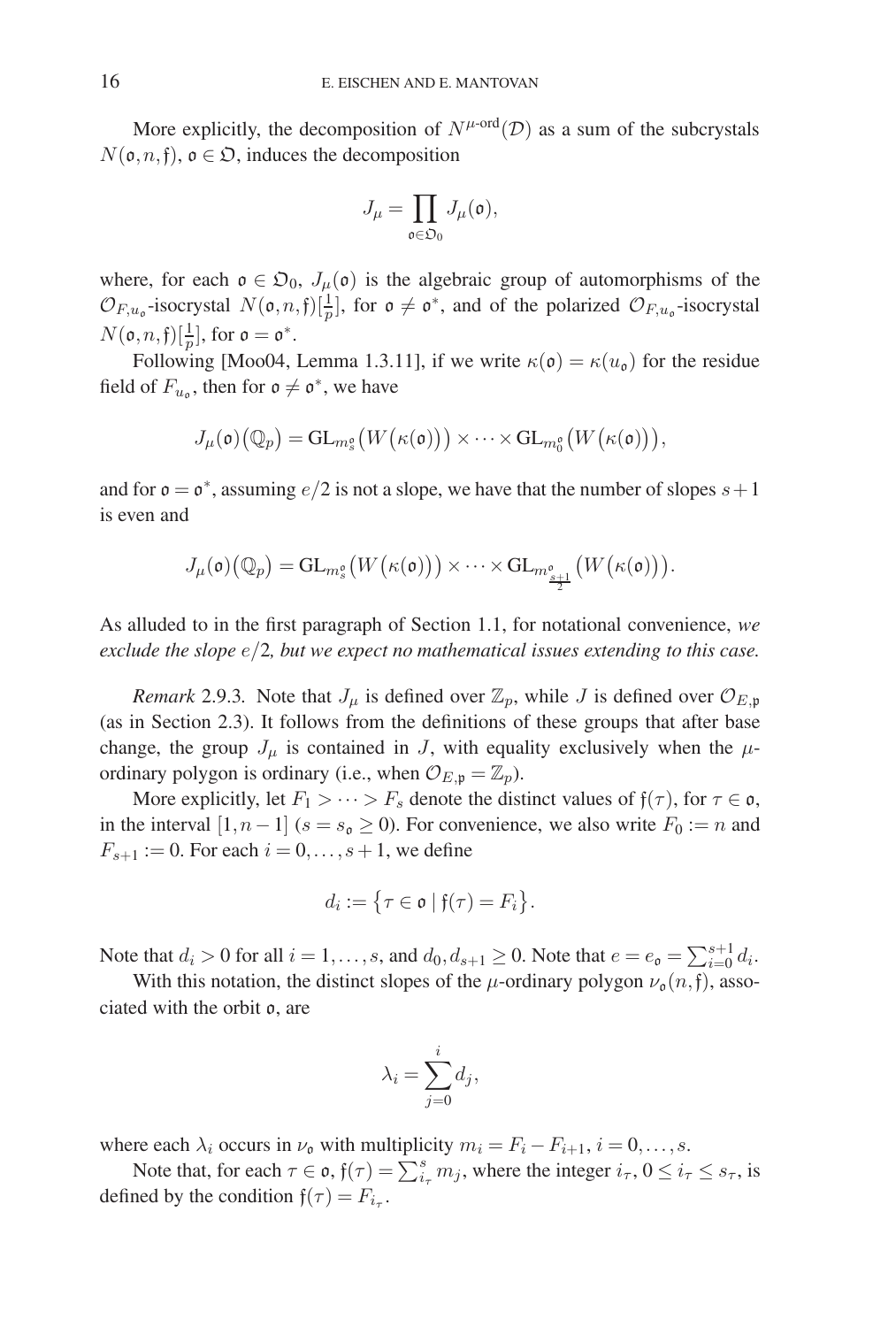More explicitly, the decomposition of  $N^{\mu\text{-ord}}(\mathcal{D})$  as a sum of the subcrystals  $N(\mathfrak{o}, n, \mathfrak{f}), \mathfrak{o} \in \mathfrak{O}$ , induces the decomposition

$$
J_\mu = \prod_{{\mathfrak{o}} \in {\mathfrak{O}}_0} J_\mu({\mathfrak{o}}),
$$

where, for each  $o \in \mathfrak{O}_0$ ,  $J_\mu(o)$  is the algebraic group of automorphisms of the  $\mathcal{O}_{F,u_0}$ -isocrystal  $N(\mathfrak{o}, n, \mathfrak{f})[\frac{1}{p}]$ , for  $\mathfrak{o} \neq \mathfrak{o}^*$ , and of the polarized  $\mathcal{O}_{F,u_0}$ -isocrystal  $N(\mathfrak{o}, n, \mathfrak{f})[\frac{1}{p}],$  for  $\mathfrak{o} = \mathfrak{o}^{*}.$ 

Following [Moo04, Lemma 1.3.11], if we write  $\kappa(\mathfrak{o}) = \kappa(u_{\mathfrak{o}})$  for the residue field of  $F_{u_{\alpha}}$ , then for  $\mathfrak{o} \neq \mathfrak{o}^*$ , we have

$$
J_{\mu}(\mathfrak{o})\big(\mathbb{Q}_p\big) = \operatorname{GL}_{m_s^{\mathfrak{o}}}\big(W\big(\kappa(\mathfrak{o})\big)\big) \times \cdots \times \operatorname{GL}_{m_0^{\mathfrak{o}}}\big(W\big(\kappa(\mathfrak{o})\big)\big),
$$

and for  $\mathfrak{o} = \mathfrak{o}^*$ , assuming  $e/2$  is not a slope, we have that the number of slopes  $s+1$ is even and

$$
J_{\mu}(\mathfrak{o})\big(\mathbb{Q}_p\big) = \mathrm{GL}_{m_s^{\mathfrak{o}}}\big(W\big(\kappa(\mathfrak{o})\big)\big) \times \cdots \times \mathrm{GL}_{m_{\frac{s+1}{2}}^{\mathfrak{o}}}\big(W\big(\kappa(\mathfrak{o})\big)\big).
$$

As alluded to in the first paragraph of Section 1.1, for notational convenience, *we exclude the slope* e/2*, but we expect no mathematical issues extending to this case.*

*Remark* 2.9.3. Note that  $J_\mu$  is defined over  $\mathbb{Z}_p$ , while J is defined over  $\mathcal{O}_{E,\mathfrak{p}}$ (as in Section 2.3). It follows from the definitions of these groups that after base change, the group  $J_{\mu}$  is contained in J, with equality exclusively when the  $\mu$ ordinary polygon is ordinary (i.e., when  $\mathcal{O}_{E, \mathfrak{p}} = \mathbb{Z}_p$ ).

More explicitly, let  $F_1 > \cdots > F_s$  denote the distinct values of  $f(\tau)$ , for  $\tau \in \mathfrak{o}$ , in the interval  $[1, n-1]$  ( $s = s_0 \ge 0$ ). For convenience, we also write  $F_0 := n$  and  $F_{s+1} := 0$ . For each  $i = 0, ..., s+1$ , we define

$$
d_i := \{ \tau \in \mathfrak{o} \mid \mathfrak{f}(\tau) = F_i \}.
$$

Note that  $d_i > 0$  for all  $i = 1, \ldots, s$ , and  $d_0, d_{s+1} \ge 0$ . Note that  $e = e_0 = \sum_{i=0}^{s+1} d_i$ .

With this notation, the distinct slopes of the  $\mu$ -ordinary polygon  $\nu_{\mathfrak{o}}(n,\mathfrak{f})$ , associated with the orbit o, are

$$
\lambda_i = \sum_{j=0}^i d_j,
$$

where each  $\lambda_i$  occurs in  $\nu_0$  with multiplicity  $m_i = F_i - F_{i+1}, i = 0, \ldots, s$ .

Note that, for each  $\tau \in \mathfrak{o}$ ,  $\mathfrak{f}(\tau) = \sum_{i_{\tau}}^{s} m_{j}$ , where the integer  $i_{\tau}$ ,  $0 \le i_{\tau} \le s_{\tau}$ , is defined by the condition  $f(\tau) = F_{i_{\tau}}$ .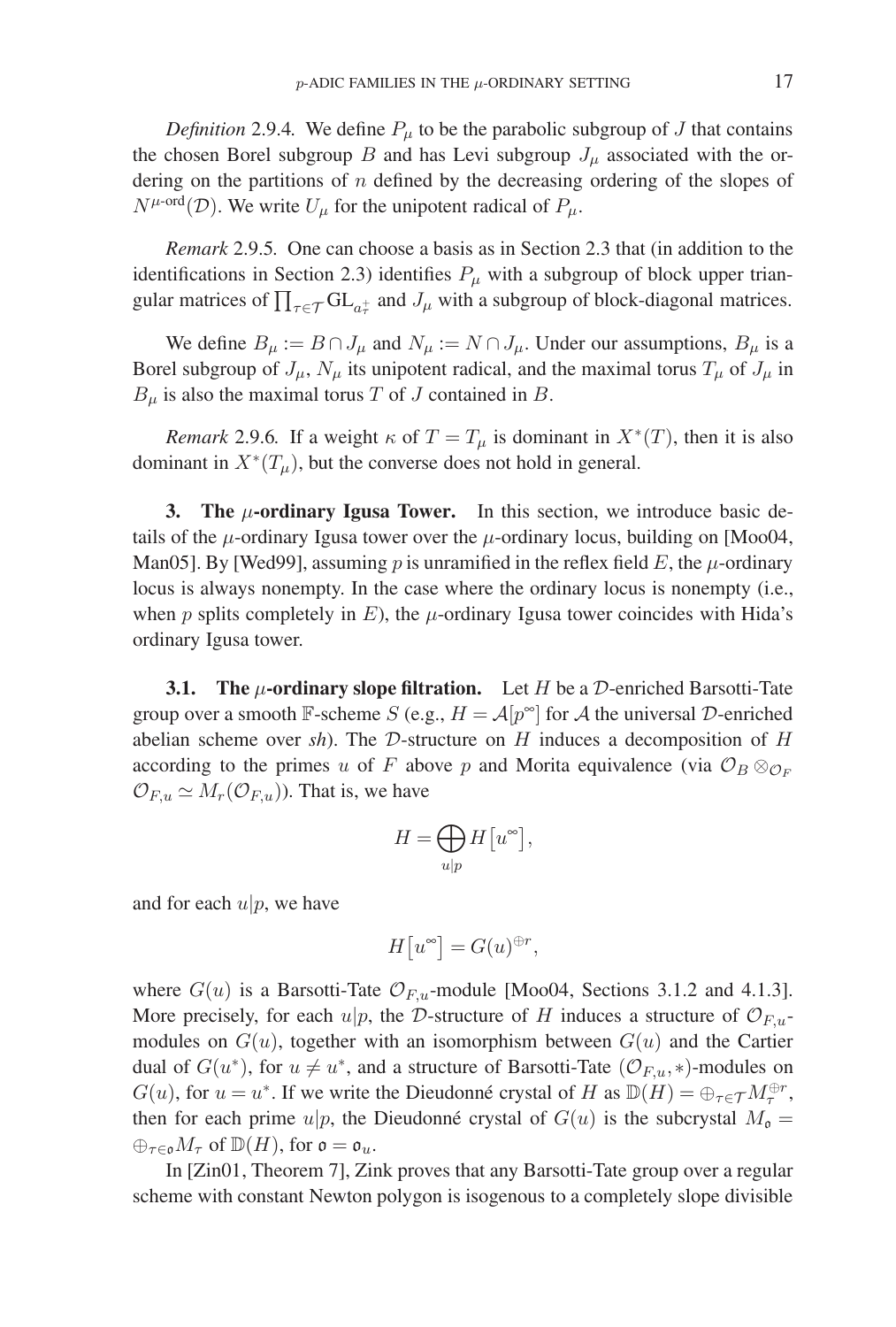*Definition* 2.9.4. We define  $P_{\mu}$  to be the parabolic subgroup of J that contains the chosen Borel subgroup B and has Levi subgroup  $J_{\mu}$  associated with the ordering on the partitions of  $n$  defined by the decreasing ordering of the slopes of  $N^{\mu\text{-ord}}(\mathcal{D})$ . We write  $U_{\mu}$  for the unipotent radical of  $P_{\mu}$ .

*Remark* 2.9.5*.* One can choose a basis as in Section 2.3 that (in addition to the identifications in Section 2.3) identifies  $P_{\mu}$  with a subgroup of block upper triangular matrices of  $\prod_{\tau \in \mathcal{T}} GL_{a_{\tau}^+}$  and  $J_{\mu}$  with a subgroup of block-diagonal matrices.

We define  $B_\mu := B \cap J_\mu$  and  $N_\mu := N \cap J_\mu$ . Under our assumptions,  $B_\mu$  is a Borel subgroup of  $J_{\mu}$ ,  $N_{\mu}$  its unipotent radical, and the maximal torus  $T_{\mu}$  of  $J_{\mu}$  in  $B_{\mu}$  is also the maximal torus T of J contained in B.

*Remark* 2.9.6. If a weight  $\kappa$  of  $T = T_\mu$  is dominant in  $X^*(T)$ , then it is also dominant in  $X^*(T_\mu)$ , but the converse does not hold in general.

**3. The** μ**-ordinary Igusa Tower.** In this section, we introduce basic details of the  $\mu$ -ordinary Igusa tower over the  $\mu$ -ordinary locus, building on [Moo04, Man05]. By [Wed99], assuming p is unramified in the reflex field E, the  $\mu$ -ordinary locus is always nonempty. In the case where the ordinary locus is nonempty (i.e., when p splits completely in E), the  $\mu$ -ordinary Igusa tower coincides with Hida's ordinary Igusa tower.

**3.1. The** μ**-ordinary slope filtration.** Let H be a D-enriched Barsotti-Tate group over a smooth F-scheme S (e.g.,  $H = A[p^{\infty}]$  for A the universal D-enriched abelian scheme over *sh*). The D-structure on H induces a decomposition of H according to the primes u of F above p and Morita equivalence (via  $\mathcal{O}_B \otimes_{\mathcal{O}_F}$  $\mathcal{O}_{F,u} \simeq M_r(\mathcal{O}_{F,u})$ ). That is, we have

$$
H = \bigoplus_{u|p} H\big[u^{\infty}\big],
$$

and for each  $u|p$ , we have

$$
H[u^{\infty}] = G(u)^{\oplus r},
$$

where  $G(u)$  is a Barsotti-Tate  $\mathcal{O}_{F,u}$ -module [Moo04, Sections 3.1.2 and 4.1.3]. More precisely, for each  $u|p$ , the D-structure of H induces a structure of  $\mathcal{O}_{F,u}$ . modules on  $G(u)$ , together with an isomorphism between  $G(u)$  and the Cartier dual of  $G(u^*)$ , for  $u \neq u^*$ , and a structure of Barsotti-Tate  $(\mathcal{O}_{F,u},*)$ -modules on  $G(u)$ , for  $u = u^*$ . If we write the Dieudonné crystal of H as  $\mathbb{D}(H) = \bigoplus_{\tau \in \mathcal{T}} M_{\tau}^{\oplus r}$ , then for each prime  $u|p$ , the Dieudonné crystal of  $G(u)$  is the subcrystal  $M_0 =$  $\bigoplus_{\tau \in \mathfrak{o}} M_{\tau}$  of  $\mathbb{D}(H)$ , for  $\mathfrak{o} = \mathfrak{o}_u$ .

In [Zin01, Theorem 7], Zink proves that any Barsotti-Tate group over a regular scheme with constant Newton polygon is isogenous to a completely slope divisible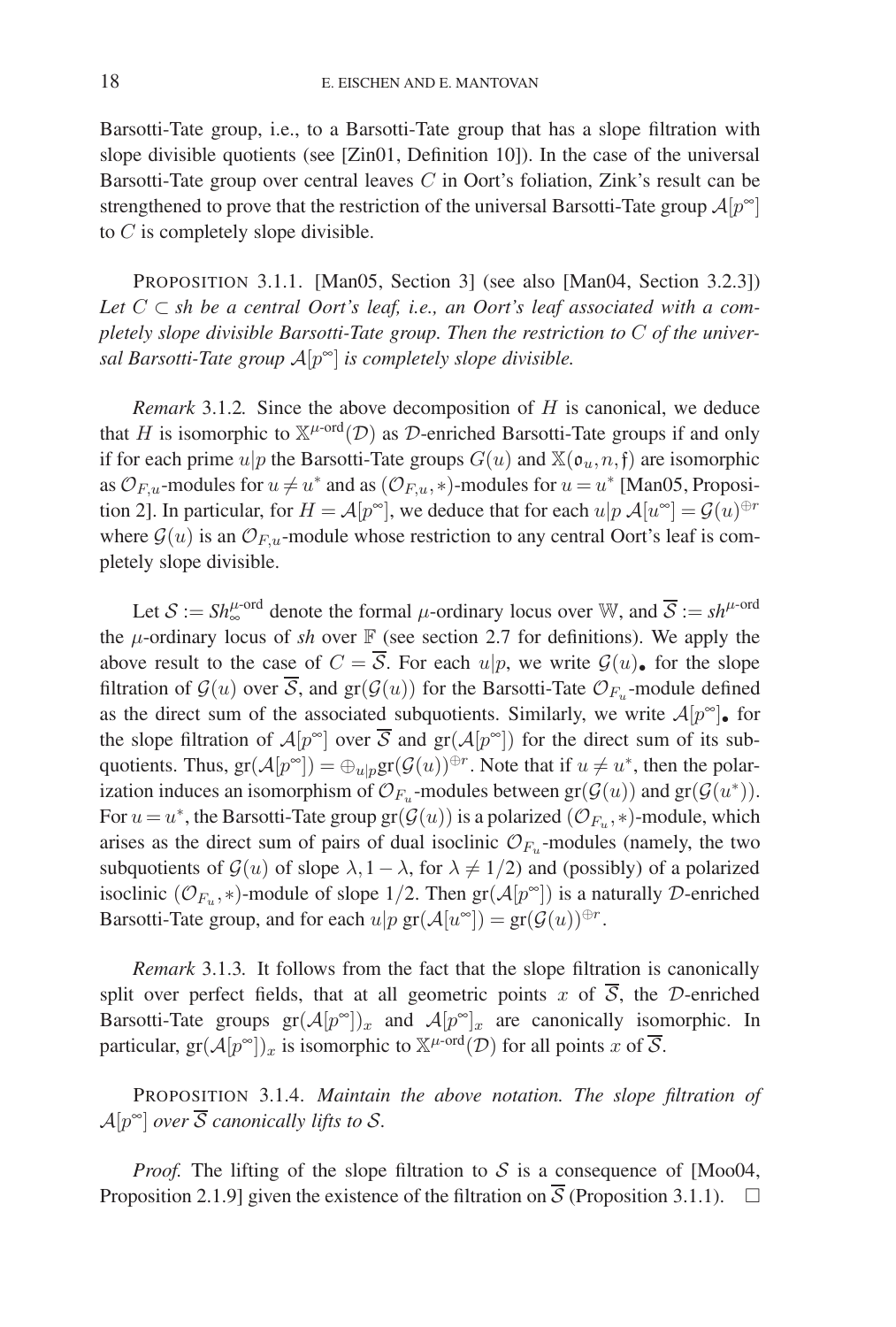Barsotti-Tate group, i.e., to a Barsotti-Tate group that has a slope filtration with slope divisible quotients (see [Zin01, Definition 10]). In the case of the universal Barsotti-Tate group over central leaves  $C$  in Oort's foliation, Zink's result can be strengthened to prove that the restriction of the universal Barsotti-Tate group  $\mathcal{A}[p^{\infty}]$ to  $C$  is completely slope divisible.

PROPOSITION 3.1.1. [Man05, Section 3] (see also [Man04, Section 3.2.3]) Let  $C \subset sh$  be a central Oort's leaf, i.e., an Oort's leaf associated with a com*pletely slope divisible Barsotti-Tate group. Then the restriction to* C *of the universal Barsotti-Tate group* A[p∞] *is completely slope divisible.*

*Remark* 3.1.2*.* Since the above decomposition of H is canonical, we deduce that H is isomorphic to  $\mathbb{X}^{\mu\text{-ord}}(\mathcal{D})$  as  $\mathcal D$ -enriched Barsotti-Tate groups if and only if for each prime  $u|p$  the Barsotti-Tate groups  $G(u)$  and  $\mathbb{X}(\mathfrak{o}_u,n,\mathfrak{f})$  are isomorphic as  $\mathcal{O}_{F,u}$ -modules for  $u \neq u^*$  and as  $(\mathcal{O}_{F,u},*)$ -modules for  $u = u^*$  [Man05, Proposition 2]. In particular, for  $H = \mathcal{A}[p^{\infty}]$ , we deduce that for each  $u|p \mathcal{A}[u^{\infty}] = \mathcal{G}(u)^{\oplus r}$ where  $\mathcal{G}(u)$  is an  $\mathcal{O}_{F,u}$ -module whose restriction to any central Oort's leaf is completely slope divisible.

Let  $S := Sh_{\infty}^{\mu\text{-ord}}$  denote the formal  $\mu$ -ordinary locus over W, and  $\overline{S} := sh^{\mu\text{-ord}}$ the  $\mu$ -ordinary locus of *sh* over  $\mathbb F$  (see section 2.7 for definitions). We apply the above result to the case of  $C = \overline{S}$ . For each  $u|p$ , we write  $\mathcal{G}(u)$ , for the slope filtration of  $\mathcal{G}(u)$  over  $\overline{\mathcal{S}}$ , and  $gr(\mathcal{G}(u))$  for the Barsotti-Tate  $\mathcal{O}_{F_u}$ -module defined as the direct sum of the associated subquotients. Similarly, we write  $A[p^{\infty}]$  for the slope filtration of  $\mathcal{A}[p^{\infty}]$  over  $\overline{\mathcal{S}}$  and  $gr(\mathcal{A}[p^{\infty}])$  for the direct sum of its subquotients. Thus,  $gr(A[p^{\infty}]) = \bigoplus_{u|p} gr(\mathcal{G}(u))^{\oplus r}$ . Note that if  $u \neq u^*$ , then the polarization induces an isomorphism of  $\mathcal{O}_{F_u}$ -modules between  $gr(\mathcal{G}(u))$  and  $gr(\mathcal{G}(u^*))$ . For  $u = u^*$ , the Barsotti-Tate group gr $(\mathcal{G}(u))$  is a polarized  $(\mathcal{O}_{F_u}, *)$ -module, which arises as the direct sum of pairs of dual isoclinic  $\mathcal{O}_{F_u}$ -modules (namely, the two subquotients of  $\mathcal{G}(u)$  of slope  $\lambda$ , 1 –  $\lambda$ , for  $\lambda \neq 1/2$ ) and (possibly) of a polarized isoclinic ( $\mathcal{O}_{F_u}$ , \*)-module of slope 1/2. Then  $gr(\mathcal{A}[p^{\infty}])$  is a naturally D-enriched Barsotti-Tate group, and for each  $u|p \operatorname{gr}(\mathcal{A}[u^\infty]) = \operatorname{gr}(\mathcal{G}(u))^{\oplus r}$ .

*Remark* 3.1.3*.* It follows from the fact that the slope filtration is canonically split over perfect fields, that at all geometric points x of  $\overline{S}$ , the D-enriched Barsotti-Tate groups  $gr(A[p^{\infty}])_x$  and  $A[p^{\infty}]_x$  are canonically isomorphic. In particular,  $gr(A[p^{\infty}])_x$  is isomorphic to  $\mathbb{X}^{\mu\text{-ord}}(\mathcal{D})$  for all points x of  $\overline{\mathcal{S}}$ .

PROPOSITION 3.1.4. *Maintain the above notation. The slope filtration of*  $\mathcal{A}[p^{\infty}]$  *over*  $\overline{\mathcal{S}}$  *canonically lifts to S.* 

*Proof.* The lifting of the slope filtration to S is a consequence of [Moo04, Proposition 2.1.9] given the existence of the filtration on  $\overline{S}$  (Proposition 3.1.1).  $\Box$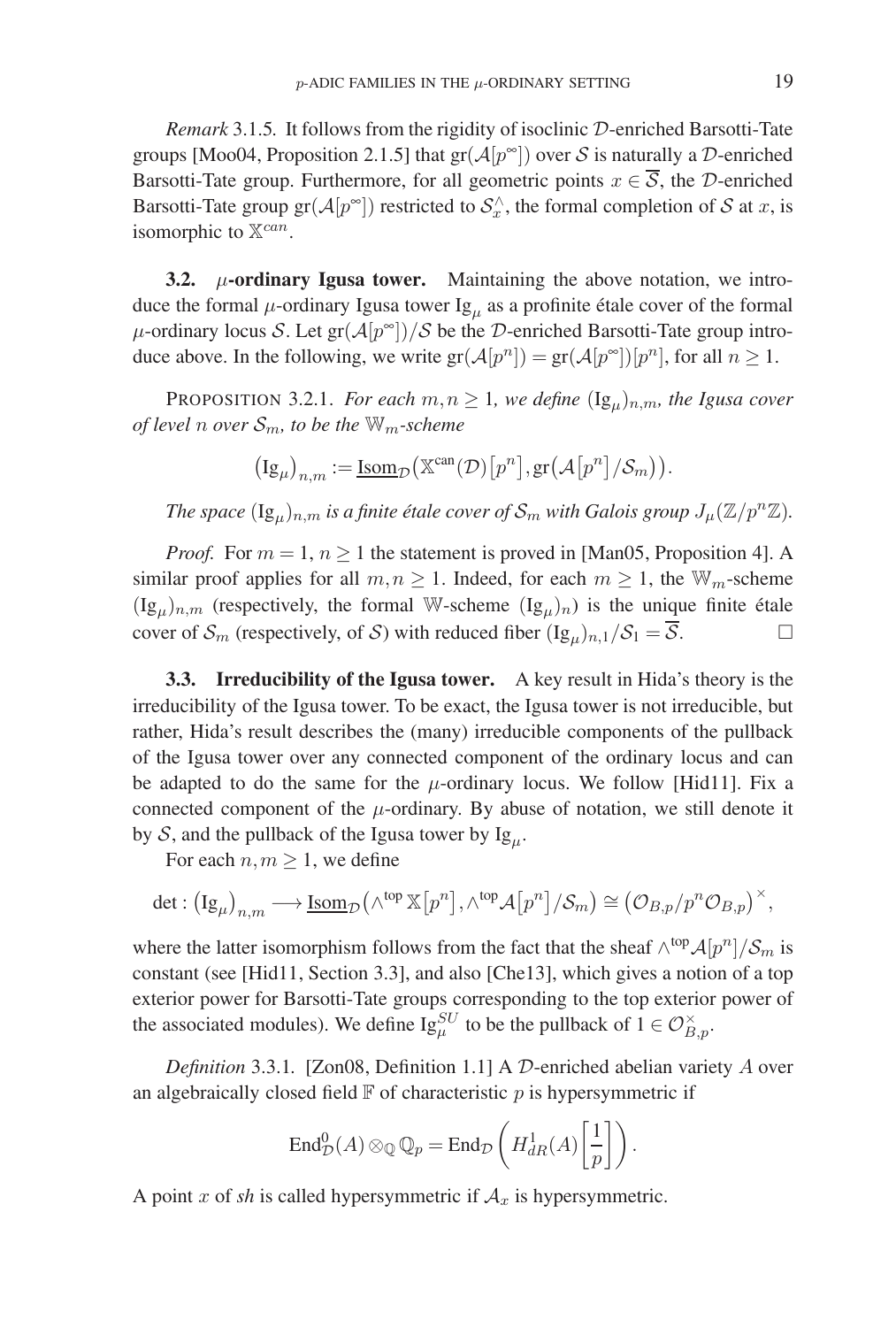*Remark* 3.1.5*.* It follows from the rigidity of isoclinic D-enriched Barsotti-Tate groups [Moo04, Proposition 2.1.5] that  $gr(A[p^{\infty}])$  over S is naturally a D-enriched Barsotti-Tate group. Furthermore, for all geometric points  $x \in \overline{S}$ , the D-enriched Barsotti-Tate group  $gr(A[p^{\infty}])$  restricted to  $S_x^{\wedge}$ , the formal completion of S at x, is isomorphic to  $\mathbb{X}^{can}$ .

**3.2.** μ**-ordinary Igusa tower.** Maintaining the above notation, we introduce the formal  $\mu$ -ordinary Igusa tower Ig<sub>u</sub> as a profinite étale cover of the formal  $\mu$ -ordinary locus S. Let gr $(\mathcal{A}[p^{\infty}])/\mathcal{S}$  be the D-enriched Barsotti-Tate group introduce above. In the following, we write  $gr(A[p^n]) = gr(A[p^\infty])[p^n]$ , for all  $n \ge 1$ .

PROPOSITION 3.2.1. *For each*  $m, n \geq 1$ *, we define*  $(\lg_u)_{n,m}$ *, the Igusa cover of level n over*  $S_m$ *, to be the*  $W_m$ *-scheme* 

$$
\big(\mathrm{Ig}_{\mu}\big)_{n,m}:=\underline{\mathrm{Isom}}_{\mathcal{D}}\big(\mathbb{X}^{\mathrm{can}}(\mathcal{D})\big[p^n\big],\mathrm{gr}\big(\mathcal{A}\big[p^n\big]/\mathcal{S}_m\big)\big).
$$

*The space*  $(Ig_\mu)_{n,m}$  *is a finite étale cover of*  $S_m$  *with Galois group*  $J_\mu(\mathbb{Z}/p^n\mathbb{Z})$ *.* 

*Proof.* For  $m = 1$ ,  $n \ge 1$  the statement is proved in [Man05, Proposition 4]. A similar proof applies for all  $m, n \ge 1$ . Indeed, for each  $m \ge 1$ , the  $\mathbb{W}_m$ -scheme  $(Ig_{\mu})_{n,m}$  (respectively, the formal W-scheme  $(Ig_{\mu})_n$ ) is the unique finite étale cover of  $\mathcal{S}_m$  (respectively, of  $\mathcal{S}$ ) with reduced fiber  $(Ig_u)_{n,1}/\mathcal{S}_1 = \overline{\mathcal{S}}$ .

**3.3. Irreducibility of the Igusa tower.** A key result in Hida's theory is the irreducibility of the Igusa tower. To be exact, the Igusa tower is not irreducible, but rather, Hida's result describes the (many) irreducible components of the pullback of the Igusa tower over any connected component of the ordinary locus and can be adapted to do the same for the  $\mu$ -ordinary locus. We follow [Hid11]. Fix a connected component of the  $\mu$ -ordinary. By abuse of notation, we still denote it by S, and the pullback of the Igusa tower by  $Ig_{\mu}$ .

For each  $n, m \geq 1$ , we define

$$
\det : (\mathrm{Ig}_{\mu})_{n,m} \longrightarrow \underline{\mathrm{Isom}}_{\mathcal{D}}(\wedge^{\mathrm{top}} \mathbb{X}[p^n], \wedge^{\mathrm{top}} \mathcal{A}[p^n]/\mathcal{S}_m) \cong (\mathcal{O}_{B,p}/p^n \mathcal{O}_{B,p})^{\times},
$$

where the latter isomorphism follows from the fact that the sheaf  $\wedge^{top} \mathcal{A}[p^n]/\mathcal{S}_m$  is constant (see [Hid11, Section 3.3], and also [Che13], which gives a notion of a top exterior power for Barsotti-Tate groups corresponding to the top exterior power of the associated modules). We define  $Ig_{\mu}^{SU}$  to be the pullback of  $1 \in \mathcal{O}_{B,p}^{\times}$ .

*Definition* 3.3.1*.* [Zon08, Definition 1.1] A D-enriched abelian variety A over an algebraically closed field  $\mathbb F$  of characteristic p is hypersymmetric if

$$
\operatorname{End}^0_\mathcal{D}(A) \otimes_\mathbb{Q} \mathbb{Q}_p = \operatorname{End}_{\mathcal{D}}\left(H^1_{dR}(A)\left[\frac{1}{p}\right]\right).
$$

A point x of *sh* is called hypersymmetric if  $A_x$  is hypersymmetric.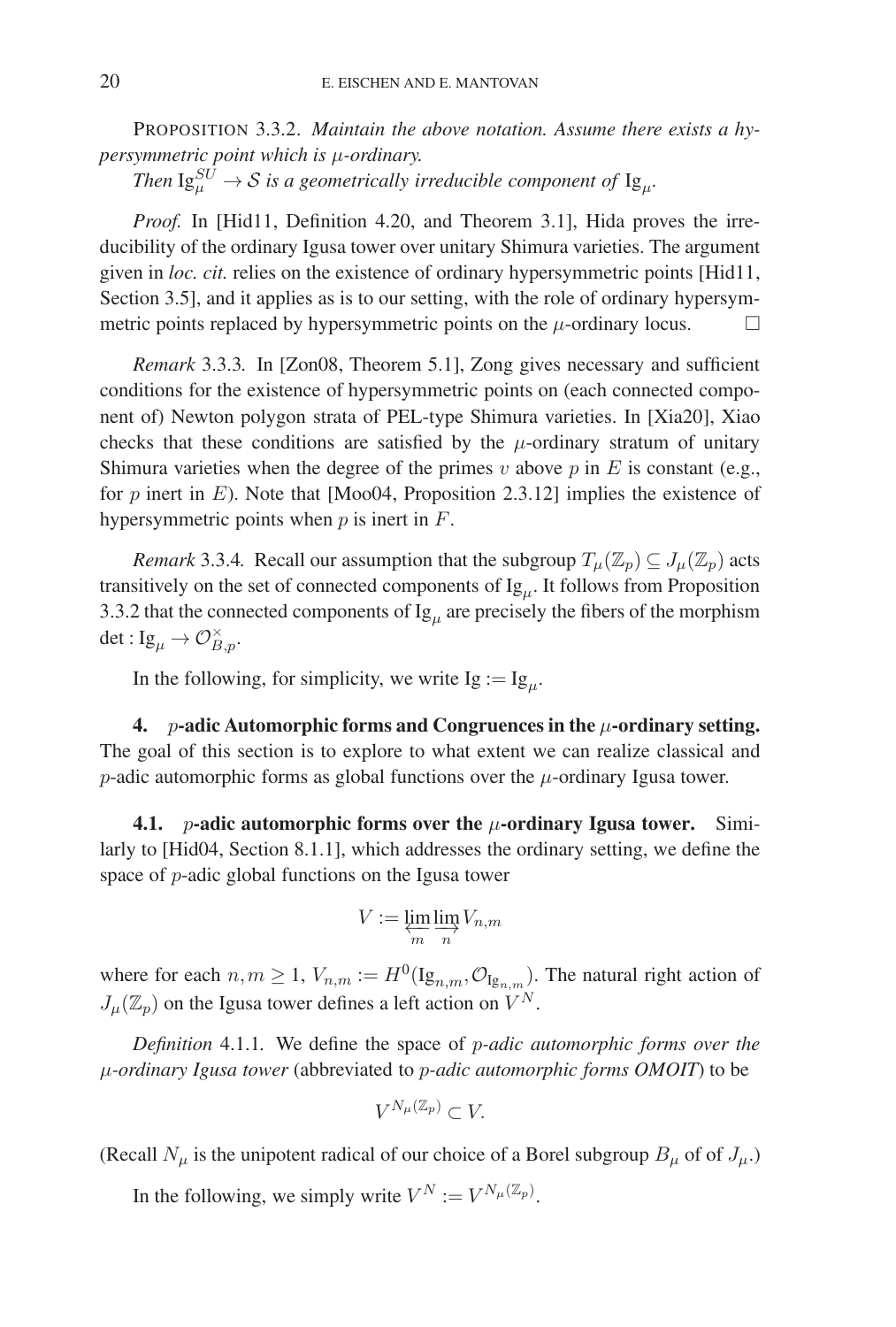PROPOSITION 3.3.2. *Maintain the above notation. Assume there exists a hypersymmetric point which is* μ*-ordinary.*

Then  $\mathrm{Ig}^{SU}_{\mu} \to \mathcal{S}$  is a geometrically irreducible component of  $\mathrm{Ig}_{\mu}$ .

*Proof.* In [Hid11, Definition 4.20, and Theorem 3.1], Hida proves the irreducibility of the ordinary Igusa tower over unitary Shimura varieties. The argument given in *loc. cit.* relies on the existence of ordinary hypersymmetric points [Hid11, Section 3.5], and it applies as is to our setting, with the role of ordinary hypersymmetric points replaced by hypersymmetric points on the  $\mu$ -ordinary locus.  $\Box$ 

*Remark* 3.3.3*.* In [Zon08, Theorem 5.1], Zong gives necessary and sufficient conditions for the existence of hypersymmetric points on (each connected component of) Newton polygon strata of PEL-type Shimura varieties. In [Xia20], Xiao checks that these conditions are satisfied by the  $\mu$ -ordinary stratum of unitary Shimura varieties when the degree of the primes  $v$  above  $p$  in  $E$  is constant (e.g., for p inert in E). Note that [Moo04, Proposition 2.3.12] implies the existence of hypersymmetric points when  $p$  is inert in  $F$ .

*Remark* 3.3.4. Recall our assumption that the subgroup  $T_\mu(\mathbb{Z}_p) \subseteq J_\mu(\mathbb{Z}_p)$  acts transitively on the set of connected components of  $Ig<sub>u</sub>$ . It follows from Proposition 3.3.2 that the connected components of  $Ig_\mu$  are precisely the fibers of the morphism det : Ig<sub>µ</sub>  $\rightarrow \mathcal{O}_{B,p}^{\times}$ .

In the following, for simplicity, we write  $Ig := Ig_u$ .

**4.** p**-adic Automorphic forms and Congruences in the** μ**-ordinary setting.** The goal of this section is to explore to what extent we can realize classical and p-adic automorphic forms as global functions over the  $\mu$ -ordinary Igusa tower.

**4.1.** p**-adic automorphic forms over the** μ**-ordinary Igusa tower.** Similarly to [Hid04, Section 8.1.1], which addresses the ordinary setting, we define the space of p-adic global functions on the Igusa tower

$$
V := \varprojlim_{m} \varinjlim_{n} V_{n,m}
$$

where for each  $n,m \geq 1$ ,  $V_{n,m} := H^0(Ig_{n,m}, \mathcal{O}_{Ig_{n,m}})$ . The natural right action of  $J_\mu(\mathbb{Z}_p)$  on the Igusa tower defines a left action on  $V^N$ .

*Definition* 4.1.1*.* We define the space of p*-adic automorphic forms over the* μ*-ordinary Igusa tower* (abbreviated to p*-adic automorphic forms OMOIT*) to be

$$
V^{N_{\mu}(\mathbb{Z}_p)} \subset V.
$$

(Recall  $N_{\mu}$  is the unipotent radical of our choice of a Borel subgroup  $B_{\mu}$  of of  $J_{\mu}$ .)

In the following, we simply write  $V^N := V^{N_\mu(\mathbb{Z}_p)}$ .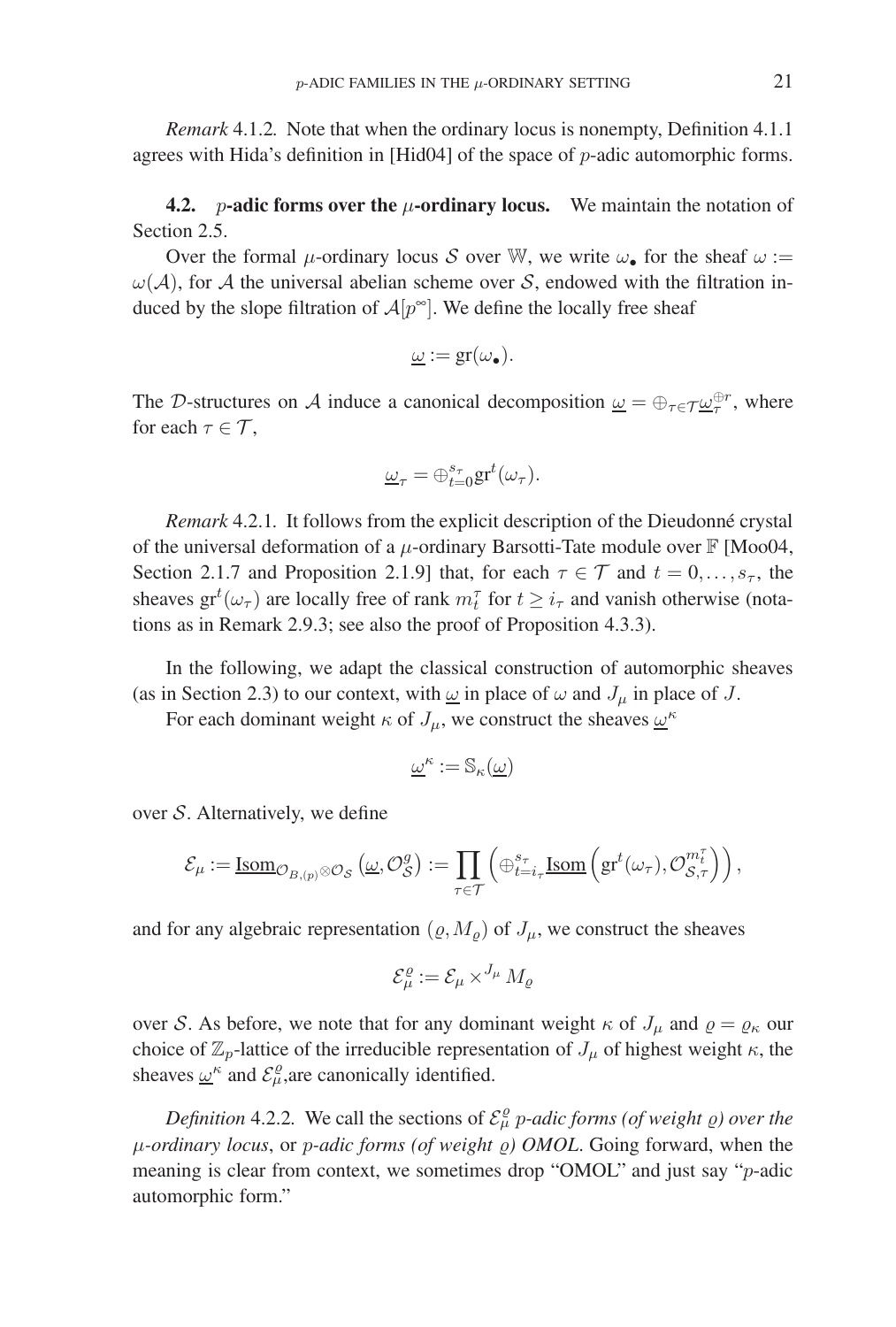*Remark* 4.1.2*.* Note that when the ordinary locus is nonempty, Definition 4.1.1 agrees with Hida's definition in [Hid04] of the space of p-adic automorphic forms.

**4.2.** *p*-adic forms over the  $\mu$ -ordinary locus. We maintain the notation of Section 2.5.

Over the formal  $\mu$ -ordinary locus S over W, we write  $\omega_{\bullet}$  for the sheaf  $\omega$  :=  $\omega(\mathcal{A})$ , for A the universal abelian scheme over S, endowed with the filtration induced by the slope filtration of  $A[p^{\infty}]$ . We define the locally free sheaf

$$
\underline{\omega} := \mathrm{gr}(\omega_{\bullet}).
$$

The D-structures on A induce a canonical decomposition  $\underline{\omega} = \bigoplus_{\tau \in \mathcal{T}} \underline{\omega}_{\tau}^{\oplus r}$ , where for each  $\tau \in \mathcal{T}$ ,

$$
\underline{\omega}_{\tau} = \oplus_{t=0}^{s_{\tau}} \mathrm{gr}^t(\omega_{\tau}).
$$

*Remark* 4.2.1. It follows from the explicit description of the Dieudonné crystal of the universal deformation of a  $\mu$ -ordinary Barsotti-Tate module over  $\mathbb{F}$  [Moo04, Section 2.1.7 and Proposition 2.1.9] that, for each  $\tau \in \mathcal{T}$  and  $t = 0, \ldots, s_{\tau}$ , the sheaves  $gr<sup>t</sup>(\omega_{\tau})$  are locally free of rank  $m_t^{\tau}$  for  $t \ge i_{\tau}$  and vanish otherwise (notations as in Remark 2.9.3; see also the proof of Proposition 4.3.3).

In the following, we adapt the classical construction of automorphic sheaves (as in Section 2.3) to our context, with  $\omega$  in place of  $\omega$  and  $J_{\mu}$  in place of J.

For each dominant weight  $\kappa$  of  $J_{\mu}$ , we construct the sheaves  $\omega^{\kappa}$ 

$$
\underline{\omega}^\kappa:=\mathbb{S}_\kappa(\underline{\omega})
$$

over  $S$ . Alternatively, we define

$$
\mathcal{E}_{\mu} := \underline{\mathrm{Isom}}_{\mathcal{O}_{B,(p)} \otimes \mathcal{O}_{\mathcal{S}}} \left( \underline{\omega}, \mathcal{O}_{\mathcal{S}}^g \right) := \prod_{\tau \in \mathcal{T}} \left( \oplus_{t=i_{\tau}}^{s_{\tau}} \underline{\mathrm{Isom}} \left( \mathrm{gr}^t(\omega_{\tau}), \mathcal{O}_{\mathcal{S},\tau}^{m_t^{\tau}} \right) \right),
$$

and for any algebraic representation  $(\rho, M_{\rho})$  of  $J_{\mu}$ , we construct the sheaves

$$
\mathcal{E}_{\mu}^{\varrho} := \mathcal{E}_{\mu} \times^{J_{\mu}} M_{\varrho}
$$

over S. As before, we note that for any dominant weight  $\kappa$  of  $J_{\mu}$  and  $\rho = \rho_{\kappa}$  our choice of  $\mathbb{Z}_p$ -lattice of the irreducible representation of  $J_\mu$  of highest weight  $\kappa$ , the sheaves  $\omega^k$  and  $\mathcal{E}_{\mu}^{\varrho}$ , are canonically identified.

*Definition* 4.2.2. We call the sections of  $\mathcal{E}_{\mu}^{\rho}$  *p-adic forms (of weight*  $\rho$ *) over the* μ*-ordinary locus*, or p*-adic forms (of weight ) OMOL*. Going forward, when the meaning is clear from context, we sometimes drop "OMOL" and just say "p-adic automorphic form."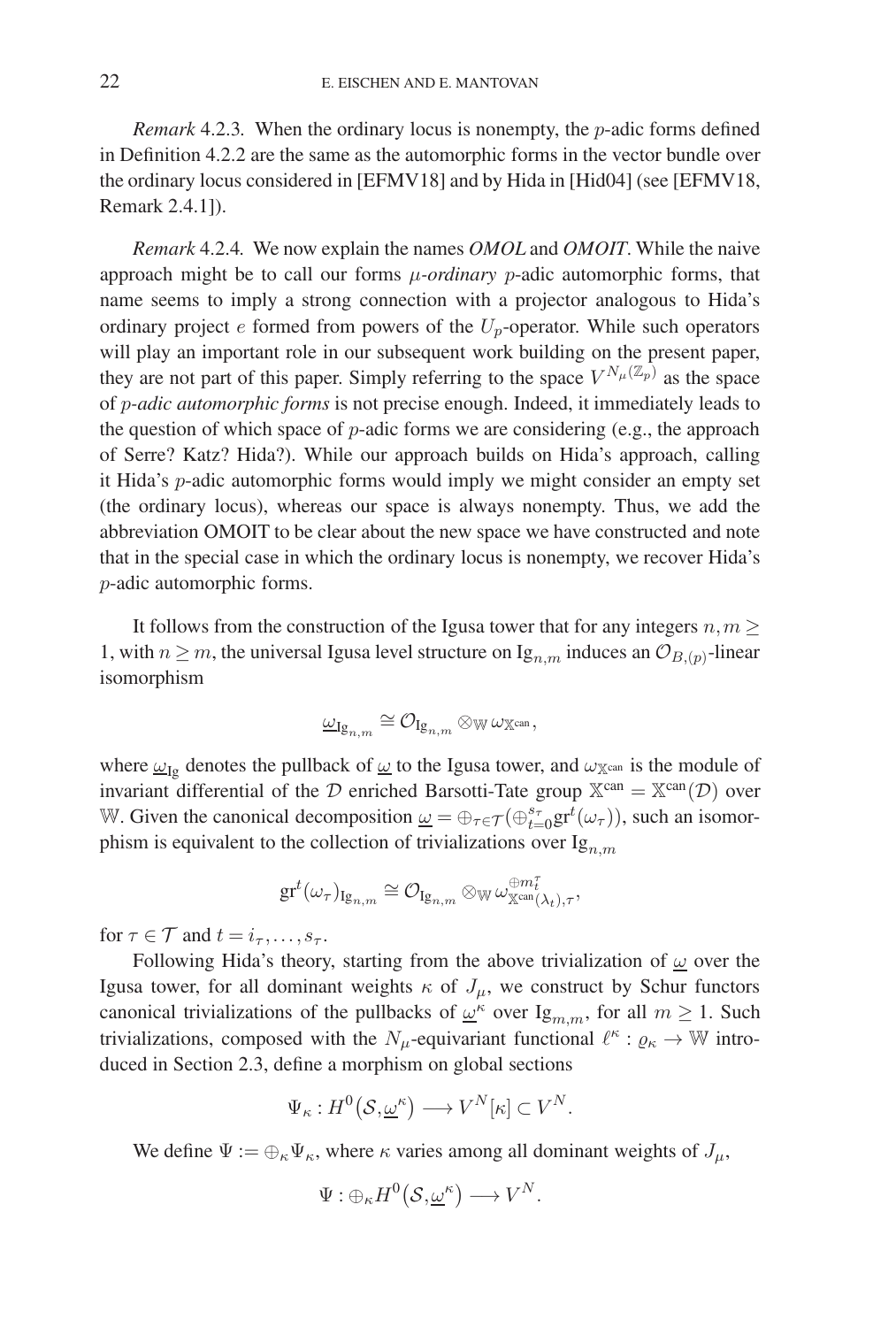*Remark* 4.2.3. When the ordinary locus is nonempty, the *p*-adic forms defined in Definition 4.2.2 are the same as the automorphic forms in the vector bundle over the ordinary locus considered in [EFMV18] and by Hida in [Hid04] (see [EFMV18, Remark 2.4.1]).

*Remark* 4.2.4*.* We now explain the names *OMOL* and *OMOIT*. While the naive approach might be to call our forms μ*-ordinary* p-adic automorphic forms, that name seems to imply a strong connection with a projector analogous to Hida's ordinary project  $e$  formed from powers of the  $U_p$ -operator. While such operators will play an important role in our subsequent work building on the present paper, they are not part of this paper. Simply referring to the space  $V^{N_\mu(\mathbb{Z}_p)}$  as the space of p*-adic automorphic forms* is not precise enough. Indeed, it immediately leads to the question of which space of  $p$ -adic forms we are considering (e.g., the approach of Serre? Katz? Hida?). While our approach builds on Hida's approach, calling it Hida's p-adic automorphic forms would imply we might consider an empty set (the ordinary locus), whereas our space is always nonempty. Thus, we add the abbreviation OMOIT to be clear about the new space we have constructed and note that in the special case in which the ordinary locus is nonempty, we recover Hida's p-adic automorphic forms.

It follows from the construction of the Igusa tower that for any integers  $n,m \geq 1$ 1, with  $n \geq m$ , the universal Igusa level structure on Ig<sub>n,m</sub> induces an  $\mathcal{O}_{B,(p)}$ -linear isomorphism

$$
\underline{\omega}_{\mathrm{Ig}_{n,m}} \cong \mathcal{O}_{\mathrm{Ig}_{n,m}} \otimes_{\mathbb{W}} \omega_{\mathbb{X}^{\mathrm{can}}},
$$

where  $\omega_{Ig}$  denotes the pullback of  $\omega$  to the Igusa tower, and  $\omega_{\mathbb{X}^{can}}$  is the module of invariant differential of the D enriched Barsotti-Tate group  $X^{can} = X^{can}(\mathcal{D})$  over W. Given the canonical decomposition  $\underline{\omega} = \bigoplus_{\tau \in \mathcal{T}} (\bigoplus_{t=0}^{s_{\tau}} \text{gr}^t(\omega_{\tau}))$ , such an isomorphism is equivalent to the collection of trivializations over  $Ig_{n,m}$ 

$$
\mathrm{gr}^t(\omega_\tau)_{\mathrm{Ig}_{n,m}} \cong \mathcal{O}_{\mathrm{Ig}_{n,m}} \otimes_{\mathbb{W}} \omega_{\mathbb{X}^{\mathrm{can}}(\lambda_t),\tau}^{\oplus m_t^\tau},
$$

for  $\tau \in \mathcal{T}$  and  $t = i_{\tau}, \ldots, s_{\tau}$ .

Following Hida's theory, starting from the above trivialization of  $\omega$  over the Igusa tower, for all dominant weights  $\kappa$  of  $J_{\mu}$ , we construct by Schur functors canonical trivializations of the pullbacks of  $\omega^k$  over Ig<sub>m,m</sub>, for all  $m \ge 1$ . Such trivializations, composed with the  $N_{\mu}$ -equivariant functional  $\ell^{\kappa} : \varrho_{\kappa} \to \mathbb{W}$  introduced in Section 2.3, define a morphism on global sections

$$
\Psi_{\kappa}: H^0(\mathcal{S}, \underline{\omega}^{\kappa}) \longrightarrow V^N[\kappa] \subset V^N.
$$

We define  $\Psi := \bigoplus_{\kappa} \Psi_{\kappa}$ , where  $\kappa$  varies among all dominant weights of  $J_{\mu}$ ,

$$
\Psi: \oplus_{\kappa} H^0(\mathcal{S}, \underline{\omega}^{\kappa}) \longrightarrow V^N.
$$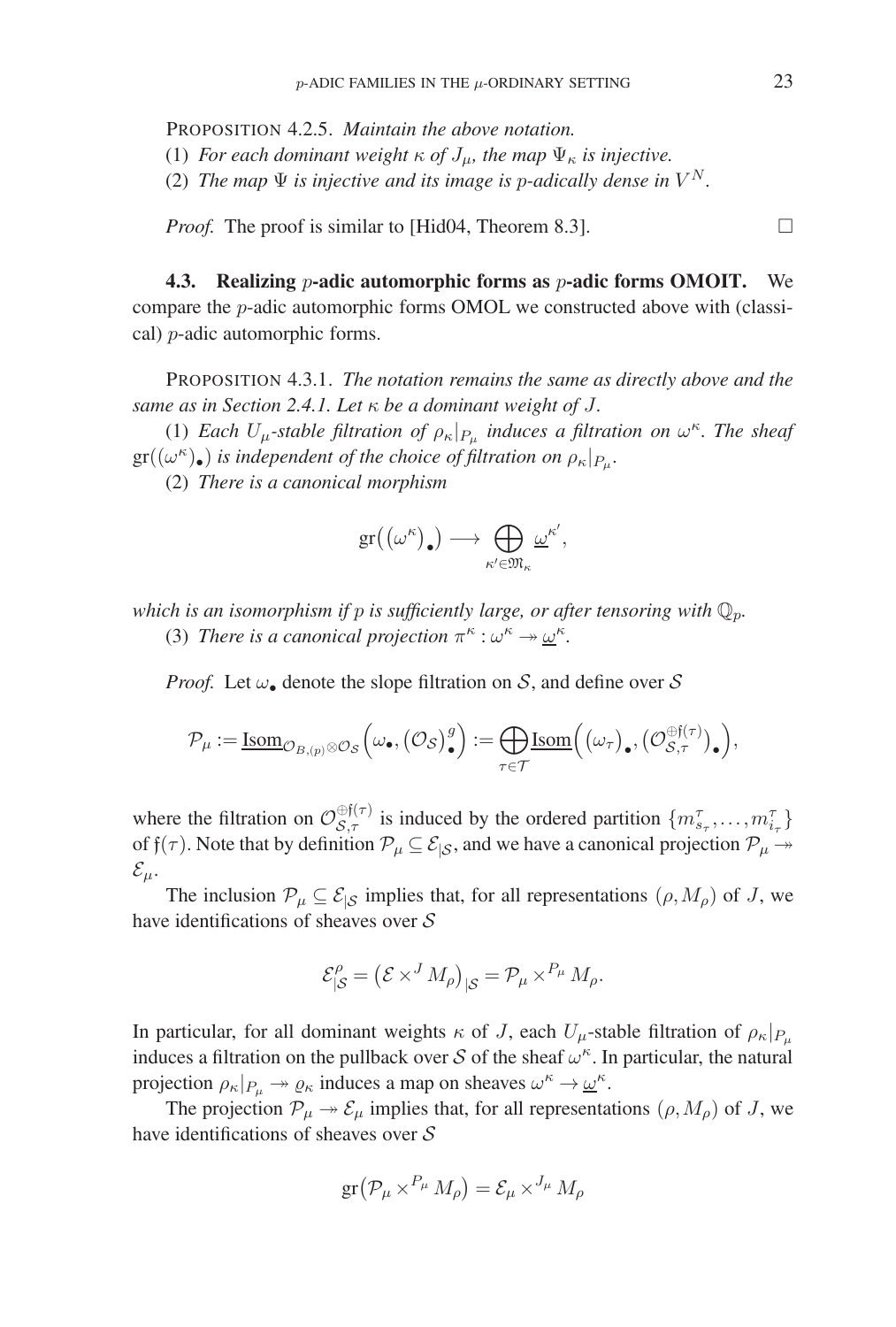PROPOSITION 4.2.5. *Maintain the above notation.*

(1) *For each dominant weight*  $\kappa$  *of*  $J_{\mu}$ *, the map*  $\Psi_{\kappa}$  *is injective.* 

(2) *The map*  $\Psi$  *is injective and its image is p-adically dense in*  $V^N$ *.* 

*Proof.* The proof is similar to [Hid04, Theorem 8.3].

**4.3. Realizing** p**-adic automorphic forms as** p**-adic forms OMOIT.** We compare the  $p$ -adic automorphic forms OMOL we constructed above with (classical) p-adic automorphic forms.

PROPOSITION 4.3.1. *The notation remains the same as directly above and the same as in Section 2.4.1. Let* κ *be a dominant weight of* J*.*

(1) *Each*  $U_{\mu}$ -stable filtration of  $\rho_{\kappa}|_{P_{\mu}}$  *induces a filtration on*  $\omega^{\kappa}$ *. The sheaf*  $gr((\omega^{\kappa})_{\bullet})$  *is independent of the choice of filtration on*  $\rho_{\kappa}|_{P_{\mu}}$ *.* 

(2) *There is a canonical morphism*

$$
\text{gr}((\omega^{\kappa})_{\bullet}) \longrightarrow \bigoplus_{\kappa' \in \mathfrak{M}_{\kappa}} \underline{\omega}^{\kappa'},
$$

*which is an isomorphism if p is sufficiently large, or after tensoring with*  $\mathbb{Q}_p$ . (3) *There is a canonical projection*  $\pi^{\kappa}$  :  $\omega^{\kappa} \rightarrow \omega^{\kappa}$ .

*Proof.* Let  $\omega_{\bullet}$  denote the slope filtration on S, and define over S

$$
\mathcal{P}_{\mu} := \underline{\mathrm{Isom}}_{\mathcal{O}_{B,(p)} \otimes \mathcal{O}_{\mathcal{S}}}\left(\omega_{\bullet}, \left(\mathcal{O}_{\mathcal{S}}\right)^{g}_{\bullet}\right) := \bigoplus_{\tau \in \mathcal{T}} \underline{\mathrm{Isom}}\left(\left(\omega_{\tau}\right)_{\bullet}, \left(\mathcal{O}_{\mathcal{S},\tau}^{\oplus \mathfrak{f}(\tau)}\right)_{\bullet}\right),
$$

where the filtration on  $\mathcal{O}_{\mathcal{S},\tau}^{\oplus f(\tau)}$  is induced by the ordered partition  $\{m_{s_{\tau}}^{\tau}, \ldots, m_{i_{\tau}}^{\tau}\}$ of  $f(\tau)$ . Note that by definition  $\mathcal{P}_{\mu} \subseteq \mathcal{E}_{|\mathcal{S}|}$ , and we have a canonical projection  $\mathcal{P}_{\mu} \rightarrow$  $\mathcal{E}_{\mu}$ .

The inclusion  $\mathcal{P}_{\mu} \subseteq \mathcal{E}_{|\mathcal{S}}$  implies that, for all representations  $(\rho, M_{\rho})$  of J, we have identifications of sheaves over S

$$
\mathcal{E}_{|\mathcal{S}}^{\rho} = \left(\mathcal{E} \times^{J} M_{\rho}\right)_{|\mathcal{S}} = \mathcal{P}_{\mu} \times^{P_{\mu}} M_{\rho}.
$$

In particular, for all dominant weights  $\kappa$  of J, each  $U_{\mu}$ -stable filtration of  $\rho_{\kappa}|_{P_{\mu}}$ induces a filtration on the pullback over S of the sheaf  $\omega^k$ . In particular, the natural projection  $\rho_{\kappa}|_{P_{\mu}} \to \varrho_{\kappa}$  induces a map on sheaves  $\omega^{\kappa} \to \underline{\omega}^{\kappa}$ .

The projection  $\mathcal{P}_{\mu} \rightarrow \mathcal{E}_{\mu}$  implies that, for all representations  $(\rho, M_{\rho})$  of J, we have identifications of sheaves over S

$$
\operatorname{gr}(\mathcal{P}_{\mu} \times^{P_{\mu}} M_{\rho}) = \mathcal{E}_{\mu} \times^{J_{\mu}} M_{\rho}
$$

 $\Box$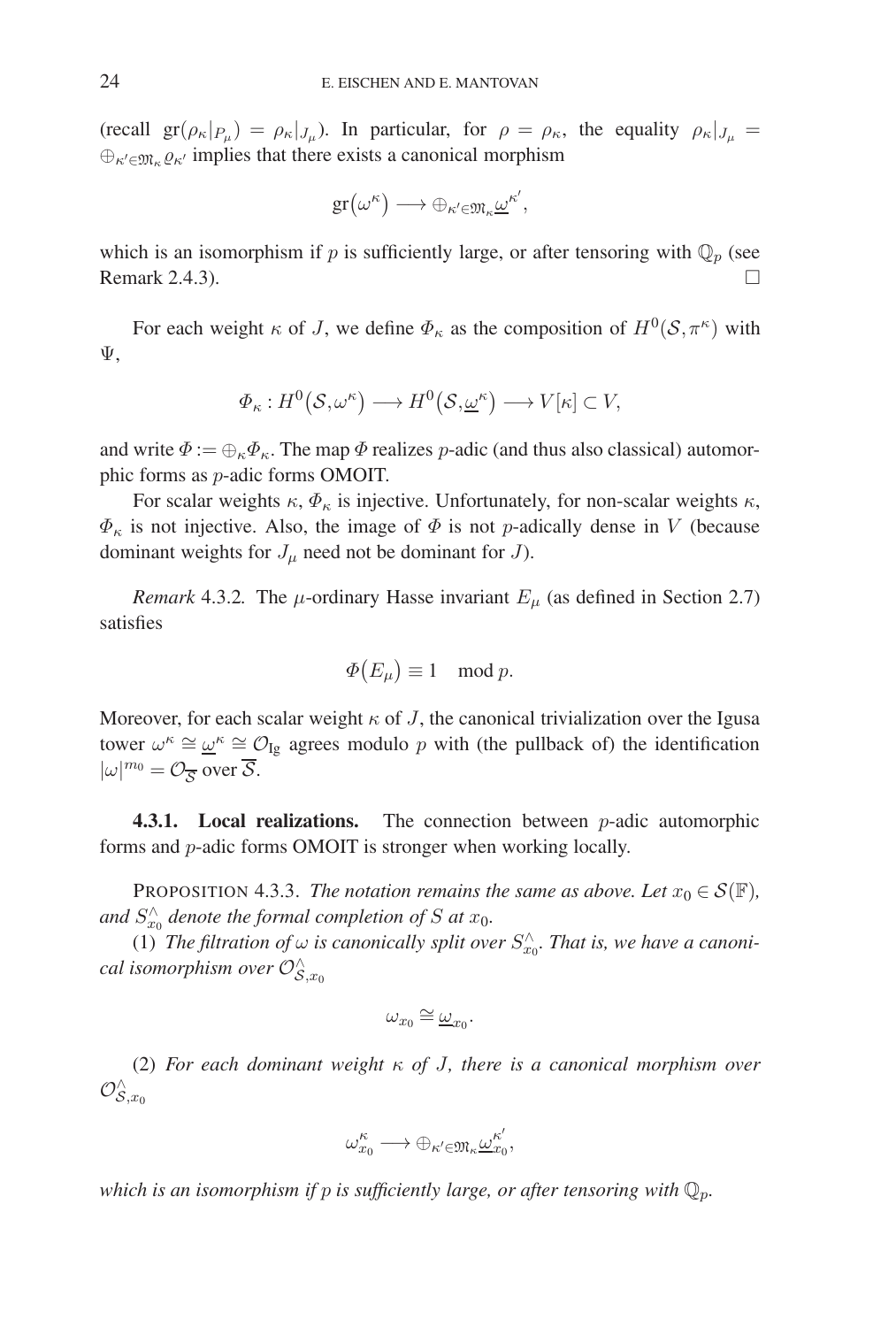(recall  $gr(\rho_{\kappa}|_{P_{\mu}}) = \rho_{\kappa}|_{J_{\mu}}$ ). In particular, for  $\rho = \rho_{\kappa}$ , the equality  $\rho_{\kappa}|_{J_{\mu}} =$  $\bigoplus_{\kappa' \in \mathfrak{M}_{\kappa}} \varrho_{\kappa'}$  implies that there exists a canonical morphism

$$
\text{gr}(\omega^{\kappa}) \longrightarrow \oplus_{\kappa' \in \mathfrak{M}_{\kappa}} \underline{\omega}^{\kappa'},
$$

which is an isomorphism if p is sufficiently large, or after tensoring with  $\mathbb{Q}_p$  (see Remark 2.4.3).  $\Box$ 

For each weight  $\kappa$  of J, we define  $\Phi_{\kappa}$  as the composition of  $H^{0}(\mathcal{S}, \pi^{\kappa})$  with Ψ,

$$
\Phi_{\kappa}: H^0(\mathcal{S}, \omega^{\kappa}) \longrightarrow H^0(\mathcal{S}, \underline{\omega}^{\kappa}) \longrightarrow V[\kappa] \subset V,
$$

and write  $\Phi := \bigoplus_{\kappa} \Phi_{\kappa}$ . The map  $\Phi$  realizes p-adic (and thus also classical) automorphic forms as p-adic forms OMOIT.

For scalar weights  $\kappa$ ,  $\Phi_{\kappa}$  is injective. Unfortunately, for non-scalar weights  $\kappa$ ,  $\Phi_{\kappa}$  is not injective. Also, the image of  $\Phi$  is not p-adically dense in V (because dominant weights for  $J_{\mu}$  need not be dominant for  $J$ ).

*Remark* 4.3.2. The  $\mu$ -ordinary Hasse invariant  $E_{\mu}$  (as defined in Section 2.7) satisfies

$$
\Phi(E_{\mu}) \equiv 1 \mod p.
$$

Moreover, for each scalar weight  $\kappa$  of J, the canonical trivialization over the Igusa tower  $\omega^k \cong \underline{\omega}^k \cong \mathcal{O}_{\text{Ig}}$  agrees modulo p with (the pullback of) the identification  $|\omega|^{m_0} = \mathcal{O}_{\overline{S}}$  over  $\overline{S}$ .

**4.3.1.** Local realizations. The connection between *p*-adic automorphic forms and p-adic forms OMOIT is stronger when working locally.

PROPOSITION 4.3.3. *The notation remains the same as above. Let*  $x_0 \in S(\mathbb{F})$ *,* and  $S_{x_0}^{\wedge}$  denote the formal completion of S at  $x_0$ .

(1) *The filtration of*  $\omega$  *is canonically split over*  $S_{x_0}^{\wedge}$ *. That is, we have a canoni-* $\emph{cal isomorphism over } \mathcal{O}_{\mathcal{S},x_0}^{\wedge}$ 

$$
\omega_{x_0}\cong \underline{\omega}_{x_0}.
$$

(2) *For each dominant weight* κ *of* J*, there is a canonical morphism over*  $\mathcal{O}_{\mathcal{S},x_0}^{\wedge}$ 

$$
\omega_{x_0}^{\kappa} \longrightarrow \oplus_{\kappa' \in \mathfrak{M}_{\kappa}} \underline{\omega}_{x_0}^{\kappa'},
$$

*which is an isomorphism if* p *is sufficiently large, or after tensoring with* Qp*.*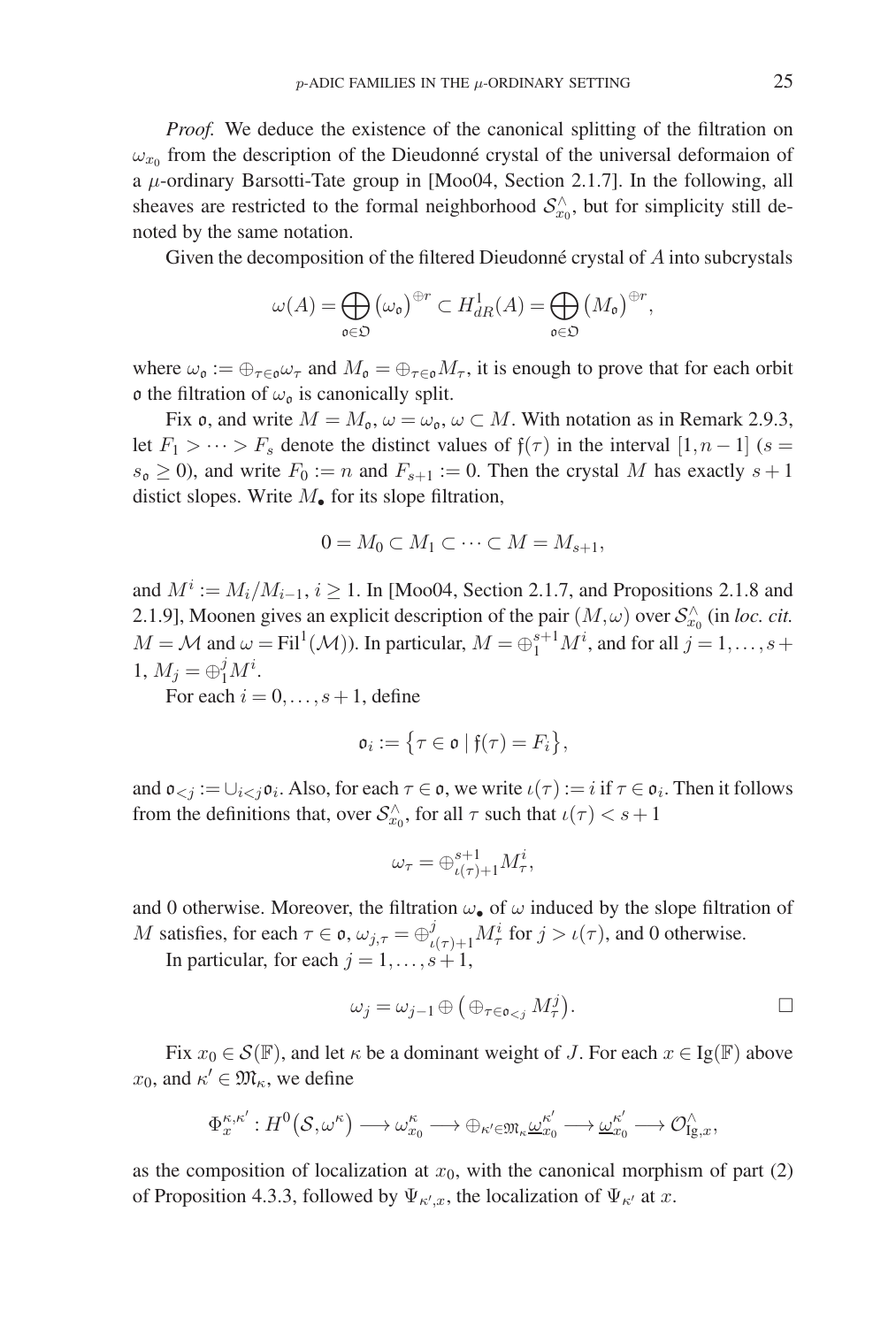*Proof.* We deduce the existence of the canonical splitting of the filtration on  $\omega_{x_0}$  from the description of the Dieudonné crystal of the universal deformaion of a  $\mu$ -ordinary Barsotti-Tate group in [Moo04, Section 2.1.7]. In the following, all sheaves are restricted to the formal neighborhood  $S_{x_0}^{\wedge}$ , but for simplicity still denoted by the same notation.

Given the decomposition of the filtered Dieudonné crystal of  $A$  into subcrystals

$$
\omega(A) = \bigoplus_{\mathfrak{o} \in \mathfrak{O}} \left( \omega_{\mathfrak{o}} \right)^{\oplus r} \subset H^1_{dR}(A) = \bigoplus_{\mathfrak{o} \in \mathfrak{O}} \left( M_{\mathfrak{o}} \right)^{\oplus r},
$$

where  $\omega_0 := \bigoplus_{\tau \in \mathfrak{O}} \omega_{\tau}$  and  $M_0 = \bigoplus_{\tau \in \mathfrak{O}} M_{\tau}$ , it is enough to prove that for each orbit o the filtration of  $\omega_0$  is canonically split.

Fix o, and write  $M = M_0$ ,  $\omega = \omega_0$ ,  $\omega \subset M$ . With notation as in Remark 2.9.3, let  $F_1 > \cdots > F_s$  denote the distinct values of  $f(\tau)$  in the interval  $[1, n-1]$  (s =  $s_0 \ge 0$ ), and write  $F_0 := n$  and  $F_{s+1} := 0$ . Then the crystal M has exactly  $s+1$ distict slopes. Write  $M_{\bullet}$  for its slope filtration,

$$
0 = M_0 \subset M_1 \subset \cdots \subset M = M_{s+1},
$$

and  $M^i := M_i/M_{i-1}$ ,  $i \ge 1$ . In [Moo04, Section 2.1.7, and Propositions 2.1.8 and 2.1.9], Moonen gives an explicit description of the pair  $(M,\omega)$  over  $\mathcal{S}^{\wedge}_{x_0}$  (in *loc. cit.*  $M = \mathcal{M}$  and  $\omega = \text{Fil}^1(\mathcal{M})$ ). In particular,  $M = \bigoplus_{1}^{s+1} M^i$ , and for all  $j = 1, \ldots, s +$ 1,  $M_j = \bigoplus_{i=1}^j M^i$ .

For each  $i = 0, \ldots, s+1$ , define

$$
\mathfrak{o}_i := \{ \tau \in \mathfrak{o} \mid \mathfrak{f}(\tau) = F_i \},
$$

and  $\mathfrak{o}_{\leq j} := \bigcup_{i \leq j} \mathfrak{o}_i$ . Also, for each  $\tau \in \mathfrak{o}_i$ , we write  $\iota(\tau) := i$  if  $\tau \in \mathfrak{o}_i$ . Then it follows from the definitions that, over  $S_{x_0}^{\wedge}$ , for all  $\tau$  such that  $\iota(\tau) < s+1$ 

$$
\omega_{\tau} = \oplus_{\iota(\tau)+1}^{s+1} M^{i}_{\tau},
$$

and 0 otherwise. Moreover, the filtration  $\omega_{\bullet}$  of  $\omega$  induced by the slope filtration of M satisfies, for each  $\tau \in \mathfrak{o}$ ,  $\omega_{j,\tau} = \bigoplus_{\iota(\tau)+1}^j M_\tau^i$  for  $j > \iota(\tau)$ , and 0 otherwise.

In particular, for each  $j = 1, \ldots, s+1$ ,

$$
\omega_j = \omega_{j-1} \oplus \left( \oplus_{\tau \in \mathfrak{o}_{\le j}} M^j_\tau \right). \qquad \qquad \Box
$$

Fix  $x_0 \in \mathcal{S}(\mathbb{F})$ , and let  $\kappa$  be a dominant weight of J. For each  $x \in \text{Ig}(\mathbb{F})$  above  $x_0$ , and  $\kappa' \in \mathfrak{M}_{\kappa}$ , we define

$$
\Phi_x^{\kappa,\kappa'}: H^0(\mathcal{S},\omega^\kappa) \longrightarrow \omega_{x_0}^\kappa \longrightarrow \oplus_{\kappa' \in \mathfrak{M}_\kappa} \underline{\omega}_{x_0}^{\kappa'} \longrightarrow \underline{\omega}_{x_0}^{\kappa'} \longrightarrow \mathcal{O}_{\mathrm{Ig},x}^\wedge,
$$

as the composition of localization at  $x_0$ , with the canonical morphism of part (2) of Proposition 4.3.3, followed by  $\Psi_{\kappa',x}$ , the localization of  $\Psi_{\kappa'}$  at x.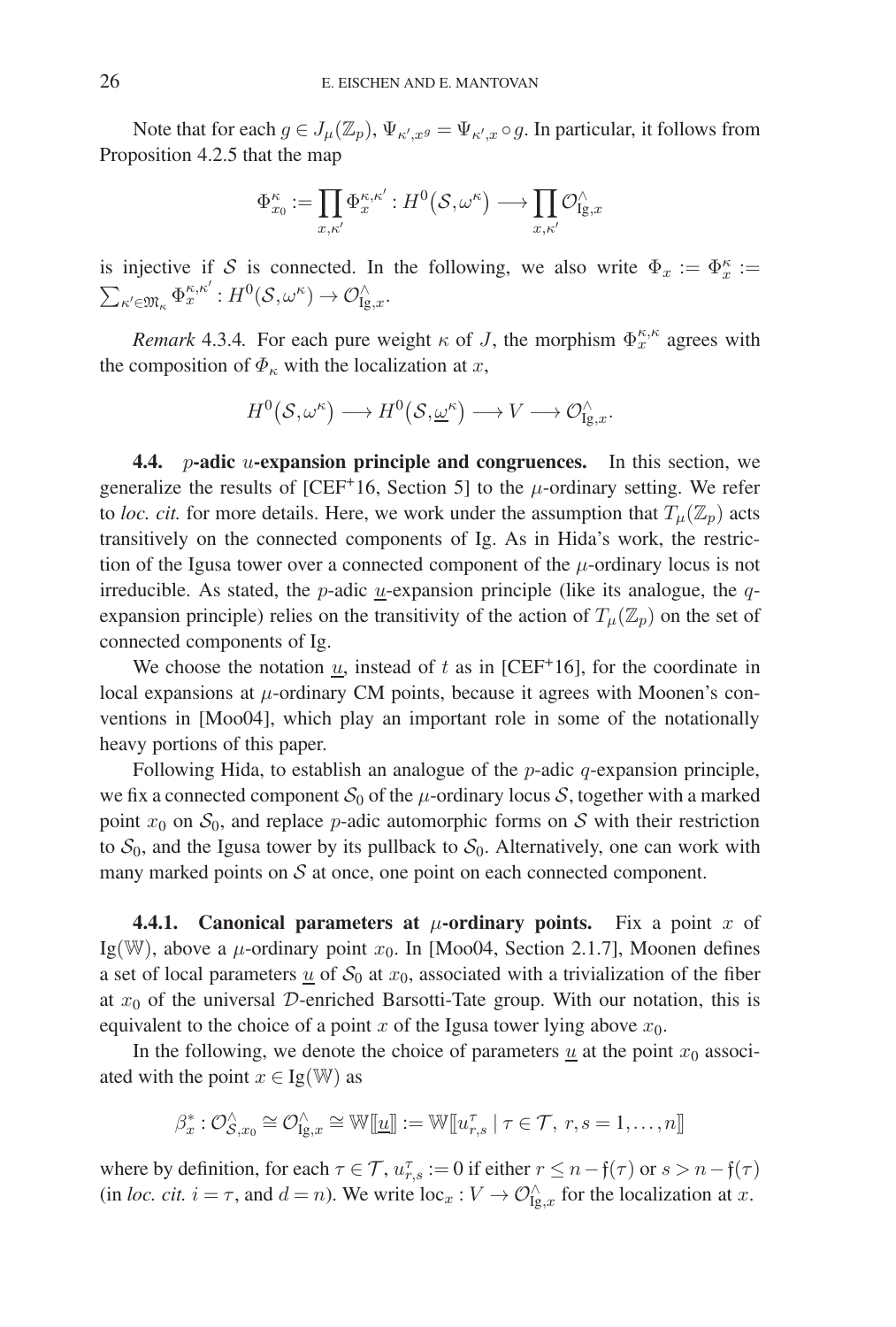Note that for each  $g \in J_\mu(\mathbb{Z}_p)$ ,  $\Psi_{\kappa',x} = \Psi_{\kappa',x} \circ g$ . In particular, it follows from Proposition 4.2.5 that the map

$$
\Phi^{\kappa}_{x_0} := \prod_{x,\kappa'} \Phi_x^{\kappa,\kappa'} : H^0(\mathcal{S},\omega^\kappa) \longrightarrow \prod_{x,\kappa'} \mathcal{O}_{\mathrm{Ig},x}^\wedge
$$

is injective if S is connected. In the following, we also write  $\Phi_x := \Phi_x^{\kappa} :=$  $\sum_{\kappa' \in \mathfrak{M}_{\kappa}} \Phi_x^{\kappa, \kappa'} : H^0(\mathcal{S}, \omega^{\kappa}) \to \mathcal{O}_{\mathrm{Ig},x}^{\wedge}.$ 

*Remark* 4.3.4. For each pure weight  $\kappa$  of J, the morphism  $\Phi_x^{\kappa,\kappa}$  agrees with the composition of  $\Phi_{\kappa}$  with the localization at x,

$$
H^0(S, \omega^{\kappa}) \longrightarrow H^0(S, \underline{\omega}^{\kappa}) \longrightarrow V \longrightarrow \mathcal{O}_{\mathrm{Ig},x}^{\wedge}.
$$

**4.4.** p**-adic** u**-expansion principle and congruences.** In this section, we generalize the results of [CEF<sup>+</sup>16, Section 5] to the  $\mu$ -ordinary setting. We refer to *loc. cit.* for more details. Here, we work under the assumption that  $T_{\mu}(\mathbb{Z}_p)$  acts transitively on the connected components of Ig. As in Hida's work, the restriction of the Igusa tower over a connected component of the  $\mu$ -ordinary locus is not irreducible. As stated, the *p*-adic  $u$ -expansion principle (like its analogue, the *q*expansion principle) relies on the transitivity of the action of  $T_\mu(\mathbb{Z}_p)$  on the set of connected components of Ig.

We choose the notation  $u$ , instead of  $t$  as in [CEF<sup>+</sup>16], for the coordinate in local expansions at  $\mu$ -ordinary CM points, because it agrees with Moonen's conventions in [Moo04], which play an important role in some of the notationally heavy portions of this paper.

Following Hida, to establish an analogue of the  $p$ -adic  $q$ -expansion principle, we fix a connected component  $S_0$  of the  $\mu$ -ordinary locus S, together with a marked point  $x_0$  on  $S_0$ , and replace p-adic automorphic forms on S with their restriction to  $S_0$ , and the Igusa tower by its pullback to  $S_0$ . Alternatively, one can work with many marked points on  $S$  at once, one point on each connected component.

**4.4.1.** Canonical parameters at  $\mu$ -ordinary points. Fix a point x of Ig(W), above a  $\mu$ -ordinary point  $x_0$ . In [Moo04, Section 2.1.7], Moonen defines a set of local parameters  $\underline{u}$  of  $S_0$  at  $x_0$ , associated with a trivialization of the fiber at  $x_0$  of the universal D-enriched Barsotti-Tate group. With our notation, this is equivalent to the choice of a point x of the Igusa tower lying above  $x_0$ .

In the following, we denote the choice of parameters  $\underline{u}$  at the point  $x_0$  associated with the point  $x \in \text{Ig}(\mathbb{W})$  as

$$
\beta_x^* : \mathcal{O}_{\mathcal{S},x_0}^{\wedge} \cong \mathcal{O}_{\mathrm{Ig},x}^{\wedge} \cong \mathbb{W}[\![\underline{u}]\!]:=\mathbb{W}[\![u_{r,s}^{\tau} \mid \tau \in \mathcal{T}, r,s=1,\ldots,n]\!]
$$

where by definition, for each  $\tau \in \mathcal{T}$ ,  $u_{r,s}^{\tau} := 0$  if either  $r \leq n - \mathfrak{f}(\tau)$  or  $s > n - \mathfrak{f}(\tau)$ (in *loc. cit.*  $i = \tau$ , and  $d = n$ ). We write  $\text{loc}_{x} : V \to \mathcal{O}_{\text{Ig},x}^{\wedge}$  for the localization at x.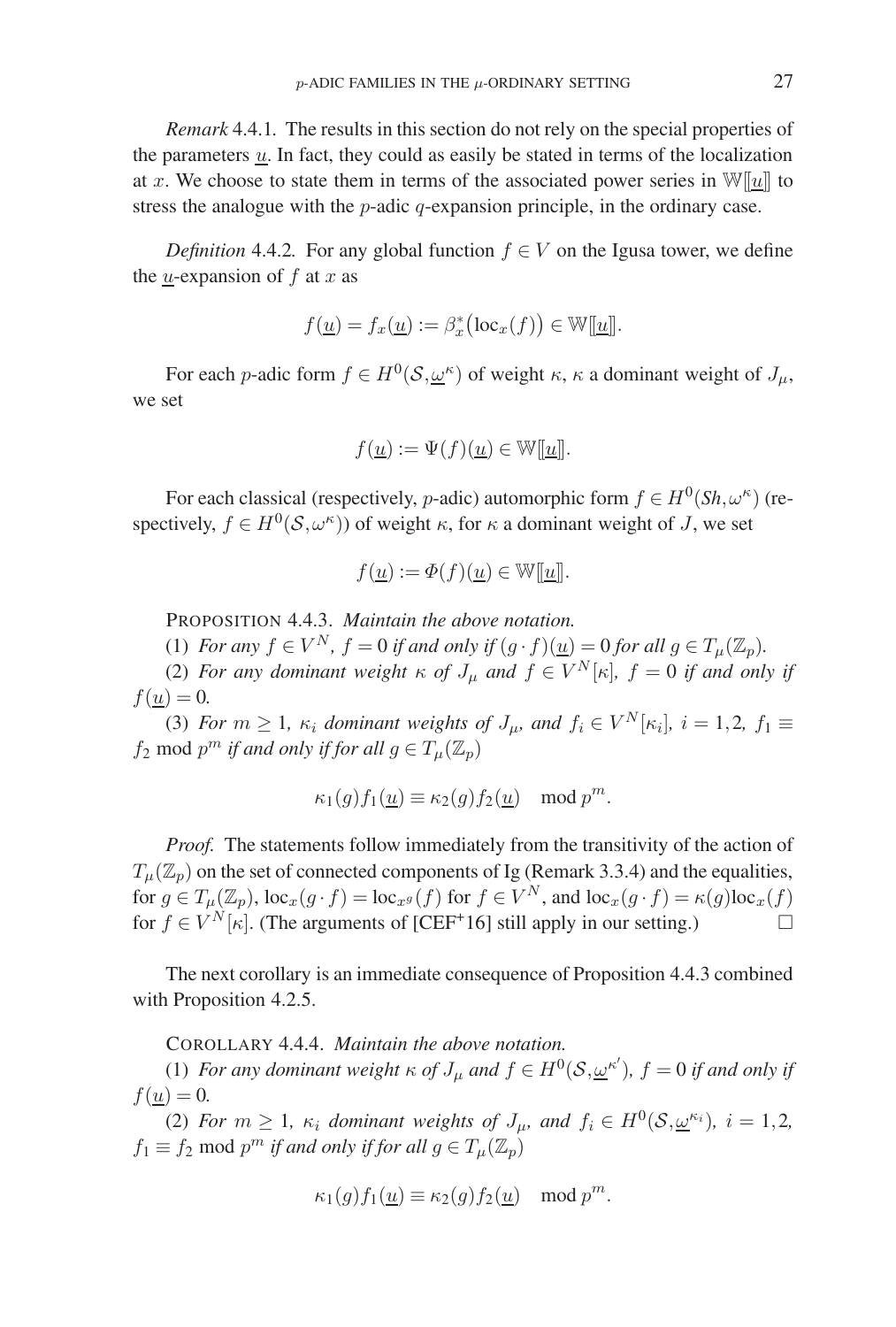*Remark* 4.4.1*.* The results in this section do not rely on the special properties of the parameters  $\underline{u}$ . In fact, they could as easily be stated in terms of the localization at x. We choose to state them in terms of the associated power series in  $\mathbb{W}[\![u]\!]$  to stress the analogue with the *p*-adic *q*-expansion principle, in the ordinary case.

*Definition* 4.4.2. For any global function  $f \in V$  on the Igusa tower, we define the *u*-expansion of  $f$  at  $x$  as

$$
f(\underline{u}) = f_x(\underline{u}) := \beta_x^* \big( \mathrm{loc}_x(f) \big) \in \mathbb{W}[\underline{u}]].
$$

For each p-adic form  $f \in H^0(\mathcal{S}, \omega^k)$  of weight  $\kappa$ ,  $\kappa$  a dominant weight of  $J_\mu$ , we set

$$
f(\underline{u}) := \Psi(f)(\underline{u}) \in \mathbb{W}[[\underline{u}]].
$$

For each classical (respectively, *p*-adic) automorphic form  $f \in H^0(Sh, \omega^k)$  (respectively,  $f \in H^0(\mathcal{S}, \omega^{\kappa})$  of weight  $\kappa$ , for  $\kappa$  a dominant weight of J, we set

$$
f(\underline{u}) := \Phi(f)(\underline{u}) \in \mathbb{W}[\underline{u}].
$$

PROPOSITION 4.4.3. *Maintain the above notation.*

(1) *For any*  $f \in V^N$ ,  $f = 0$  *if and only if*  $(g \cdot f)(\underline{u}) = 0$  *for all*  $g \in T_\mu(\mathbb{Z}_p)$ *.* 

(2) *For any dominant weight*  $\kappa$  *of*  $J_{\mu}$  *and*  $f \in V^N[\kappa]$ *,*  $f = 0$  *if and only if*  $f(\underline{u}) = 0.$ 

(3) *For*  $m \geq 1$ *,*  $\kappa_i$  *dominant weights of*  $J_\mu$ *, and*  $f_i \in V^N[\kappa_i]$ *,*  $i = 1, 2$ *,*  $f_1 \equiv$  $f_2$  mod  $p^m$  *if and only if for all*  $g \in T_\mu(\mathbb{Z}_p)$ 

$$
\kappa_1(g) f_1(\underline{u}) \equiv \kappa_2(g) f_2(\underline{u}) \mod p^m.
$$

*Proof.* The statements follow immediately from the transitivity of the action of  $T_{\mu}(\mathbb{Z}_p)$  on the set of connected components of Ig (Remark 3.3.4) and the equalities, for  $g \in T_{\mu}(\mathbb{Z}_p)$ ,  $\text{loc}_x(g \cdot f) = \text{loc}_{x^g}(f)$  for  $f \in V^N$ , and  $\text{loc}_x(g \cdot f) = \kappa(g) \text{loc}_x(f)$ for  $f \in V^N[\kappa]$ . (The arguments of [CEF<sup>+</sup>16] still apply in our setting.)  $\Box$ 

The next corollary is an immediate consequence of Proposition 4.4.3 combined with Proposition 4.2.5.

COROLLARY 4.4.4. *Maintain the above notation.*

(1) *For any dominant weight*  $\kappa$  *of*  $J_{\mu}$  *and*  $f \in H^{0}(\mathcal{S}, \underline{\omega}^{\kappa'})$ ,  $f = 0$  *if and only if*  $f(\underline{u}) = 0.$ 

(2) *For*  $m \geq 1$ ,  $\kappa_i$  *dominant weights of*  $J_\mu$ , and  $f_i \in H^0(\mathcal{S}, \underline{\omega}^{\kappa_i})$ ,  $i = 1, 2,$  $f_1 \equiv f_2 \mod p^m$  *if and only if for all*  $g \in T_\mu(\mathbb{Z}_p)$ 

$$
\kappa_1(g) f_1(\underline{u}) \equiv \kappa_2(g) f_2(\underline{u}) \mod p^m.
$$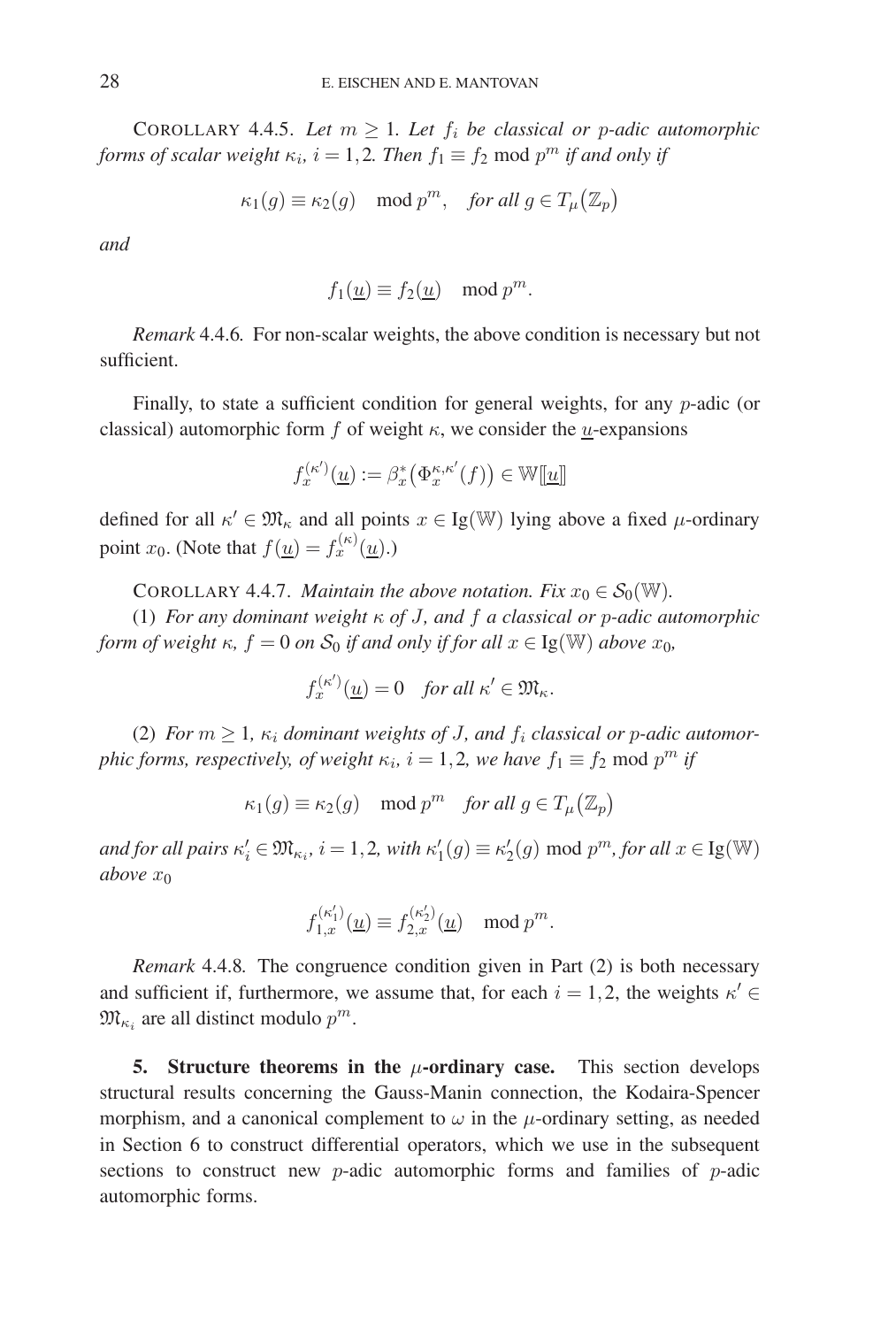COROLLARY 4.4.5. Let  $m \geq 1$ . Let  $f_i$  be classical or p-adic automorphic *forms of scalar weight*  $\kappa_i$ ,  $i = 1, 2$ *. Then*  $f_1 \equiv f_2$  mod  $p^m$  *if and only if* 

$$
\kappa_1(g) \equiv \kappa_2(g) \mod p^m, \quad \text{for all } g \in T_\mu(\mathbb{Z}_p)
$$

*and*

$$
f_1(\underline{u}) \equiv f_2(\underline{u}) \mod p^m.
$$

*Remark* 4.4.6*.* For non-scalar weights, the above condition is necessary but not sufficient.

Finally, to state a sufficient condition for general weights, for any p-adic (or classical) automorphic form f of weight  $\kappa$ , we consider the *u*-expansions

$$
f_x^{(\kappa')}(\underline{u}) := \beta_x^* \big( \Phi_x^{\kappa, \kappa'}(f) \big) \in \mathbb{W}[\underline{u}]
$$

defined for all  $\kappa' \in \mathfrak{M}_{\kappa}$  and all points  $x \in \text{Ig}(\mathbb{W})$  lying above a fixed  $\mu$ -ordinary point  $x_0$ . (Note that  $f(u) = f_x^{(\kappa)}(u)$ .)

COROLLARY 4.4.7. *Maintain the above notation. Fix*  $x_0 \in \mathcal{S}_0(\mathbb{W})$ .

(1) *For any dominant weight* κ *of* J*, and* f *a classical or* p*-adic automorphic form of weight*  $\kappa$ *, f* = 0 *on*  $S_0$  *if and only if for all*  $x \in \text{Ig}(\mathbb{W})$  *above*  $x_0$ *,* 

$$
f_x^{(\kappa')}(\underline{u}) = 0 \quad \text{for all } \kappa' \in \mathfrak{M}_{\kappa}.
$$

(2) *For*  $m \geq 1$ ,  $\kappa_i$  *dominant weights of J, and*  $f_i$  *classical or p-adic automorphic forms, respectively, of weight*  $\kappa_i$ ,  $i = 1, 2$ , we have  $f_1 \equiv f_2 \mod p^m$  if

$$
\kappa_1(g) \equiv \kappa_2(g) \mod p^m \quad \text{for all } g \in T_\mu(\mathbb{Z}_p)
$$

*and for all pairs*  $\kappa'_i \in \mathfrak{M}_{\kappa_i}$ ,  $i = 1, 2$ , with  $\kappa'_1(g) \equiv \kappa'_2(g) \mod p^m$ , for all  $x \in \text{Ig}(\mathbb{W})$ *above*  $x_0$ 

$$
f_{1,x}^{(\kappa_1')}(\underline{u})\equiv f_{2,x}^{(\kappa_2')}(\underline{u})\mod p^m.
$$

*Remark* 4.4.8*.* The congruence condition given in Part (2) is both necessary and sufficient if, furthermore, we assume that, for each  $i = 1, 2$ , the weights  $\kappa' \in$  $\mathfrak{M}_{\kappa_i}$  are all distinct modulo  $p^m$ .

**5.** Structure theorems in the  $\mu$ -ordinary case. This section develops structural results concerning the Gauss-Manin connection, the Kodaira-Spencer morphism, and a canonical complement to  $\omega$  in the  $\mu$ -ordinary setting, as needed in Section 6 to construct differential operators, which we use in the subsequent sections to construct new  $p$ -adic automorphic forms and families of  $p$ -adic automorphic forms.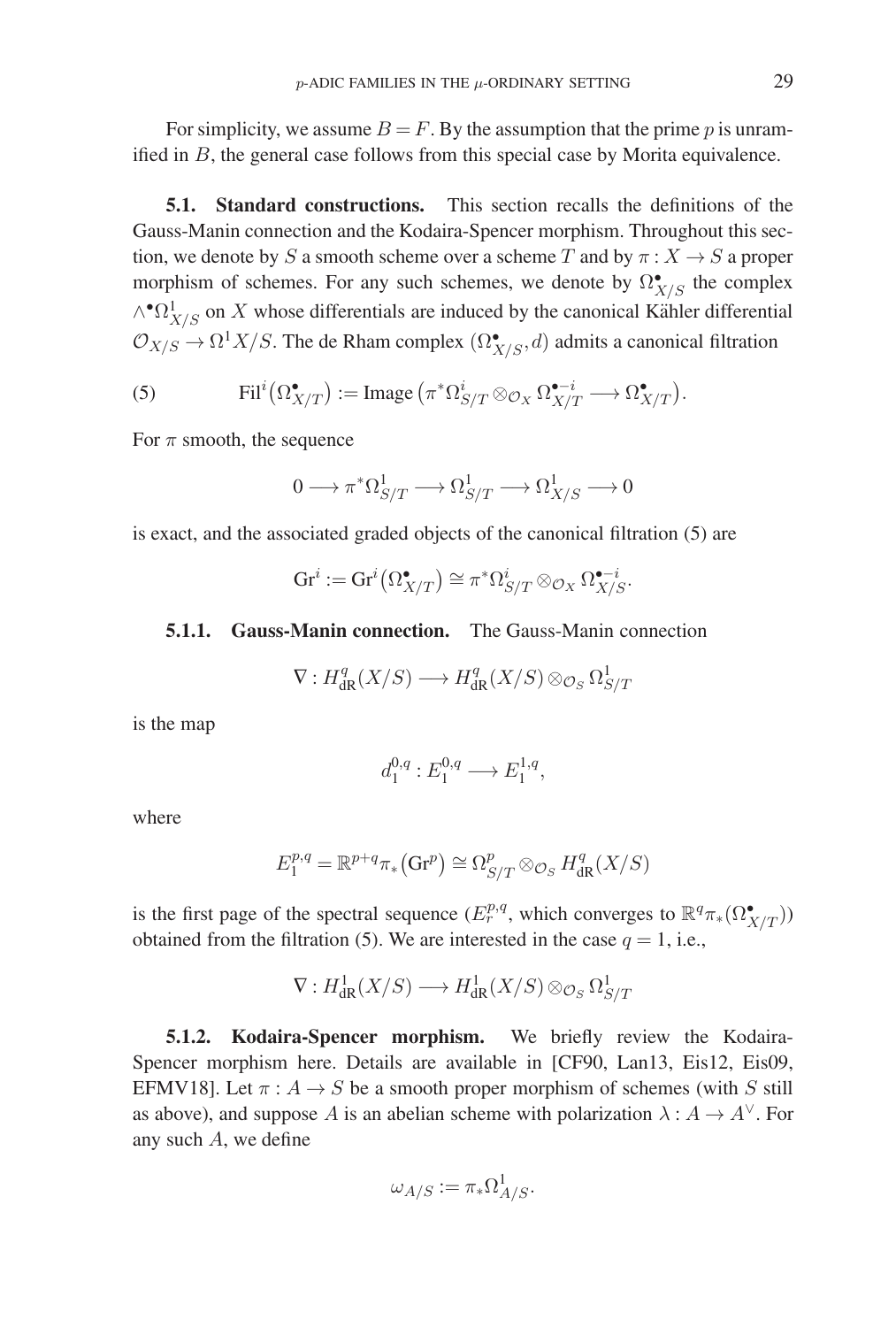For simplicity, we assume  $B = F$ . By the assumption that the prime p is unramified in B, the general case follows from this special case by Morita equivalence.

**5.1. Standard constructions.** This section recalls the definitions of the Gauss-Manin connection and the Kodaira-Spencer morphism. Throughout this section, we denote by S a smooth scheme over a scheme T and by  $\pi: X \to S$  a proper morphism of schemes. For any such schemes, we denote by  $\Omega^{\bullet}_{X/S}$  the complex  $\wedge^{\bullet} \Omega^1_{X/S}$  on X whose differentials are induced by the canonical Kähler differential  $\mathcal{O}_{X/S} \to \Omega^1 X/S$ . The de Rham complex  $(\Omega^\bullet_{X/S}, d)$  admits a canonical filtration

(5) 
$$
\operatorname{Fil}^i(\Omega_{X/T}^{\bullet}) := \operatorname{Image} \left( \pi^* \Omega_{S/T}^i \otimes_{\mathcal{O}_X} \Omega_{X/T}^{\bullet - i} \longrightarrow \Omega_{X/T}^{\bullet} \right).
$$

For  $\pi$  smooth, the sequence

$$
0 \longrightarrow \pi^*\Omega^1_{S/T} \longrightarrow \Omega^1_{S/T} \longrightarrow \Omega^1_{X/S} \longrightarrow 0
$$

is exact, and the associated graded objects of the canonical filtration (5) are

$$
\mathrm{Gr}^i := \mathrm{Gr}^i\big(\Omega_{X/T}^{\bullet}\big) \cong \pi^*\Omega_{S/T}^i \otimes_{\mathcal{O}_X} \Omega_{X/S}^{\bullet - i}.
$$

## **5.1.1. Gauss-Manin connection.** The Gauss-Manin connection

$$
\nabla: H^q_{\mathrm{dR}}(X/S) \longrightarrow H^q_{\mathrm{dR}}(X/S) \otimes_{\mathcal{O}_S} \Omega^1_{S/T}
$$

is the map

$$
d_1^{0,q}: E_1^{0,q} \longrightarrow E_1^{1,q},
$$

where

$$
E_1^{p,q} = \mathbb{R}^{p+q} \pi_*\big(\text{Gr}^p\big) \cong \Omega^p_{S/T} \otimes_{\mathcal{O}_S} H^q_{\text{dR}}(X/S)
$$

is the first page of the spectral sequence  $(E_r^{p,q}, \text{ which converges to } \mathbb{R}^q \pi_*(\Omega_{X/T}^{\bullet}))$ obtained from the filtration (5). We are interested in the case  $q = 1$ , i.e.,

$$
\nabla: H^1_{\mathrm{dR}}(X/S) \longrightarrow H^1_{\mathrm{dR}}(X/S) \otimes_{\mathcal{O}_S} \Omega^1_{S/T}
$$

**5.1.2. Kodaira-Spencer morphism.** We briefly review the Kodaira-Spencer morphism here. Details are available in [CF90, Lan13, Eis12, Eis09, EFMV18]. Let  $\pi: A \rightarrow S$  be a smooth proper morphism of schemes (with S still as above), and suppose A is an abelian scheme with polarization  $\lambda : A \to A^{\vee}$ . For any such A, we define

$$
\omega_{A/S} := \pi_* \Omega^1_{A/S}.
$$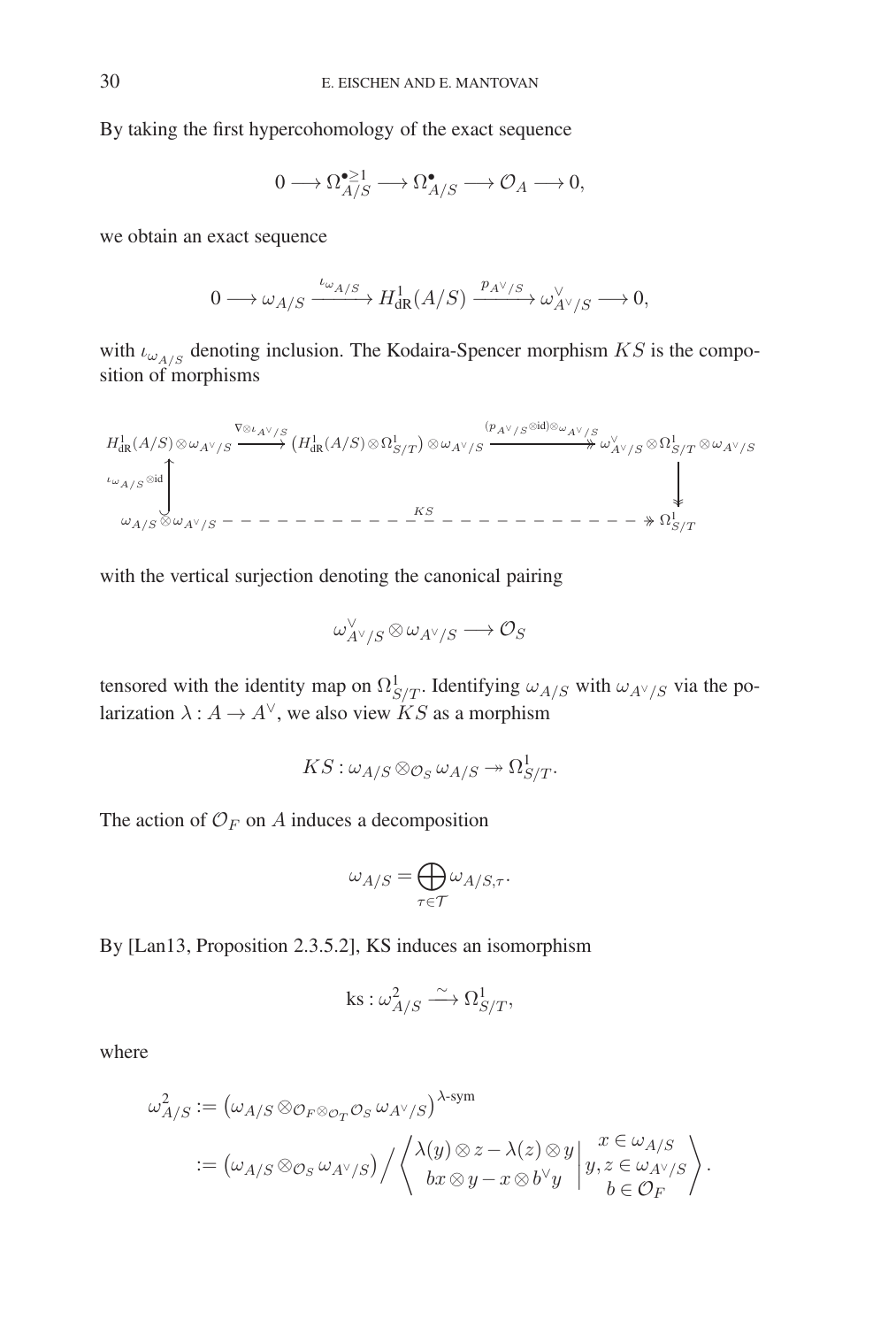By taking the first hypercohomology of the exact sequence

$$
0 \longrightarrow \Omega_{A/S}^{\bullet \geq 1} \longrightarrow \Omega_{A/S}^{\bullet} \longrightarrow \mathcal{O}_A \longrightarrow 0,
$$

we obtain an exact sequence

$$
0\longrightarrow \omega_{A/S}\xrightarrow{\iota_{\omega_{A/S}}} H^1_{\rm dR}(A/S)\xrightarrow{\,p_{A^\vee/S}\,}\omega^\vee_{A^\vee/S}\longrightarrow 0,
$$

with  $\iota_{\omega_{A/S}}$  denoting inclusion. The Kodaira-Spencer morphism  $KS$  is the composition of morphisms

$$
\begin{CD} H^1_{\mathrm{dR}}(A/S) \otimes \omega_{A^\vee/S} \xrightarrow{\nabla \otimes \iota_{A^\vee/S}} \left( H^1_{\mathrm{dR}}(A/S) \otimes \Omega^1_{S/T} \right) \otimes \omega_{A^\vee/S} \xrightarrow{(p_{A^\vee/S} \otimes \mathrm{id}) \otimes \omega_{A^\vee/S}} \omega^\vee_{A^\vee/S} \otimes \Omega^1_{S/T} \otimes \omega_{A^\vee/S} \\ \downarrow^{ \iota_{\omega_{A/S}} \otimes \mathrm{id}} \xrightarrow{\nabla_{A/S}} \omega_{A^\vee/S} \xrightarrow{\nabla_{A/S}} \omega_{A^\vee/S} \xrightarrow{\nabla_{A/S}} \omega_{A^\vee/S} \end{CD}
$$

with the vertical surjection denoting the canonical pairing

$$
\omega_{A^\vee/S}^\vee\!\otimes\omega_{A^\vee/S}\longrightarrow{\mathcal O_S}
$$

tensored with the identity map on  $\Omega^1_{S/T}$ . Identifying  $\omega_{A/S}$  with  $\omega_{A\gamma/S}$  via the polarization  $\lambda : A \to A^{\vee}$ , we also view KS as a morphism

$$
KS:\omega_{A/S} \otimes_{\mathcal{O}_S} \omega_{A/S} \twoheadrightarrow \Omega^1_{S/T}.
$$

The action of  $\mathcal{O}_F$  on A induces a decomposition

$$
\omega_{A/S} = \bigoplus_{\tau \in \mathcal{T}} \omega_{A/S, \tau}.
$$

By [Lan13, Proposition 2.3.5.2], KS induces an isomorphism

$$
\text{ks}:\omega_{A/S}^2\stackrel{\sim}{\longrightarrow}\Omega_{S/T}^1,
$$

where

$$
\begin{split} \omega_{A/S}^2 \mathrel{\mathop:}= \big(\omega_{A/S} \otimes_{\mathcal{O}_F \otimes_{\mathcal{O}_T} \mathcal{O}_S} \omega_{A^\vee/S}\big)^{\lambda\text{-sym}} \\ \mathrel{\mathop:}= \big(\omega_{A/S} \otimes_{\mathcal{O}_S} \omega_{A^\vee/S}\big) \Big/ \left\langle \begin{array}{c} \lambda(y) \otimes z - \lambda(z) \otimes y \\ bx \otimes y - x \otimes b^\vee y \end{array} \right| \begin{array}{l} x \in \omega_{A/S} \\ y, z \in \omega_{A^\vee/S} \\ b \in \mathcal{O}_F \end{array} \right\rangle. \end{split}
$$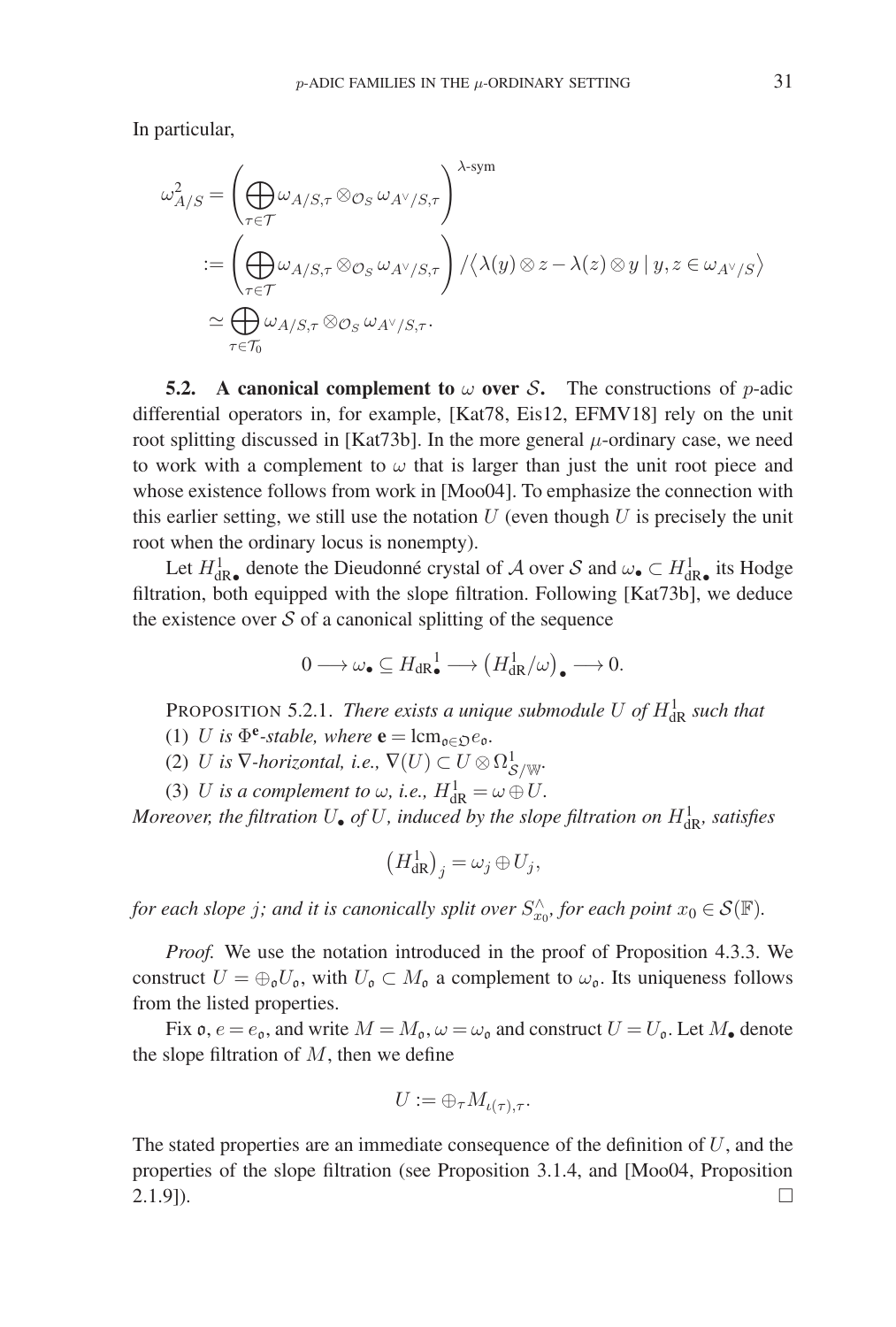In particular,

$$
\begin{split} \omega_{A/S}^2 &= \left( \bigoplus_{\tau \in \mathcal{T}} \omega_{A/S,\tau} \otimes_{\mathcal{O}_S} \omega_{A^\vee/S,\tau} \right)^{\lambda\text{-sym}} \\ &:= \left( \bigoplus_{\tau \in \mathcal{T}} \omega_{A/S,\tau} \otimes_{\mathcal{O}_S} \omega_{A^\vee/S,\tau} \right) / \langle \lambda(y) \otimes z - \lambda(z) \otimes y \mid y, z \in \omega_{A^\vee/S} \rangle \\ &\simeq \bigoplus_{\tau \in \mathcal{T}_0} \omega_{A/S,\tau} \otimes_{\mathcal{O}_S} \omega_{A^\vee/S,\tau}. \end{split}
$$

**5.2.** A canonical complement to  $\omega$  over S. The constructions of p-adic differential operators in, for example, [Kat78, Eis12, EFMV18] rely on the unit root splitting discussed in [Kat73b]. In the more general  $\mu$ -ordinary case, we need to work with a complement to  $\omega$  that is larger than just the unit root piece and whose existence follows from work in [Moo04]. To emphasize the connection with this earlier setting, we still use the notation  $U$  (even though  $U$  is precisely the unit root when the ordinary locus is nonempty).

Let  $H^1_{dR\bullet}$  denote the Dieudonné crystal of A over S and  $\omega_\bullet \subset H^1_{dR\bullet}$  its Hodge filtration, both equipped with the slope filtration. Following [Kat73b], we deduce the existence over  $S$  of a canonical splitting of the sequence

$$
0 \longrightarrow \omega_{\bullet} \subseteq H_{\mathrm{dR}_{\bullet}}^{1} \longrightarrow \left(H_{\mathrm{dR}}^{1}/\omega\right)_{\bullet} \longrightarrow 0.
$$

PROPOSITION 5.2.1. *There exists a unique submodule* U of  $H_{\text{dR}}^1$  such that

- (1) U is  $\Phi^e$ *-stable, where*  $\mathbf{e} = \text{lcm}_{\mathfrak{o}\in\mathfrak{O}}e_{\mathfrak{o}}$ *.*
- (2) *U* is  $\nabla$ *-horizontal, i.e.,*  $\nabla(U) \subset U \otimes \Omega^1_{\mathcal{S}/\mathbb{W}}$ *.*
- (3) U is a complement to  $\omega$ , i.e.,  $H_{\text{dR}}^1 = \omega \oplus U$ .

*Moreover, the filtration*  $U_{\bullet}$  *of*  $U$ *, induced by the slope filtration on*  $H_{\text{dR}}^{1}$ *, satisfies* 

$$
\left(H_{\mathrm{dR}}^1\right)_j = \omega_j \oplus U_j,
$$

*for each slope j; and it is canonically split over*  $S_{x_0}^{\wedge}$ , *for each point*  $x_0 \in \mathcal{S}(\mathbb{F})$ *.* 

*Proof.* We use the notation introduced in the proof of Proposition 4.3.3. We construct  $U = \bigoplus_{\mathfrak{g}} U_{\mathfrak{g}}$ , with  $U_{\mathfrak{g}} \subset M_{\mathfrak{g}}$  a complement to  $\omega_{\mathfrak{g}}$ . Its uniqueness follows from the listed properties.

Fix  $\mathfrak{o}, e = e_{\mathfrak{o}}$ , and write  $M = M_{\mathfrak{o}}, \omega = \omega_{\mathfrak{o}}$  and construct  $U = U_{\mathfrak{o}}$ . Let  $M_{\mathfrak{o}}$  denote the slope filtration of  $M$ , then we define

$$
U := \oplus_{\tau} M_{\iota(\tau), \tau}.
$$

The stated properties are an immediate consequence of the definition of  $U$ , and the properties of the slope filtration (see Proposition 3.1.4, and [Moo04, Proposition  $(2.1.9)$ .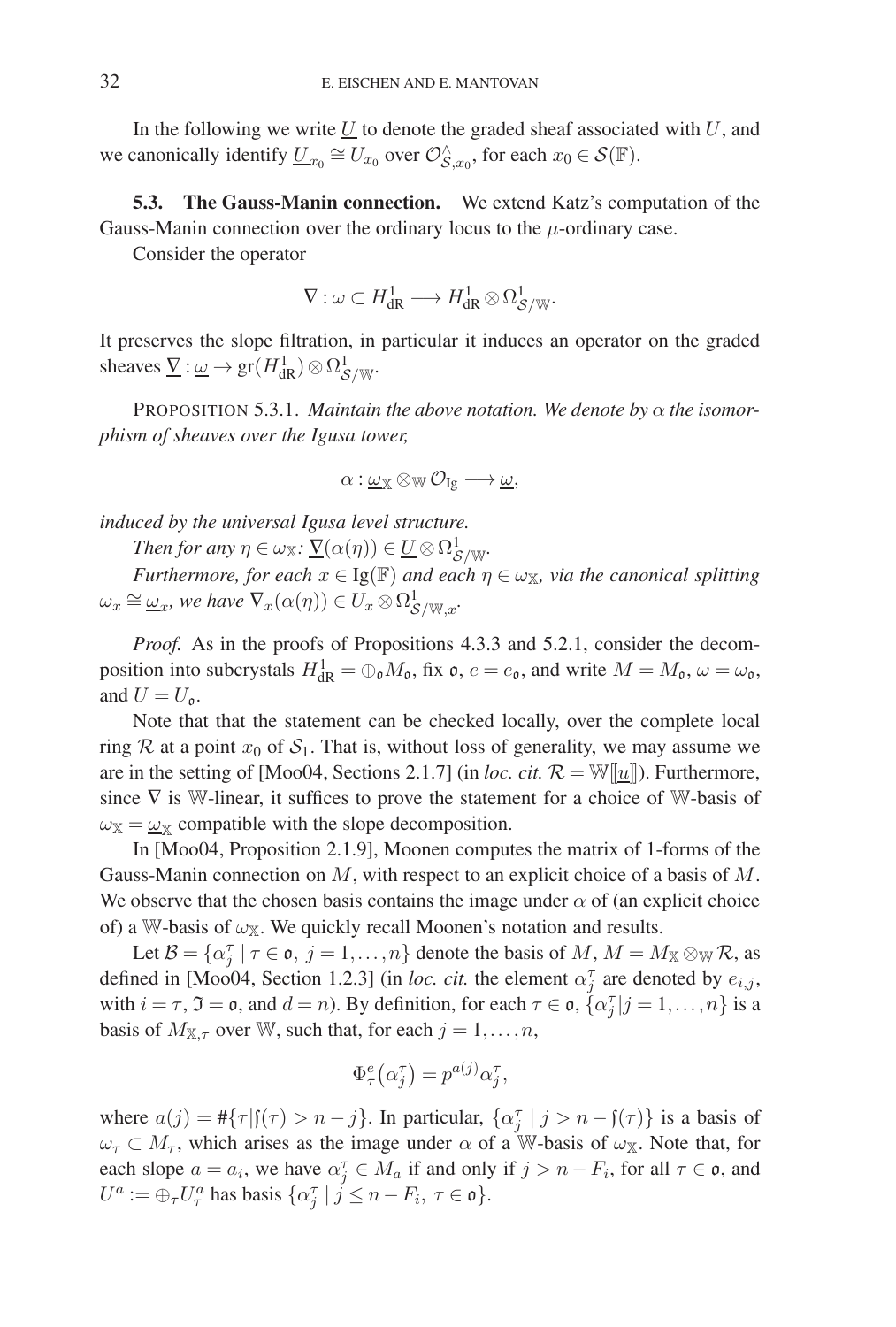In the following we write  $U$  to denote the graded sheaf associated with  $U$ , and we canonically identify  $\underline{U}_{x_0} \cong U_{x_0}$  over  $\mathcal{O}_{S, x_0}^{\wedge}$ , for each  $x_0 \in \mathcal{S}(\mathbb{F})$ .

**5.3. The Gauss-Manin connection.** We extend Katz's computation of the Gauss-Manin connection over the ordinary locus to the  $\mu$ -ordinary case.

Consider the operator

$$
\nabla: \omega \subset H^1_{\mathrm{dR}} \longrightarrow H^1_{\mathrm{dR}} \otimes \Omega^1_{\mathcal{S}/\mathbb{W}}.
$$

It preserves the slope filtration, in particular it induces an operator on the graded sheaves  $\underline{V} : \underline{\omega} \to \text{gr}(H^1_{\text{dR}}) \otimes \Omega^1_{\mathcal{S}/\mathbb{W}}.$ 

PROPOSITION 5.3.1. *Maintain the above notation. We denote by* α *the isomorphism of sheaves over the Igusa tower,*

 $\alpha: \underline{\omega}_{\mathbb{X}} \otimes_{\mathbb{W}} \mathcal{O}_{Ig} \longrightarrow \underline{\omega},$ 

*induced by the universal Igusa level structure.*

*Then for any*  $\eta \in \omega_{\mathbb{X}}$ :  $\underline{\nabla}(\alpha(\eta)) \in \underline{U} \otimes \Omega^1_{\mathcal{S}/\mathbb{W}}$ .

*Furthermore, for each*  $x \in \text{Ig}(\mathbb{F})$  *and each*  $\eta \in \omega_{\mathbb{X}}$ *, via the canonical splitting*  $\omega_x \cong \underline{\omega}_x$ , we have  $\nabla_x(\alpha(\eta)) \in U_x \otimes \Omega^1_{\mathcal{S}/\mathbb{W},x}$ .

*Proof.* As in the proofs of Propositions 4.3.3 and 5.2.1, consider the decomposition into subcrystals  $H^1_{\rm dR} = \bigoplus_{\mathfrak{d}} M_{\mathfrak{d}}$ , fix  $\mathfrak{o}$ ,  $e = e_{\mathfrak{o}}$ , and write  $M = M_{\mathfrak{o}}$ ,  $\omega = \omega_{\mathfrak{o}}$ , and  $U = U_0$ .

Note that that the statement can be checked locally, over the complete local ring R at a point  $x_0$  of  $S_1$ . That is, without loss of generality, we may assume we are in the setting of [Moo04, Sections 2.1.7] (in *loc. cit.*  $\mathcal{R} = \mathbb{W}[[\underline{u}]]$ ). Furthermore, since  $\nabla$  is W-linear, it suffices to prove the statement for a choice of W-basis of  $\omega_{\mathbb{X}} = \underline{\omega}_{\mathbb{X}}$  compatible with the slope decomposition.

In [Moo04, Proposition 2.1.9], Moonen computes the matrix of 1-forms of the Gauss-Manin connection on  $M$ , with respect to an explicit choice of a basis of  $M$ . We observe that the chosen basis contains the image under  $\alpha$  of (an explicit choice of) a W-basis of  $\omega_X$ . We quickly recall Moonen's notation and results.

Let  $B = \{\alpha_j^{\tau} | \tau \in \mathfrak{o}, j = 1, ..., n\}$  denote the basis of M,  $M = M_{\mathbb{X}} \otimes_{\mathbb{W}} \mathcal{R}$ , as defined in [Moo04, Section 1.2.3] (in *loc. cit.* the element  $\alpha_j^{\tau}$  are denoted by  $e_{i,j}$ , with  $i = \tau$ ,  $\mathfrak{I} = \mathfrak{o}$ , and  $d = n$ ). By definition, for each  $\tau \in \mathfrak{o}$ ,  $\{\alpha_j^{\tau} | j = 1, \ldots, n\}$  is a basis of  $M_{\mathbb{X},\tau}$  over W, such that, for each  $j=1,\ldots,n$ ,

$$
\Phi_{\tau}^{e}(\alpha_{j}^{\tau}) = p^{a(j)}\alpha_{j}^{\tau},
$$

where  $a(j) = #{\tau | f(\tau) > n - j}$ . In particular,  $\{\alpha_j^{\tau} | j > n - f(\tau)\}\$ is a basis of  $\omega_{\tau} \subset M_{\tau}$ , which arises as the image under  $\alpha$  of a W-basis of  $\omega_{\mathbb{X}}$ . Note that, for each slope  $a = a_i$ , we have  $\alpha_j^{\tau} \in M_a$  if and only if  $j > n - F_i$ , for all  $\tau \in \mathfrak{o}$ , and  $U^a := \bigoplus_{\tau} U^a_{\tau}$  has basis  $\{\alpha_j^{\tau} \mid j \leq n - F_i, \ \tau \in \mathfrak{o}\}.$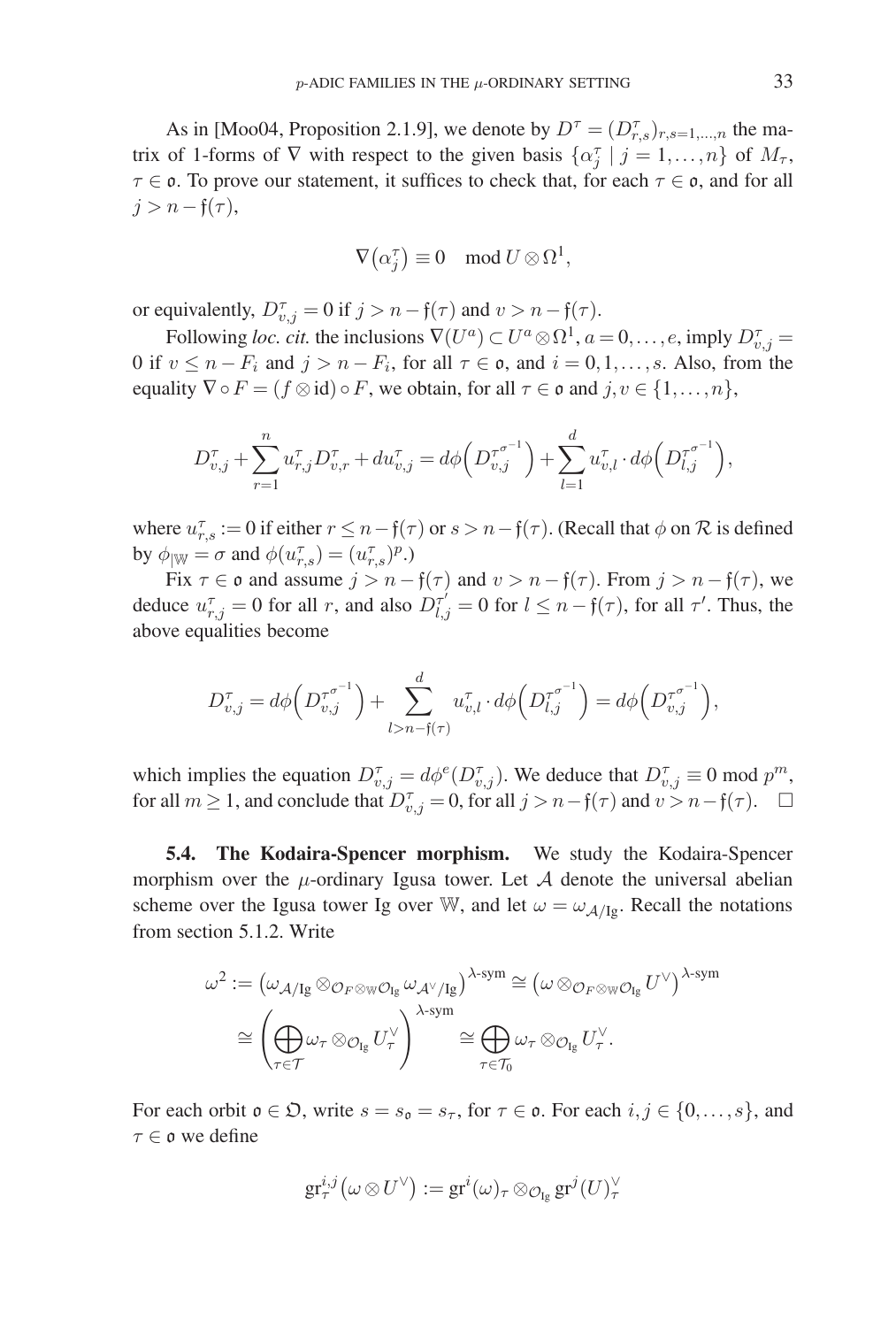As in [Moo04, Proposition 2.1.9], we denote by  $D^{\tau} = (D^{\tau}_{r,s})_{r,s=1,\dots,n}$  the matrix of 1-forms of  $\nabla$  with respect to the given basis  $\{\alpha_j^{\tau} \mid j = 1, \ldots, n\}$  of  $M_{\tau}$ ,  $\tau \in \mathfrak{o}$ . To prove our statement, it suffices to check that, for each  $\tau \in \mathfrak{o}$ , and for all  $j>n-f(\tau)$ ,

$$
\nabla \big(\alpha_j^{\tau}\big) \equiv 0 \mod U \otimes \Omega^1,
$$

or equivalently,  $D_{v,j}^{\tau} = 0$  if  $j > n - f(\tau)$  and  $v > n - f(\tau)$ .

Following *loc. cit.* the inclusions  $\nabla(U^a) \subset U^a \otimes \Omega^1$ ,  $a = 0, \ldots, e$ , imply  $D_{v,j}^{\tau} =$ 0 if  $v \le n - F_i$  and  $j > n - F_i$ , for all  $\tau \in \mathfrak{o}$ , and  $i = 0,1,\ldots,s$ . Also, from the equality  $\nabla \circ F = (f \otimes id) \circ F$ , we obtain, for all  $\tau \in \mathfrak{o}$  and  $j, v \in \{1, ..., n\}$ ,

$$
D_{v,j}^{\tau} + \sum_{r=1}^{n} u_{r,j}^{\tau} D_{v,r}^{\tau} + du_{v,j}^{\tau} = d\phi \left( D_{v,j}^{\tau^{\sigma^{-1}}} \right) + \sum_{l=1}^{d} u_{v,l}^{\tau} \cdot d\phi \left( D_{l,j}^{\tau^{\sigma^{-1}}} \right),
$$

where  $u_{r,s}^{\tau} := 0$  if either  $r \leq n-\mathfrak{f}(\tau)$  or  $s > n-\mathfrak{f}(\tau)$ . (Recall that  $\phi$  on  $\mathcal R$  is defined by  $\phi_{|\mathbb{W}} = \sigma$  and  $\phi(u_{r,s}^{\tau}) = (u_{r,s}^{\tau})^p$ .)

Fix  $\tau \in \mathfrak{o}$  and assume  $j > n - \mathfrak{f}(\tau)$  and  $v > n - \mathfrak{f}(\tau)$ . From  $j > n - \mathfrak{f}(\tau)$ , we deduce  $u_{r,j}^{\tau} = 0$  for all r, and also  $D_{l,j}^{\tau'} = 0$  for  $l \leq n - \mathfrak{f}(\tau)$ , for all  $\tau'$ . Thus, the above equalities become

$$
D_{v,j}^{\tau} = d\phi \left( D_{v,j}^{\tau^{\sigma^{-1}}}\right) + \sum_{l>n-f(\tau)}^{d} u_{v,l}^{\tau} \cdot d\phi \left( D_{l,j}^{\tau^{\sigma^{-1}}}\right) = d\phi \left( D_{v,j}^{\tau^{\sigma^{-1}}}\right),
$$

which implies the equation  $D_{v,j}^{\tau} = d\phi^e(D_{v,j}^{\tau})$ . We deduce that  $D_{v,j}^{\tau} \equiv 0 \mod p^m$ , for all  $m \ge 1$ , and conclude that  $D_{v,j}^{\tau} = 0$ , for all  $j > n-f(\tau)$  and  $v > n-f(\tau)$ .  $\Box$ 

**5.4. The Kodaira-Spencer morphism.** We study the Kodaira-Spencer morphism over the  $\mu$ -ordinary Igusa tower. Let  $\mathcal A$  denote the universal abelian scheme over the Igusa tower Ig over W, and let  $\omega = \omega_{A/Ig}$ . Recall the notations from section 5.1.2. Write

$$
\omega^2 := (\omega_{\mathcal{A}/Ig} \otimes_{\mathcal{O}_F \otimes_{\mathbb{W}} \mathcal{O}_{Ig}} \omega_{\mathcal{A}^\vee/Ig})^{\lambda\text{-sym}} \cong (\omega \otimes_{\mathcal{O}_F \otimes_{\mathbb{W}} \mathcal{O}_{Ig}} U^\vee)^{\lambda\text{-sym}}
$$

$$
\cong \left(\bigoplus_{\tau \in \mathcal{T}} \omega_\tau \otimes_{\mathcal{O}_{Ig}} U_\tau^\vee\right)^{\lambda\text{-sym}} \cong \bigoplus_{\tau \in \mathcal{T}_0} \omega_\tau \otimes_{\mathcal{O}_{Ig}} U_\tau^\vee.
$$

For each orbit  $\mathfrak{o} \in \mathfrak{D}$ , write  $s = s_{\mathfrak{o}} = s_{\tau}$ , for  $\tau \in \mathfrak{o}$ . For each  $i, j \in \{0, \ldots, s\}$ , and τ ∈ o we define

$$
\operatorname{gr}^{i,j}_{\tau}\bigl(\omega \otimes U^\vee\bigr):=\operatorname{gr}^i(\omega)_{\tau} \otimes_{\mathcal{O}_{\operatorname{Ig}}} \operatorname{gr}^j(U)_{\tau}^{\vee}
$$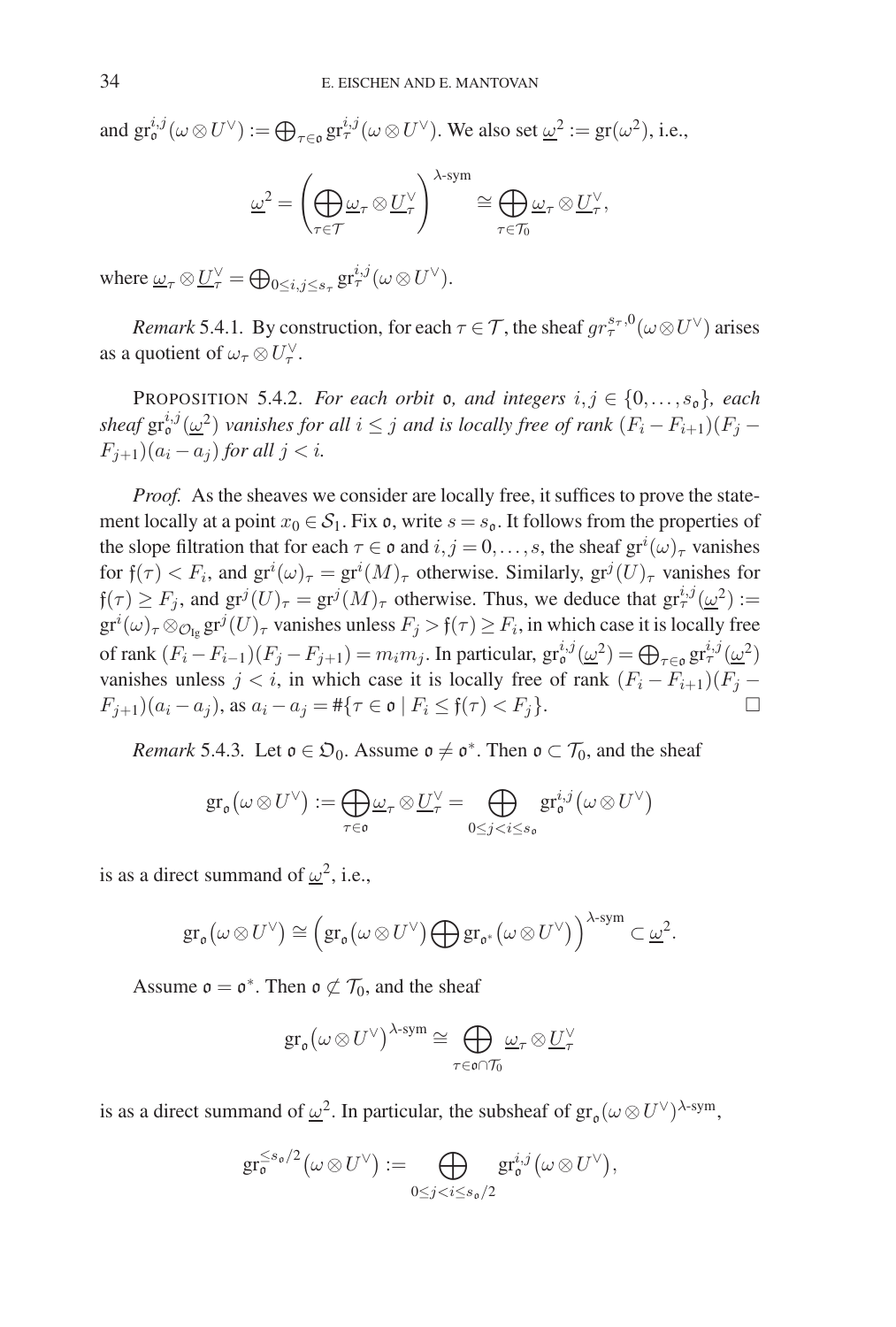and  $gr^{i,j}_{\mathfrak{o}}(\omega \otimes U^{\vee}) := \bigoplus_{\tau \in \mathfrak{o}} gr^{i,j}_{\tau}(\omega \otimes U^{\vee})$ . We also set  $\underline{\omega}^2 := gr(\omega^2)$ , i.e.,

$$
\underline{\omega}^2 = \left(\bigoplus_{\tau \in \mathcal{T}} \underline{\omega}_{\tau} \otimes \underline{U}_{\tau}^{\vee}\right)^{\lambda \text{-sym}} \cong \bigoplus_{\tau \in \mathcal{T}_0} \underline{\omega}_{\tau} \otimes \underline{U}_{\tau}^{\vee},
$$

where  $\underline{\omega}_{\tau} \otimes \underline{U}_{\tau}^{\vee} = \bigoplus_{0 \leq i,j \leq s_{\tau}} \operatorname{gr}_{\tau}^{i,j}(\omega \otimes U^{\vee}).$ 

*Remark* 5.4.1*.* By construction, for each  $\tau \in \mathcal{T}$ , the sheaf  $gr_{\tau}^{s_{\tau},0}(\omega \otimes U^{\vee})$  arises as a quotient of  $\omega_\tau \otimes U_\tau^{\vee}$ .

PROPOSITION 5.4.2. *For each orbit* **o**, and integers  $i, j \in \{0, \ldots, s_0\}$ , each sheaf  $\mathrm{gr}^{i,j}_{\mathfrak{o}}(\underline{\omega}^2)$  *vanishes for all*  $i \leq j$  *and is locally free of rank*  $(F_i - F_{i+1})(F_j F_{i+1}$ ) $(a_i - a_j)$  *for all*  $j < i$ *.* 

*Proof.* As the sheaves we consider are locally free, it suffices to prove the statement locally at a point  $x_0 \in S_1$ . Fix  $\mathfrak{o}$ , write  $s = s_{\mathfrak{o}}$ . It follows from the properties of the slope filtration that for each  $\tau \in \mathfrak{o}$  and  $i, j = 0, \ldots, s$ , the sheaf  $gr^i(\omega)_{\tau}$  vanishes for  $f(\tau) < F_i$ , and  $gr^i(\omega)_{\tau} = gr^i(M)_{\tau}$  otherwise. Similarly,  $gr^j(U)_{\tau}$  vanishes for  $f(\tau) \ge F_j$ , and  $gr^j(U)_{\tau} = gr^j(M)_{\tau}$  otherwise. Thus, we deduce that  $gr^{i,j}_{\tau}(\underline{\omega}^2) :=$  $gr^i(\omega)_{\tau}\otimes_{\mathcal{O}_{\text{Ig}}}gr^j(U)_{\tau}$  vanishes unless  $F_j > \mathfrak{f}(\tau) \geq F_i$ , in which case it is locally free of rank  $(F_i - F_{i-1})(F_j - F_{j+1}) = m_i m_j$ . In particular,  $gr_0^{i,j}(\underline{\omega}^2) = \bigoplus_{\tau \in \mathfrak{o}} gr_\tau^{i,j}(\underline{\omega}^2)$ vanishes unless  $j < i$ , in which case it is locally free of rank  $(F_i - F_{i+1})(F_j - F_{i+1})$  $F_{j+1}(a_i - a_j)$ , as  $a_i - a_j = #\{\tau \in \mathfrak{o} \mid F_i \leq \mathfrak{f}(\tau) < F_j\}.$ 

*Remark* 5.4.3*.* Let  $o \in \mathfrak{O}_0$ . Assume  $o \neq o^*$ . Then  $o \subset \mathcal{T}_0$ , and the sheaf

$$
\operatorname{gr}_{\mathfrak o}(\omega \otimes U^\vee) := \bigoplus_{\tau \in \mathfrak o} \underline{\omega}_{\tau} \otimes \underline{U}_{\tau}^\vee = \bigoplus_{0 \leq j < i \leq s_{\mathfrak o}} \operatorname{gr}_{\mathfrak o}^{i,j}(\omega \otimes U^\vee)
$$

is as a direct summand of  $\omega^2$ , i.e.,

$$
\text{gr}_{\mathfrak o}(\omega \otimes U^\vee) \cong \left(\text{gr}_{\mathfrak o}(\omega \otimes U^\vee) \bigoplus \text{gr}_{\mathfrak o^*}(\omega \otimes U^\vee)\right)^{\lambda\text{-sym}} \subset \underline{\omega}^2.
$$

Assume  $\mathfrak{o} = \mathfrak{o}^*$ . Then  $\mathfrak{o} \not\subset \mathcal{T}_0$ , and the sheaf

$$
\textup{gr}_{\mathfrak{o}}(\omega \otimes U^{\vee})^{\lambda\textup{-sym}} \cong \bigoplus_{\tau \in \mathfrak{o} \cap \mathcal{T}_0} \underline{\omega}_{\tau} \otimes \underline{U}_{\tau}^{\vee}
$$

is as a direct summand of  $\underline{\omega}^2$ . In particular, the subsheaf of  $gr_0(\omega \otimes U^{\vee})^{\lambda\text{-sym}}$ ,

$$
\operatorname{gr}^{\leq s_0/2}_{\mathfrak o} \bigl( \omega \otimes U^\vee \bigr):= \bigoplus_{0 \leq j < i \leq s_0/2} \operatorname{gr}^{i,j}_{\mathfrak o} \bigl( \omega \otimes U^\vee \bigr),
$$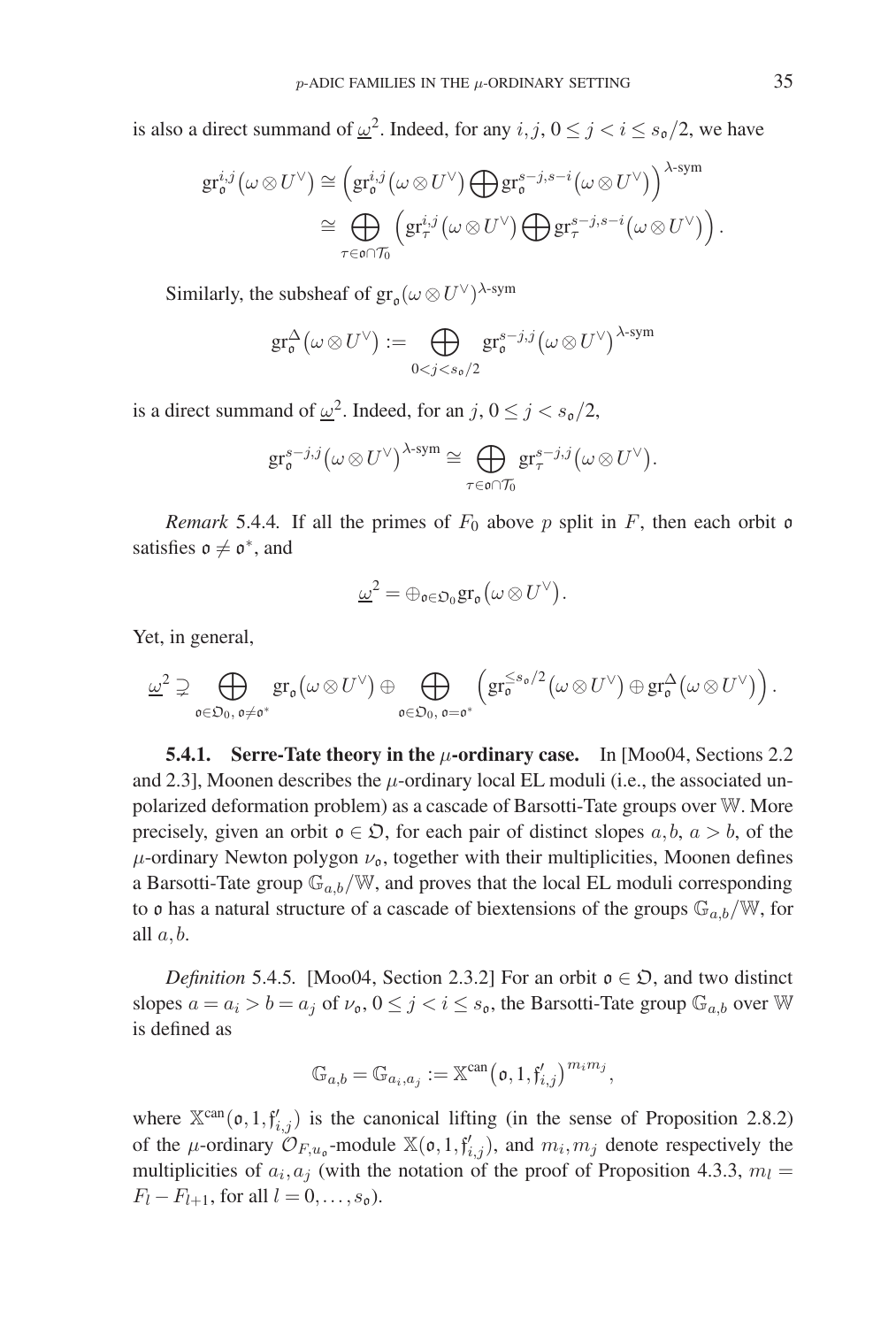is also a direct summand of  $\underline{\omega}^2$ . Indeed, for any  $i, j, 0 \le j < i \le s_0/2$ , we have

$$
\begin{split} \operatorname{gr}^{i,j}_{\mathfrak{o}}\big(\omega \otimes U^{\vee}\big) &\cong \Big(\operatorname{gr}^{i,j}_{\mathfrak{o}}\big(\omega \otimes U^{\vee}\big) \bigoplus \operatorname{gr}^{s-j,s-i}_{\mathfrak{o}}\big(\omega \otimes U^{\vee}\big)\Big)^{\lambda\text{-sym}} \\ &\cong \bigoplus_{\tau \in \mathfrak{o}\cap\mathcal{T}_0} \Big(\operatorname{gr}^{i,j}_{\tau}\big(\omega \otimes U^{\vee}\big) \bigoplus \operatorname{gr}^{s-j,s-i}_{\tau}\big(\omega \otimes U^{\vee}\big)\Big) \, .\end{split}
$$

Similarly, the subsheaf of  $gr_{\alpha}(\omega \otimes U^{\vee})^{\lambda\text{-sym}}$ 

$$
\mathrm{gr}^{\Delta}_{\mathfrak{o}}(\omega \otimes U^{\vee}) := \bigoplus_{0 < j < s_{\mathfrak{o}}/2} \mathrm{gr}^{s-j,j}_{\mathfrak{o}}(\omega \otimes U^{\vee})^{\lambda \text{-sym}}
$$

is a direct summand of  $\underline{\omega}^2$ . Indeed, for an j,  $0 \le j < s_0/2$ ,

$$
\mathrm{gr}^{s-j,j}_{\mathfrak{o}}\big(\omega \otimes U^\vee\big)^{\lambda\text{-sym}} \cong \bigoplus_{\tau \in \mathfrak{o} \cap \mathcal{T}_0} \mathrm{gr}^{s-j,j}_{\tau}\big(\omega \otimes U^\vee\big).
$$

*Remark* 5.4.4. If all the primes of  $F_0$  above p split in F, then each orbit o satisfies  $\mathfrak{o} \neq \mathfrak{o}^*$ , and

$$
\underline{\omega}^2 = \oplus_{\mathfrak{o} \in \mathfrak{O}_0} \mathrm{gr}_{\mathfrak{o}}(\omega \otimes U^{\vee}).
$$

Yet, in general,

$$
\underline{\omega}^2 \supsetneq \bigoplus_{\mathfrak{o}\in\mathfrak{O}_0,\,\mathfrak{o}\neq \mathfrak{o}^*} \mathrm{gr}_{\mathfrak{o}}(\omega \otimes U^{\vee}) \oplus \bigoplus_{\mathfrak{o}\in\mathfrak{O}_0,\,\mathfrak{o}=\mathfrak{o}^*} \left(\mathrm{gr}_{\mathfrak{o}}^{\leq s_{\mathfrak{o}}/2}(\omega \otimes U^{\vee}) \oplus \mathrm{gr}_{\mathfrak{o}}^{\Delta}(\omega \otimes U^{\vee})\right).
$$

**5.4.1. Serre-Tate theory in the** μ**-ordinary case.** In [Moo04, Sections 2.2 and 2.3], Moonen describes the  $\mu$ -ordinary local EL moduli (i.e., the associated unpolarized deformation problem) as a cascade of Barsotti-Tate groups over W. More precisely, given an orbit  $o \in \mathfrak{D}$ , for each pair of distinct slopes  $a, b, a > b$ , of the  $\mu$ -ordinary Newton polygon  $\nu_{\mathfrak{o}}$ , together with their multiplicities, Moonen defines a Barsotti-Tate group  $\mathbb{G}_{a,b}/\mathbb{W}$ , and proves that the local EL moduli corresponding to  $\mathfrak o$  has a natural structure of a cascade of biextensions of the groups  $\mathbb G_{a,b}/\mathbb W$ , for all  $a, b$ .

*Definition* 5.4.5. [Moo04, Section 2.3.2] For an orbit  $o \in \mathfrak{D}$ , and two distinct slopes  $a = a_i > b = a_j$  of  $\nu_o, 0 \le j < i \le s_o$ , the Barsotti-Tate group  $\mathbb{G}_{a,b}$  over W is defined as

$$
\mathbb{G}_{a,b} = \mathbb{G}_{a_i,a_j} := \mathbb{X}^{\text{can}}(\mathfrak{o},1,\mathfrak{f}'_{i,j})^{m_i m_j},
$$

where  $\mathbb{X}^{\text{can}}(\mathfrak{o}, 1, \mathfrak{f}'_{i,j})$  is the canonical lifting (in the sense of Proposition 2.8.2) of the *μ*-ordinary  $\mathcal{O}_{F,u_0}$ -module  $\mathbb{X}(\mathfrak{o},1,\mathfrak{f}_{i,j}')$ , and  $m_i,m_j$  denote respectively the multiplicities of  $a_i, a_j$  (with the notation of the proof of Proposition 4.3.3,  $m_l =$  $F_l - F_{l+1}$ , for all  $l = 0, \ldots, s_0$ .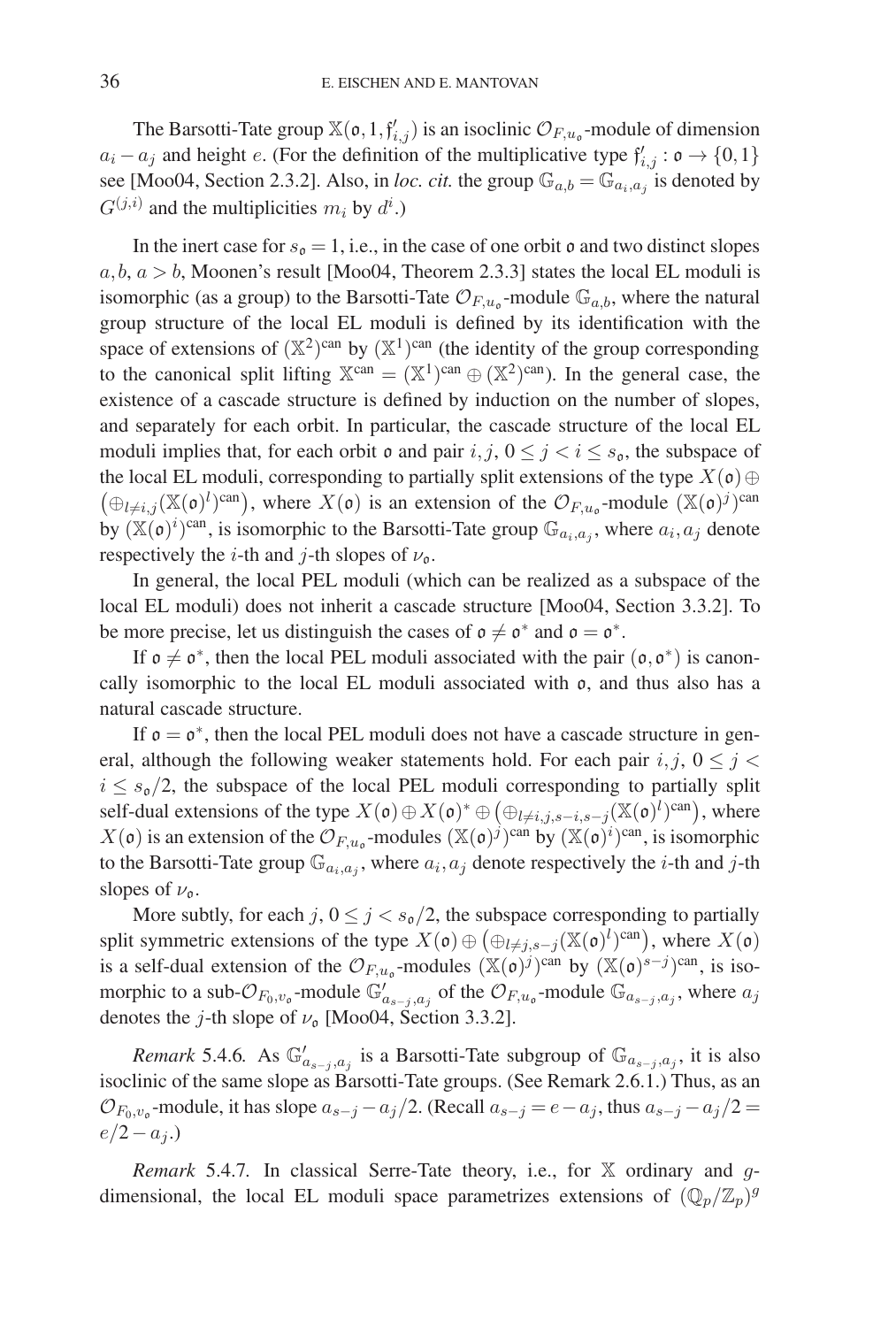The Barsotti-Tate group  $\mathbb{X}(\mathfrak{o}, 1, \mathfrak{f}'_{i,j})$  is an isoclinic  $\mathcal{O}_{F, u_{\mathfrak{o}}}$ -module of dimension  $a_i - a_j$  and height e. (For the definition of the multiplicative type  $\mathfrak{f}'_{i,j} : \mathfrak{o} \to \{0,1\}$ see [Moo04, Section 2.3.2]. Also, in *loc. cit.* the group  $\mathbb{G}_{a,b} = \mathbb{G}_{a_i,a_j}$  is denoted by  $G^{(j,i)}$  and the multiplicities  $m_i$  by  $d^i$ .)

In the inert case for  $s_0 = 1$ , i.e., in the case of one orbit  $\mathfrak o$  and two distinct slopes  $a, b, a > b$ , Moonen's result [Moo04, Theorem 2.3.3] states the local EL moduli is isomorphic (as a group) to the Barsotti-Tate  $\mathcal{O}_{F,u_0}$ -module  $\mathbb{G}_{a,b}$ , where the natural group structure of the local EL moduli is defined by its identification with the space of extensions of  $(\mathbb{X}^2)^{can}$  by  $(\mathbb{X}^1)^{can}$  (the identity of the group corresponding to the canonical split lifting  $\mathbb{X}^{can} = (\mathbb{X}^1)^{can} \oplus (\mathbb{X}^2)^{can}$ ). In the general case, the existence of a cascade structure is defined by induction on the number of slopes, and separately for each orbit. In particular, the cascade structure of the local EL moduli implies that, for each orbit  $\mathfrak o$  and pair  $i, j, 0 \leq j < i \leq s_{\mathfrak o}$ , the subspace of the local EL moduli, corresponding to partially split extensions of the type  $X(\mathfrak{o}) \oplus$  $(\bigoplus_{l\neq i,j} (\mathbb{X}(\mathfrak{o})^l)^{\text{can}})$ , where  $X(\mathfrak{o})$  is an extension of the  $\mathcal{O}_{F,u_{\mathfrak{o}}}$ -module  $(\mathbb{X}(\mathfrak{o})^j)^{\text{can}}$ by  $(\mathbb{X}(\mathfrak{o})^i)$ <sup>can</sup>, is isomorphic to the Barsotti-Tate group  $\mathbb{G}_{a_i, a_j}$ , where  $a_i, a_j$  denote respectively the *i*-th and *j*-th slopes of  $\nu_{\text{o}}$ .

In general, the local PEL moduli (which can be realized as a subspace of the local EL moduli) does not inherit a cascade structure [Moo04, Section 3.3.2]. To be more precise, let us distinguish the cases of  $\mathfrak{o} \neq \mathfrak{o}^*$  and  $\mathfrak{o} = \mathfrak{o}^*$ .

If  $\mathfrak{o} \neq \mathfrak{o}^*$ , then the local PEL moduli associated with the pair  $(\mathfrak{o}, \mathfrak{o}^*)$  is canoncally isomorphic to the local EL moduli associated with o, and thus also has a natural cascade structure.

If  $\mathfrak{o} = \mathfrak{o}^*$ , then the local PEL moduli does not have a cascade structure in general, although the following weaker statements hold. For each pair  $i, j, 0 \leq j <$  $i \leq s_0/2$ , the subspace of the local PEL moduli corresponding to partially split self-dual extensions of the type  $X(\mathfrak{o}) \oplus X(\mathfrak{o})^* \oplus (\oplus_{l \neq i,j,s-i,s-j} (\mathbb{X}(\mathfrak{o})^l)^{can}),$  where  $X(\mathfrak{o})$  is an extension of the  $\mathcal{O}_{F,u_{\mathfrak{o}}}$ -modules  $(\mathbb{X}(\mathfrak{o})^j)^{\text{can}}$  by  $(\mathbb{X}(\mathfrak{o})^i)^{\text{can}}$ , is isomorphic to the Barsotti-Tate group  $\mathbb{G}_{a_i,a_j}$ , where  $a_i, a_j$  denote respectively the *i*-th and *j*-th slopes of  $\nu_{\mathfrak{o}}$ .

More subtly, for each j,  $0 \le j < s_0/2$ , the subspace corresponding to partially split symmetric extensions of the type  $X(\mathfrak{o}) \oplus (\bigoplus_{l \neq j, s-j} (\mathbb{X}(\mathfrak{o})^l)^{\text{can}})$ , where  $X(\mathfrak{o})$ is a self-dual extension of the  $\mathcal{O}_{F,u_0}$ -modules  $(\mathbb{X}(\mathfrak{o})^j)^{\text{can}}$  by  $(\mathbb{X}(\mathfrak{o})^{s-j})^{\text{can}}$ , is isomorphic to a sub- $\mathcal{O}_{F_0,v_0}$ -module  $\mathbb{G}'_{a_{s-j},a_j}$  of the  $\mathcal{O}_{F,u_0}$ -module  $\mathbb{G}_{a_{s-j},a_j}$ , where  $a_j$ denotes the *j*-th slope of  $\nu_0$  [Moo04, Section 3.3.2].

*Remark* 5.4.6*.* As  $\mathbb{G}'_{a_{s-j},a_j}$  is a Barsotti-Tate subgroup of  $\mathbb{G}_{a_{s-j},a_j}$ , it is also linic of the come clange Remarki Tate groups. (See Remark 2.6.1.) Thus, as an isoclinic of the same slope as Barsotti-Tate groups. (See Remark 2.6.1.) Thus, as an  $\mathcal{O}_{F_0,v_0}$ -module, it has slope  $a_{s-j} - a_j/2$ . (Recall  $a_{s-j} = e - a_j$ , thus  $a_{s-j} - a_j/2 =$  $e/2-a_j$ .)

*Remark* 5.4.7. In classical Serre-Tate theory, i.e., for X ordinary and gdimensional, the local EL moduli space parametrizes extensions of  $(\mathbb{Q}_p/\mathbb{Z}_p)^g$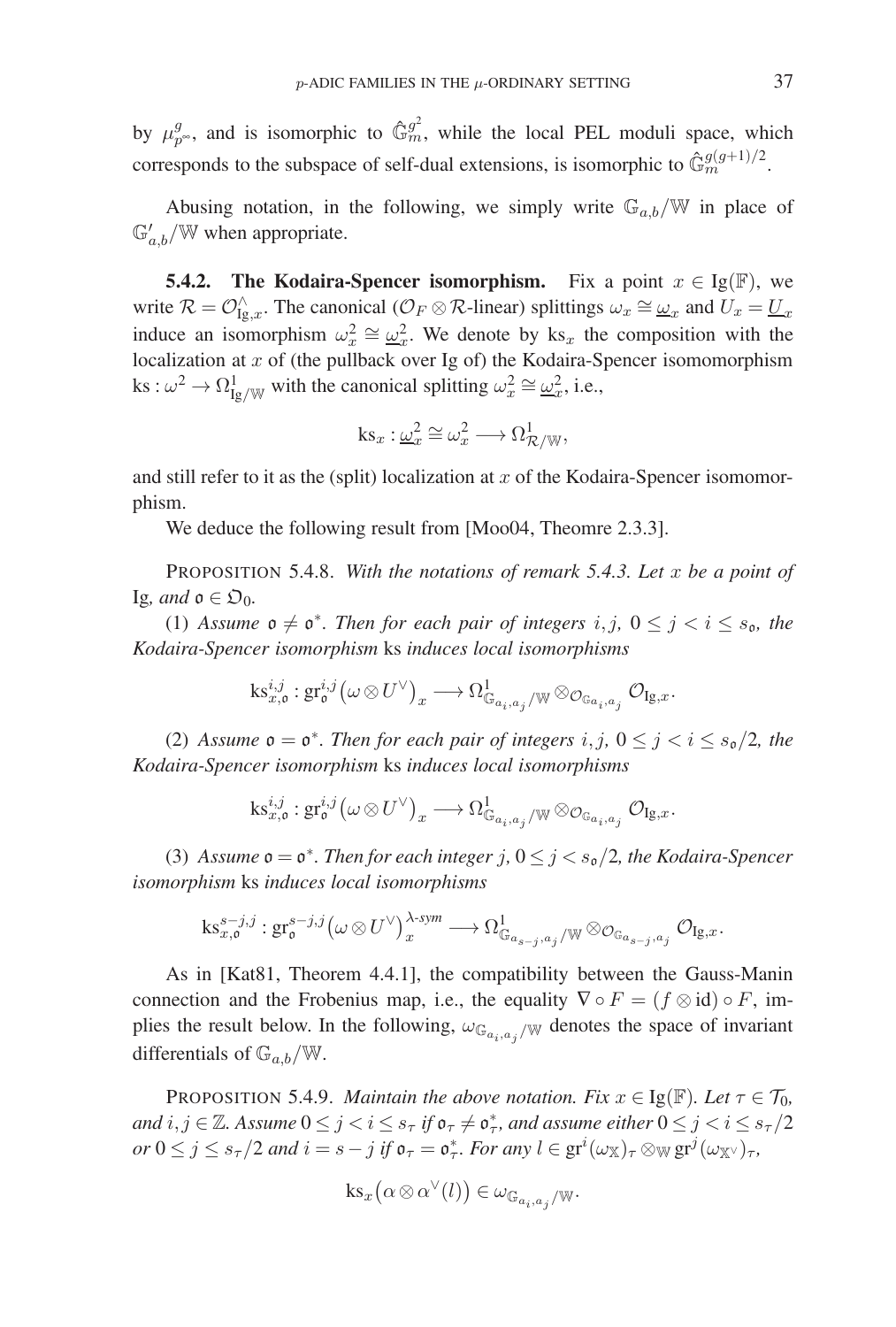by  $\mu_{p^{\infty}}^g$ , and is isomorphic to  $\hat{\mathbb{G}}_m^{\hat{g}^2}$ , while the local PEL moduli space, which corresponds to the subspace of self-dual extensions, is isomorphic to  $\hat{\mathbb{G}}_m^{g(g+1)/2}$ .

Abusing notation, in the following, we simply write  $\mathbb{G}_{a,b}/\mathbb{W}$  in place of  $\mathbb{G}'_{a,b}/\mathbb{W}$  when appropriate.

**5.4.2.** The Kodaira-Spencer isomorphism. Fix a point  $x \in \text{Ig}(\mathbb{F})$ , we write  $\mathcal{R} = \mathcal{O}_{\text{Ig},x}^{\wedge}$ . The canonical ( $\mathcal{O}_F \otimes \mathcal{R}$ -linear) splittings  $\omega_x \cong \underline{\omega}_x$  and  $U_x = \underline{U}_x$ induce an isomorphism  $\omega_x^2 \cong \underline{\omega}_x^2$ . We denote by ks<sub>x</sub> the composition with the localization at  $x$  of (the pullback over Ig of) the Kodaira-Spencer isomomorphism ks :  $\omega^2 \to \Omega^1_{\text{Ig/W}}$  with the canonical splitting  $\omega_x^2 \cong \underline{\omega}_x^2$ , i.e.,

$$
ks_x: \underline{\omega}_x^2 \cong \omega_x^2 \longrightarrow \Omega_{\mathcal{R}/\mathbb{W}}^1,
$$

and still refer to it as the (split) localization at  $x$  of the Kodaira-Spencer isomomorphism.

We deduce the following result from [Moo04, Theomre 2.3.3].

PROPOSITION 5.4.8. *With the notations of remark 5.4.3. Let* x *be a point of* Ig*, and*  $\mathfrak{o} \in \mathfrak{O}_0$ .

(1) Assume  $\mathfrak{o} \neq \mathfrak{o}^*$ . Then for each pair of integers i, j,  $0 \leq j \leq i \leq s_{\mathfrak{o}}$ , the *Kodaira-Spencer isomorphism* ks *induces local isomorphisms*

$$
\textnormal{ks}^{i,j}_{x,{\mathfrak o}}: \textnormal{gr}^{i,j}_{\mathfrak o} \big( \omega \otimes U^\vee \big)_x \longrightarrow \Omega^1_{{\mathbb G}_{a_i,a_j} / {\mathbb W}} \otimes_{\mathcal{O}_{{\mathbb G}_{a_i,a_j}}} \mathcal{O}_{\textnormal{Ig},x}.
$$

(2) Assume  $\mathfrak{o} = \mathfrak{o}^*$ *. Then for each pair of integers*  $i, j, 0 \leq j < i \leq s_{\mathfrak{o}}/2$ *, the Kodaira-Spencer isomorphism* ks *induces local isomorphisms*

$$
\text{ks}^{i,j}_{x,\mathfrak{o}}: \text{gr}^{i,j}_{\mathfrak{o}}\left(\omega \otimes U^\vee \right)_x \longrightarrow \Omega^1_{\mathbb{G}_{a_i,a_j}/\mathbb{W}} \otimes_{\mathcal{O}_{\mathbb{G}_{a_i,a_j}}} \mathcal{O}_{\text{Ig},x}.
$$

(3) Assume  $\mathfrak{o} = \mathfrak{o}^*$ . Then for each integer j,  $0 \leq j < s_{\mathfrak{o}}/2$ , the Kodaira-Spencer *isomorphism* ks *induces local isomorphisms*

$$
\mathrm{ks}^{s-j,j}_{x,\mathfrak{o}}: \mathrm{gr}^{s-j,j}_{\mathfrak{o}}\big(\omega \otimes U^\vee\big)^{\lambda\text{-sym}}_x \longrightarrow \Omega^1_{\mathbb{G}_{a_{s-j},a_j}/\mathbb{W}} \otimes_{\mathcal{O}_{\mathbb{G}_{a_{s-j},a_j}}} \mathcal{O}_{\mathrm{Ig},x}.
$$

As in [Kat81, Theorem 4.4.1], the compatibility between the Gauss-Manin connection and the Frobenius map, i.e., the equality  $\nabla \circ F = (f \otimes id) \circ F$ , implies the result below. In the following,  $\omega_{\mathbb{G}_{a_i,a_j}}$  w denotes the space of invariant differentials of  $\mathbb{G}_{a,b}/\mathbb{W}$ .

**PROPOSITION 5.4.9.** *Maintain the above notation. Fix*  $x \in \text{Ig}(\mathbb{F})$ *. Let*  $\tau \in \mathcal{T}_0$ *,* and  $i, j \in \mathbb{Z}$ . Assume  $0 \leq j < i \leq s_\tau$  if  $\mathfrak{o}_\tau \neq \mathfrak{o}_\tau^*$ , and assume either  $0 \leq j < i \leq s_\tau/2$  $or$   $0 \le j \le s_\tau/2$  *and*  $i = s - j$  *if*  $\mathfrak{o}_\tau = \mathfrak{o}_\tau^*$ *. For any*  $l \in \text{gr}^i(\omega_{\mathbb{X}})_{\tau} \otimes_{\mathbb{W}} \text{gr}^j(\omega_{\mathbb{X}})_{\tau}$ *,* 

$$
ks_x(\alpha\otimes\alpha^{\vee}(l))\in \omega_{\mathbb{G}_{a_i,a_j}/\mathbb{W}}.
$$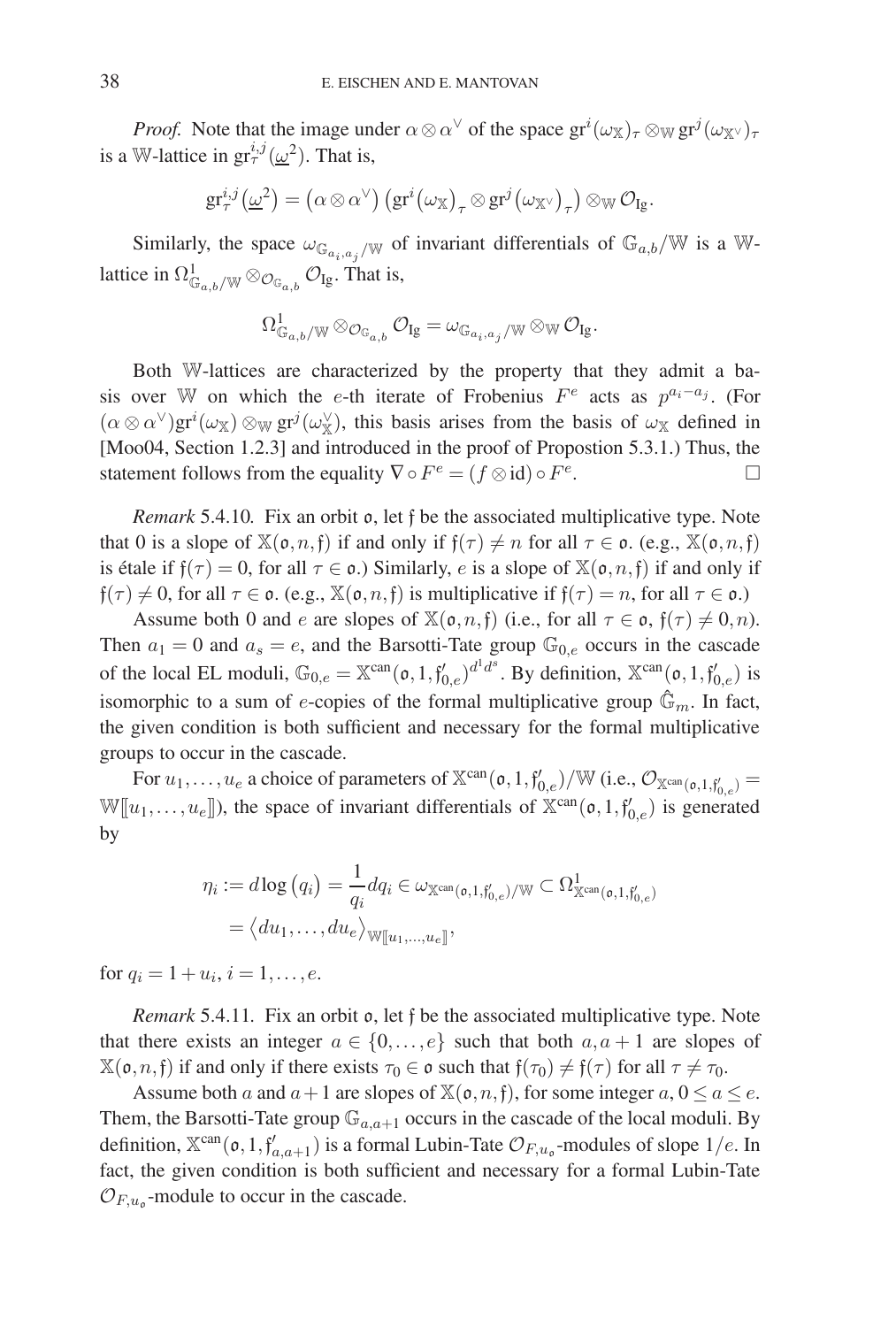*Proof.* Note that the image under  $\alpha \otimes \alpha^{\vee}$  of the space  $gr^{i}(\omega_{\mathbb{X}})_{\tau} \otimes_{\mathbb{W}} gr^{j}(\omega_{\mathbb{X}})_{\tau}$ is a W-lattice in  $gr^{i,j}_{\tau}(\underline{\omega}^2)$ . That is,

$$
\mathrm{gr}^{i,j}_{\tau}\left(\underline{\omega}^2\right)=\left(\alpha\otimes\alpha^\vee\right)\left(\mathrm{gr}^i\!\left(\omega_\mathbb{X}\right)_\tau\otimes\mathrm{gr}^j\!\left(\omega_{\mathbb{X}^\vee}\right)_\tau\right)\otimes_{\mathbb{W}}\mathcal{O}_{\mathrm{Ig}}.
$$

Similarly, the space  $\omega_{\mathbb{G}_{a_i,a_j}/\mathbb{W}}$  of invariant differentials of  $\mathbb{G}_{a,b}/\mathbb{W}$  is a Wlattice in  $\Omega^1_{\mathbb{G}_{a,b}/\mathbb{W}} \otimes_{\mathcal{O}_{\mathbb{G}_{a,b}}} \mathcal{O}_{\mathrm{Ig}}$ . That is,

$$
\Omega^1_{\mathbb{G}_{a,b}/\mathbb{W}}\otimes_{\mathcal{O}_{\mathbb{G}_{a,b}}}\mathcal{O}_{Ig}=\omega_{\mathbb{G}_{a_i,a_j}/\mathbb{W}}\otimes_{\mathbb{W}}\mathcal{O}_{Ig}.
$$

Both W-lattices are characterized by the property that they admit a basis over W on which the e-th iterate of Frobenius  $F^e$  acts as  $p^{a_i-a_j}$ . (For  $(\alpha \otimes \alpha^{\vee})$ gr<sup>i</sup>( $\omega_{\mathbb{X}}$ )  $\otimes_{\mathbb{W}}$  gr<sup>j</sup>( $\omega_{\mathbb{X}}^{\vee}$ ), this basis arises from the basis of  $\omega_{\mathbb{X}}$  defined in [Moo04, Section 1.2.3] and introduced in the proof of Propostion 5.3.1.) Thus, the statement follows from the equality  $\nabla \circ F^e = (f \otimes id) \circ F^e$ .

*Remark* 5.4.10*.* Fix an orbit o, let f be the associated multiplicative type. Note that 0 is a slope of  $\mathbb{X}(\mathfrak{o}, n, \mathfrak{f})$  if and only if  $\mathfrak{f}(\tau) \neq n$  for all  $\tau \in \mathfrak{o}$ . (e.g.,  $\mathbb{X}(\mathfrak{o}, n, \mathfrak{f})$ is étale if  $f(\tau) = 0$ , for all  $\tau \in \mathfrak{o}$ .) Similarly, e is a slope of  $\mathbb{X}(\mathfrak{o}, n, \mathfrak{f})$  if and only if  $f(\tau) \neq 0$ , for all  $\tau \in \mathfrak{o}$ . (e.g.,  $\mathbb{X}(\mathfrak{o}, n, \mathfrak{f})$  is multiplicative if  $f(\tau) = n$ , for all  $\tau \in \mathfrak{o}$ .)

Assume both 0 and e are slopes of  $\mathbb{X}(\mathfrak{o}, n, \mathfrak{f})$  (i.e., for all  $\tau \in \mathfrak{o}, \mathfrak{f}(\tau) \neq 0, n$ ). Then  $a_1 = 0$  and  $a_s = e$ , and the Barsotti-Tate group  $\mathbb{G}_{0,e}$  occurs in the cascade of the local EL moduli,  $\mathbb{G}_{0,e} = \mathbb{X}^{\text{can}}(\mathfrak{o}, 1, \mathfrak{f}_{0,e}')^{d^1 d^s}$ . By definition,  $\mathbb{X}^{\text{can}}(\mathfrak{o}, 1, \mathfrak{f}_{0,e}')$  is isomorphic to a sum of e-copies of the formal multiplicative group  $\hat{\mathbb{G}}_m$ . In fact, the given condition is both sufficient and necessary for the formal multiplicative groups to occur in the cascade.

For  $u_1, \ldots, u_e$  a choice of parameters of  $\mathbb{X}^{\text{can}}(\mathfrak{o}, 1, \mathfrak{f}_{0,e}')/\mathbb{W}$  (i.e.,  $\mathcal{O}_{\mathbb{X}^{\text{can}}(\mathfrak{o}, 1, \mathfrak{f}_{0,e}') =$  $\mathbb{W}[\![u_1,\ldots,u_e]\!]$ ), the space of invariant differentials of  $\mathbb{X}^{\text{can}}(\mathfrak{o},1,\mathfrak{f}'_{0,e})$  is generated by

$$
\eta_i := d \log \left( q_i \right) = \frac{1}{q_i} d q_i \in \omega_{\mathbb{X}^{\text{can}}(\mathfrak{o},1,\mathfrak{f}_{0,e}')/\mathbb{W}} \subset \Omega^1_{\mathbb{X}^{\text{can}}(\mathfrak{o},1,\mathfrak{f}_{0,e}')} = \langle du_1, \ldots, du_e \rangle_{\mathbb{W}[\![u_1, \ldots, u_e]\!]},
$$

for  $q_i = 1 + u_i, i = 1, \ldots, e$ .

*Remark* 5.4.11*.* Fix an orbit o, let f be the associated multiplicative type. Note that there exists an integer  $a \in \{0, \ldots, e\}$  such that both  $a, a + 1$  are slopes of  $\mathbb{X}(\mathfrak{o}, n, \mathfrak{f})$  if and only if there exists  $\tau_0 \in \mathfrak{o}$  such that  $\mathfrak{f}(\tau_0) \neq \mathfrak{f}(\tau)$  for all  $\tau \neq \tau_0$ .

Assume both a and  $a+1$  are slopes of  $\mathbb{X}(\mathfrak{o}, n, \mathfrak{f})$ , for some integer  $a, 0 \le a \le e$ . Them, the Barsotti-Tate group  $\mathbb{G}_{a,a+1}$  occurs in the cascade of the local moduli. By definition,  $\mathbb{X}^{\text{can}}(\mathfrak{o}, 1, \mathfrak{f}'_{a,a+1})$  is a formal Lubin-Tate  $\mathcal{O}_{F,u_{\mathfrak{o}}}$ -modules of slope  $1/e$ . In fact, the given condition is both sufficient and necessary for a formal Lubin-Tate  $\mathcal{O}_{F,u_0}$ -module to occur in the cascade.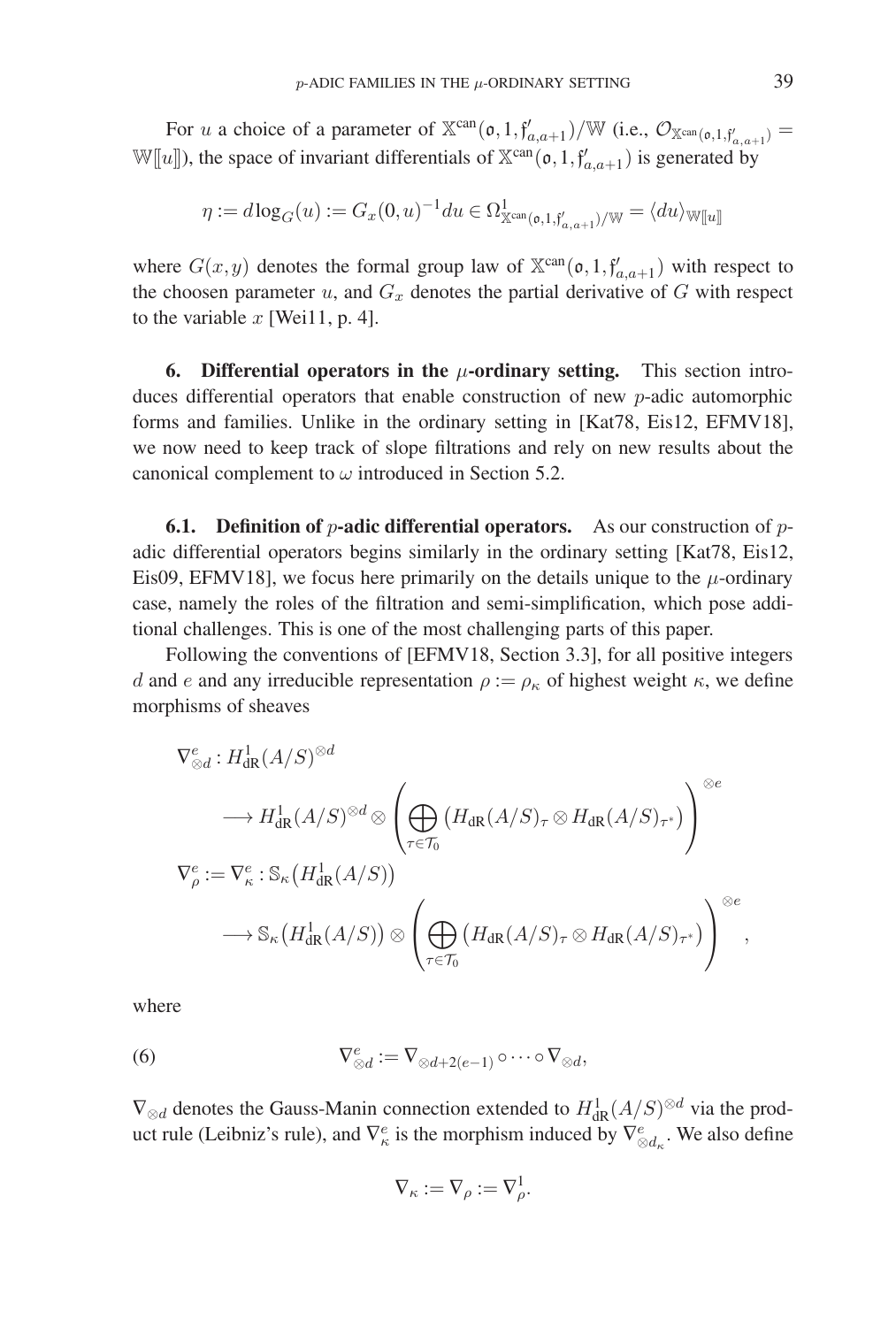For u a choice of a parameter of  $X^{can}(\mathfrak{o}, 1, f'_{a,a+1})/W$  (i.e.,  $\mathcal{O}_{X^{can}(\mathfrak{o}, 1, f'_{a,a+1})} =$  $\mathbb{W}[\![u]\!]$ ), the space of invariant differentials of  $\mathbb{X}^{\text{can}}(\mathfrak{o},1,\mathfrak{f}'_{a,a+1})$  is generated by

$$
\eta := d \log_G(u) := G_x(0, u)^{-1} du \in \Omega^1_{\mathbb{X}^{\text{can}}(\mathfrak{o}, 1, \mathfrak{f}'_{a, a+1})/\mathbb{W}} = \langle du \rangle_{\mathbb{W}[[u]]}
$$

where  $G(x, y)$  denotes the formal group law of  $\mathbb{X}^{\text{can}}(\mathfrak{o}, 1, \mathfrak{f}'_{a,a+1})$  with respect to the choosen parameter  $u$ , and  $G_x$  denotes the partial derivative of  $G$  with respect to the variable  $x$  [Wei11, p. 4].

**6. Differential operators in the** μ**-ordinary setting.** This section introduces differential operators that enable construction of new p-adic automorphic forms and families. Unlike in the ordinary setting in [Kat78, Eis12, EFMV18], we now need to keep track of slope filtrations and rely on new results about the canonical complement to  $\omega$  introduced in Section 5.2.

**6.1. Definition of p-adic differential operators.** As our construction of padic differential operators begins similarly in the ordinary setting [Kat78, Eis12, Eis09, EFMV18], we focus here primarily on the details unique to the  $\mu$ -ordinary case, namely the roles of the filtration and semi-simplification, which pose additional challenges. This is one of the most challenging parts of this paper.

Following the conventions of [EFMV18, Section 3.3], for all positive integers d and e and any irreducible representation  $\rho := \rho_{\kappa}$  of highest weight  $\kappa$ , we define morphisms of sheaves

$$
\nabla_{\otimes d}^{e}: H_{\mathrm{dR}}^{1}(A/S)^{\otimes d} \otimes \left( \bigoplus_{\tau \in \mathcal{T}_{0}} (H_{\mathrm{dR}}(A/S)_{\tau} \otimes H_{\mathrm{dR}}(A/S)_{\tau^{*}}) \right)^{\otimes e}
$$
  
\n
$$
\nabla_{\rho}^{e} := \nabla_{\kappa}^{e} : \mathbb{S}_{\kappa} (H_{\mathrm{dR}}^{1}(A/S))
$$
  
\n
$$
\longrightarrow \mathbb{S}_{\kappa} (H_{\mathrm{dR}}^{1}(A/S)) \otimes \left( \bigoplus_{\tau \in \mathcal{T}_{0}} (H_{\mathrm{dR}}(A/S)_{\tau} \otimes H_{\mathrm{dR}}(A/S)_{\tau^{*}}) \right)^{\otimes e},
$$

where

(6) 
$$
\nabla^e_{\otimes d} := \nabla_{\otimes d + 2(e-1)} \circ \cdots \circ \nabla_{\otimes d},
$$

 $\nabla_{\otimes d}$  denotes the Gauss-Manin connection extended to  $H^1_{\text{dR}}(A/S)^{\otimes d}$  via the product rule (Leibniz's rule), and  $\nabla^e_{\kappa}$  is the morphism induced by  $\nabla^e_{\otimes d_{\kappa}}$ . We also define

$$
\nabla_{\kappa} := \nabla_{\rho} := \nabla_{\rho}^1.
$$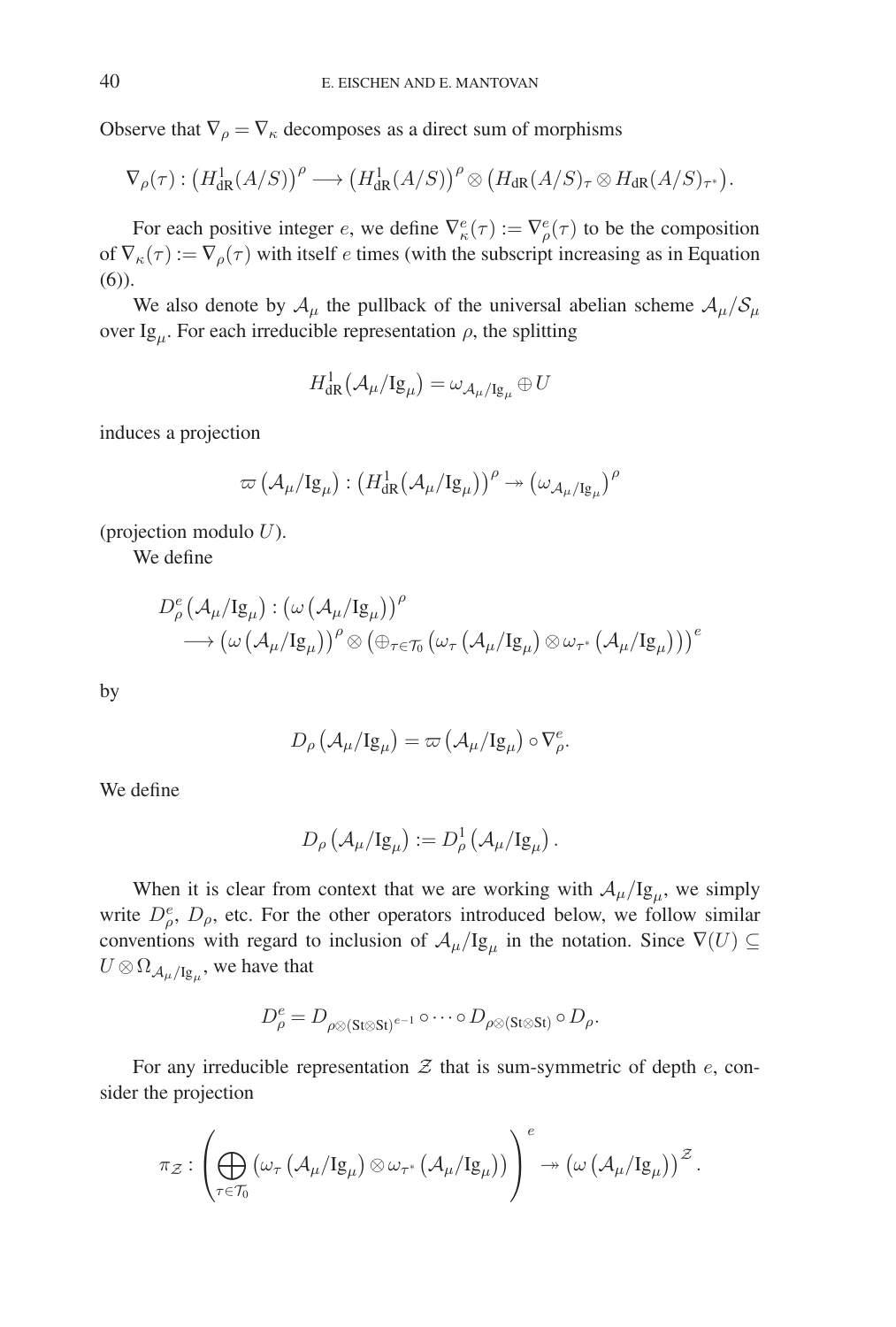Observe that  $\nabla_{\rho} = \nabla_{\kappa}$  decomposes as a direct sum of morphisms

$$
\nabla_{\rho}(\tau) : (H^1_{\mathrm{dR}}(A/S))^{\rho} \longrightarrow (H^1_{\mathrm{dR}}(A/S))^{\rho} \otimes (H_{\mathrm{dR}}(A/S)_{\tau} \otimes H_{\mathrm{dR}}(A/S)_{\tau^*}).
$$

For each positive integer e, we define  $\nabla^e_{\kappa}(\tau) := \nabla^e_{\rho}(\tau)$  to be the composition of  $\nabla_{\kappa}(\tau) := \nabla_{\rho}(\tau)$  with itself e times (with the subscript increasing as in Equation (6)).

We also denote by  $A_\mu$  the pullback of the universal abelian scheme  $A_\mu/S_\mu$ over Ig<sub>u</sub>. For each irreducible representation  $\rho$ , the splitting

$$
H^1_{\mathrm{dR}}\big(\mathcal{A}_\mu/\mathrm{Ig}_\mu\big)=\omega_{\mathcal{A}_\mu/\mathrm{Ig}_\mu}\oplus U
$$

induces a projection

$$
\varpi\left(\mathcal{A}_\mu/Ig_\mu\right):\left(H^1_{\mathrm{dR}}\big(\mathcal{A}_\mu/Ig_\mu\big)\right)^{\rho}\twoheadrightarrow\left(\omega_{\mathcal{A}_\mu/Ig_\mu}\right)^{\rho}
$$

(projection modulo  $U$ ).

We define

$$
\begin{split} D^e_\rho \left(\mathcal{A}_\mu/ \mathrm{Ig}_\mu\right) & : \left(\omega \left(\mathcal{A}_\mu/ \mathrm{Ig}_\mu\right)\right)^\rho \\ & \longrightarrow \left(\omega \left(\mathcal{A}_\mu/ \mathrm{Ig}_\mu\right)\right)^\rho \otimes \left(\oplus_{\tau \in \mathcal{T}_0} \left(\omega_\tau \left(\mathcal{A}_\mu/ \mathrm{Ig}_\mu\right) \otimes \omega_{\tau^*} \left(\mathcal{A}_\mu/ \mathrm{Ig}_\mu\right)\right)\right)^\rho \end{split}
$$

by

$$
D_{\rho}(\mathcal{A}_{\mu}/\mathrm{Ig}_{\mu}) = \varpi (\mathcal{A}_{\mu}/\mathrm{Ig}_{\mu}) \circ \nabla_{\rho}^{e}.
$$

We define

$$
D_{\rho}\left(\mathcal{A}_{\mu}/\mathrm{Ig}_{\mu}\right):=D_{\rho}^{1}\left(\mathcal{A}_{\mu}/\mathrm{Ig}_{\mu}\right).
$$

When it is clear from context that we are working with  $A_\mu/Ig_\mu$ , we simply write  $D^e_{\rho}$ ,  $D_{\rho}$ , etc. For the other operators introduced below, we follow similar conventions with regard to inclusion of  $\mathcal{A}_{\mu}/Ig_{\mu}$  in the notation. Since  $\nabla(U) \subseteq$  $U \otimes \Omega_{\mathcal{A}_{\mu}/\mathrm{Ig}_{\mu}}$ , we have that

$$
D^e_\rho = D_{\rho \otimes (\text{St} \otimes \text{St})^{e-1}} \circ \cdots \circ D_{\rho \otimes (\text{St} \otimes \text{St})} \circ D_\rho.
$$

For any irreducible representation  $\mathcal Z$  that is sum-symmetric of depth  $e$ , consider the projection

$$
\pi_{\mathcal{Z}}: \left(\bigoplus_{\tau\in\mathcal{T}_0}\left(\omega_\tau\left(\mathcal{A}_\mu/\mathrm{Ig}_\mu\right)\otimes\omega_{\tau^*}\left(\mathcal{A}_\mu/\mathrm{Ig}_\mu\right)\right)\right)^e\twoheadrightarrow \left(\omega\left(\mathcal{A}_\mu/\mathrm{Ig}_\mu\right)\right)^{\mathcal{Z}}.
$$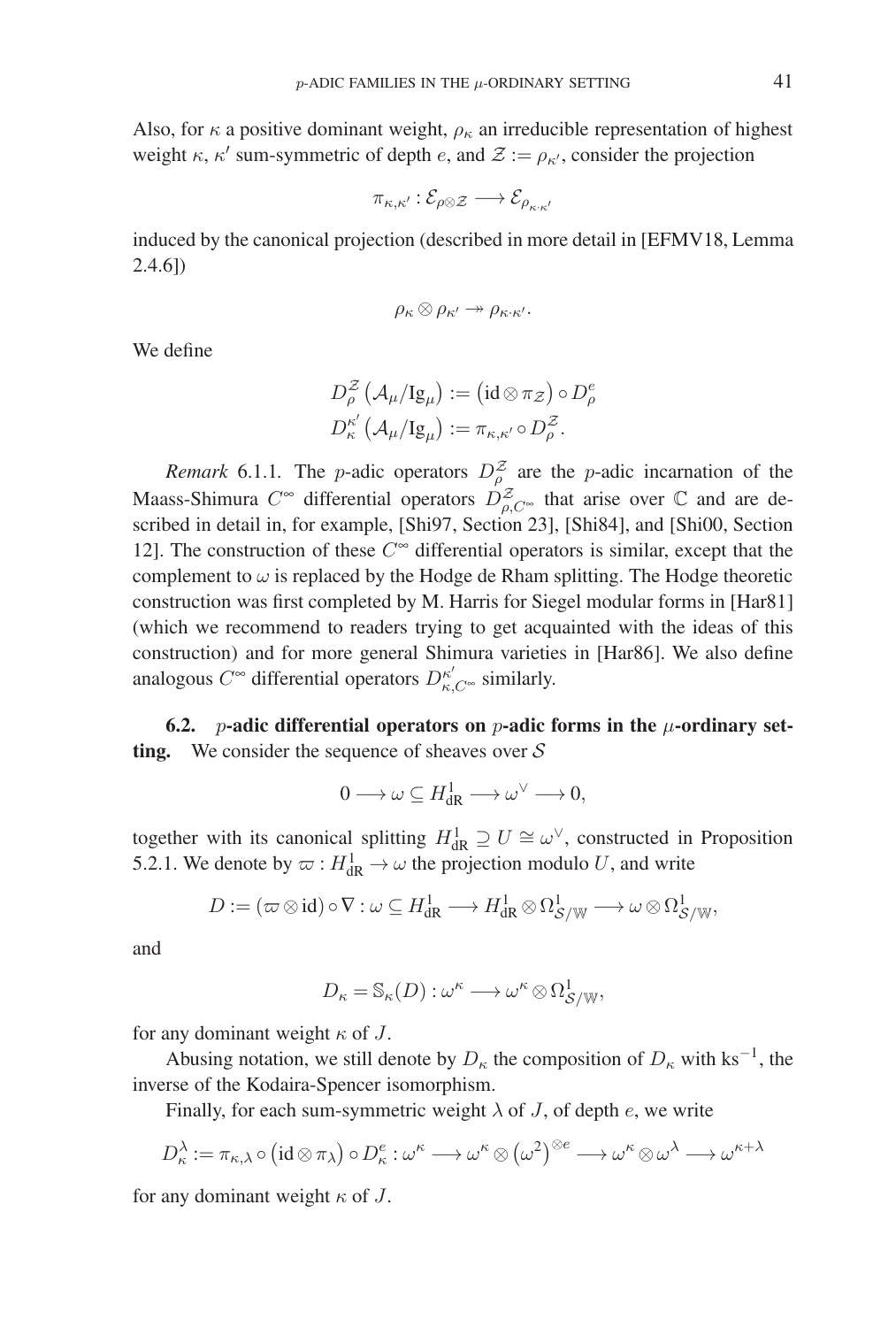Also, for  $\kappa$  a positive dominant weight,  $\rho_{\kappa}$  an irreducible representation of highest weight  $\kappa$ ,  $\kappa'$  sum-symmetric of depth e, and  $\mathcal{Z} := \rho_{\kappa'}$ , consider the projection

$$
\pi_{\kappa,\kappa'} : \mathcal{E}_{\rho \otimes \mathcal{Z}} \longrightarrow \mathcal{E}_{\rho_{\kappa \cdot \kappa'}}
$$

induced by the canonical projection (described in more detail in [EFMV18, Lemma 2.4.6])

$$
\rho_{\kappa} \otimes \rho_{\kappa'} \twoheadrightarrow \rho_{\kappa \cdot \kappa'}.
$$

We define

$$
D^{\mathcal{Z}}_{\rho}\left(\mathcal{A}_{\mu}/\mathrm{Ig}_{\mu}\right):=\left(\mathrm{id}\otimes\pi_{\mathcal{Z}}\right)\circ D^e_{\rho}\\D^{\kappa'}_{\kappa}\left(\mathcal{A}_{\mu}/\mathrm{Ig}_{\mu}\right):=\pi_{\kappa,\kappa'}\circ D^{\mathcal{Z}}_{\rho}.
$$

*Remark* 6.1.1. The *p*-adic operators  $D_{\rho}^{\mathcal{Z}}$  are the *p*-adic incarnation of the Maass-Shimura  $C^{\infty}$  differential operators  $D^Z_{\rho,C^{\infty}}$  that arise over  $\mathbb C$  and are described in detail in, for example, [Shi97, Section 23], [Shi84], and [Shi00, Section 12]. The construction of these  $C^{\infty}$  differential operators is similar, except that the complement to  $\omega$  is replaced by the Hodge de Rham splitting. The Hodge theoretic construction was first completed by M. Harris for Siegel modular forms in [Har81] (which we recommend to readers trying to get acquainted with the ideas of this construction) and for more general Shimura varieties in [Har86]. We also define analogous  $C^{\infty}$  differential operators  $D^{\kappa'}_{\kappa,C^{\infty}}$  similarly.

**6.2.** *p*-adic differential operators on *p*-adic forms in the  $\mu$ -ordinary set**ting.** We consider the sequence of sheaves over  $S$ 

$$
0 \longrightarrow \omega \subseteq H_{\mathrm{dR}}^1 \longrightarrow \omega^\vee \longrightarrow 0,
$$

together with its canonical splitting  $H_{\text{dR}}^1 \supseteq U \cong \omega^{\vee}$ , constructed in Proposition 5.2.1. We denote by  $\varpi : H^1_{\text{dR}} \to \omega$  the projection modulo U, and write

$$
D:= (\varpi \otimes id) \circ \nabla : \omega \subseteq H^1_{\mathrm{dR}} \longrightarrow H^1_{\mathrm{dR}} \otimes \Omega^1_{\mathcal{S}/\mathbb{W}} \longrightarrow \omega \otimes \Omega^1_{\mathcal{S}/\mathbb{W}},
$$

and

$$
D_{\kappa} = \mathbb{S}_{\kappa}(D) : \omega^{\kappa} \longrightarrow \omega^{\kappa} \otimes \Omega_{\mathcal{S}/\mathbb{W}}^1,
$$

for any dominant weight  $\kappa$  of J.

Abusing notation, we still denote by  $D_{\kappa}$  the composition of  $D_{\kappa}$  with ks<sup>-1</sup>, the inverse of the Kodaira-Spencer isomorphism.

Finally, for each sum-symmetric weight  $\lambda$  of J, of depth e, we write

$$
D_{\kappa}^{\lambda} := \pi_{\kappa,\lambda} \circ (\mathrm{id} \otimes \pi_{\lambda}) \circ D_{\kappa}^{e} : \omega^{\kappa} \longrightarrow \omega^{\kappa} \otimes (\omega^{2})^{\otimes e} \longrightarrow \omega^{\kappa} \otimes \omega^{\lambda} \longrightarrow \omega^{\kappa+\lambda}
$$

for any dominant weight  $\kappa$  of J.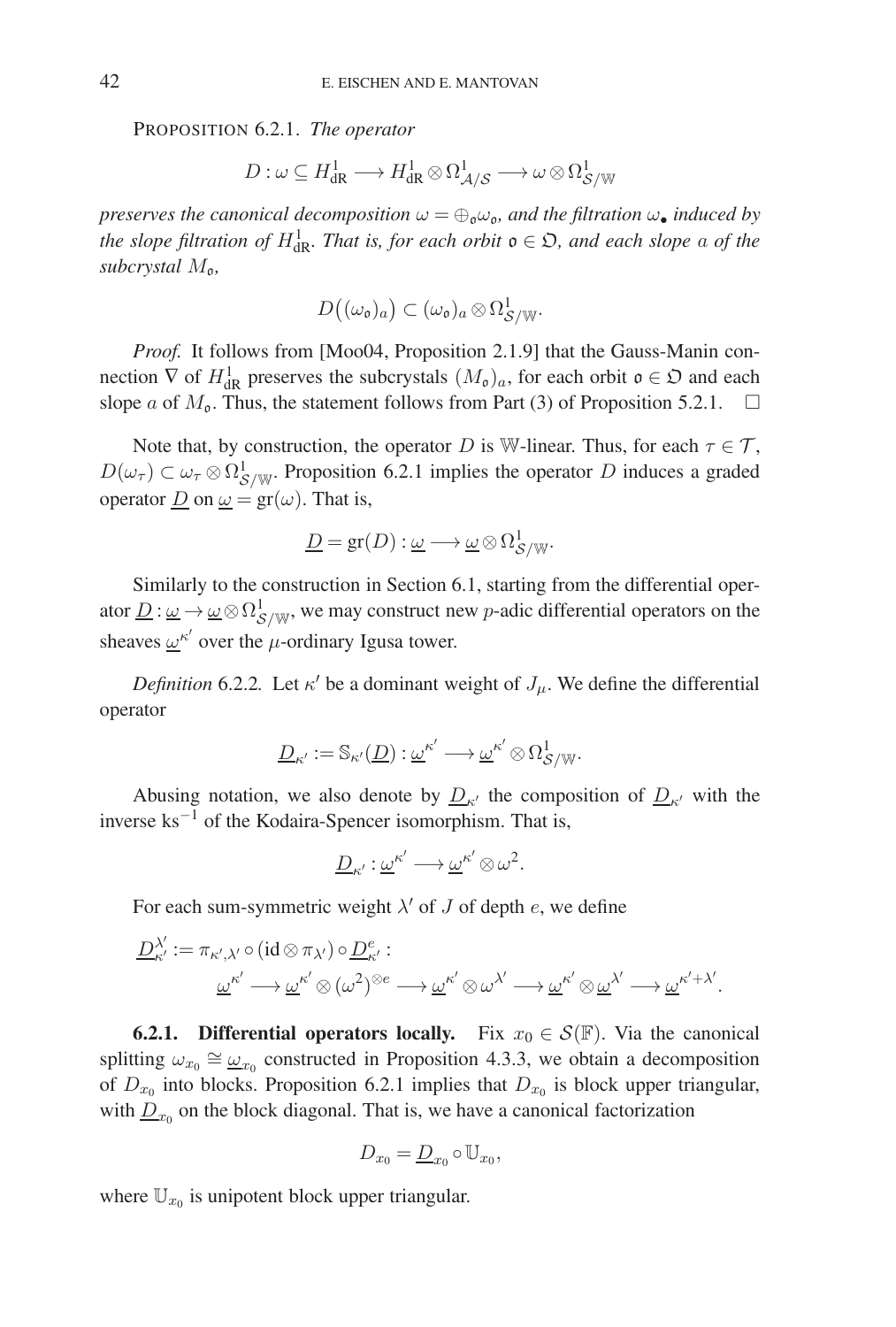PROPOSITION 6.2.1. *The operator*

$$
D:\omega\subseteq H^1_{\mathrm{dR}}\longrightarrow H^1_{\mathrm{dR}}\otimes\Omega^1_{\mathcal{A}/\mathcal{S}}\longrightarrow\omega\otimes\Omega^1_{\mathcal{S}/\mathbb{W}}
$$

*preserves the canonical decomposition*  $\omega = \bigoplus_{\mathfrak{v}} \omega_{\mathfrak{v}}$ *, and the filtration*  $\omega_{\bullet}$  *induced by the slope filtration of*  $H_{\text{dR}}^1$ *. That is, for each orbit*  $\mathfrak{o} \in \mathfrak{O}$ *, and each slope* a *of the subcrystal*  $M_{\rm o}$ *,* 

$$
D((\omega_{\mathfrak{o}})_a) \subset (\omega_{\mathfrak{o}})_a \otimes \Omega^1_{\mathcal{S}/\mathbb{W}}.
$$

*Proof.* It follows from [Moo04, Proposition 2.1.9] that the Gauss-Manin connection  $\nabla$  of  $H^1_{\rm dR}$  preserves the subcrystals  $(M_0)_a$ , for each orbit  $\mathfrak{o} \in \mathfrak{O}$  and each slope a of  $M_0$ . Thus, the statement follows from Part (3) of Proposition 5.2.1.  $\Box$ 

Note that, by construction, the operator D is W-linear. Thus, for each  $\tau \in \mathcal{T}$ ,  $D(\omega_{\tau}) \subset \omega_{\tau} \otimes \Omega_{\mathcal{S}/\mathbb{W}}^1$ . Proposition 6.2.1 implies the operator D induces a graded operator  $\underline{D}$  on  $\underline{\omega} = \text{gr}(\omega)$ . That is,

$$
\underline{D} = \mathrm{gr}(D) : \underline{\omega} \longrightarrow \underline{\omega} \otimes \Omega^1_{\mathcal{S}/\mathbb{W}}.
$$

Similarly to the construction in Section 6.1, starting from the differential operator  $\underline{D}$  :  $\underline{\omega} \to \underline{\omega} \otimes \Omega^1_{\mathcal{S}/\mathbb{W}}$ , we may construct new p-adic differential operators on the sheaves  $\omega^{\kappa'}$  over the  $\mu$ -ordinary Igusa tower.

*Definition* 6.2.2*.* Let  $\kappa'$  be a dominant weight of  $J_\mu$ . We define the differential operator

$$
\underline{D}_{\kappa'}:=\mathbb{S}_{\kappa'}(\underline{D}):\underline{\omega}^{\kappa'}\longrightarrow \underline{\omega}^{\kappa'}\otimes \Omega^1_{\mathcal{S}/\mathbb{W}}.
$$

Abusing notation, we also denote by  $\underline{D}_{\kappa'}$  the composition of  $\underline{D}_{\kappa'}$  with the inverse ks−<sup>1</sup> of the Kodaira-Spencer isomorphism. That is,

$$
\underline{D}_{\kappa'}:\underline{\omega}^{\kappa'}\longrightarrow \underline{\omega}^{\kappa'}\otimes \omega^2.
$$

For each sum-symmetric weight  $\lambda'$  of J of depth e, we define

$$
\begin{aligned} \underline{D}_{\kappa'}^{\lambda'}\!:=&\pi_{\kappa',\lambda'}\!\circ\!(\mathrm{id}\otimes\pi_{\lambda'})\!\circ\!\underline{D}_{\kappa'}^e:\quad\\ &\underline{\omega}^{\kappa'}\longrightarrow\underline{\omega}^{\kappa'}\!\otimes(\omega^2)^{\otimes e}\longrightarrow\underline{\omega}^{\kappa'}\!\otimes\omega^{\lambda'}\longrightarrow\underline{\omega}^{\kappa'}\!\otimes\underline{\omega}^{\lambda'}\longrightarrow\underline{\omega}^{\kappa'+\lambda'}.\end{aligned}
$$

**6.2.1. Differential operators locally.** Fix  $x_0 \in \mathcal{S}(\mathbb{F})$ . Via the canonical splitting  $\omega_{x_0} \cong \underline{\omega}_{x_0}$  constructed in Proposition 4.3.3, we obtain a decomposition of  $D_{x_0}$  into blocks. Proposition 6.2.1 implies that  $D_{x_0}$  is block upper triangular, with  $D_{x_0}$  on the block diagonal. That is, we have a canonical factorization

$$
D_{x_0} = \underline{D}_{x_0} \circ \mathbb{U}_{x_0},
$$

where  $\mathbb{U}_{x_0}$  is unipotent block upper triangular.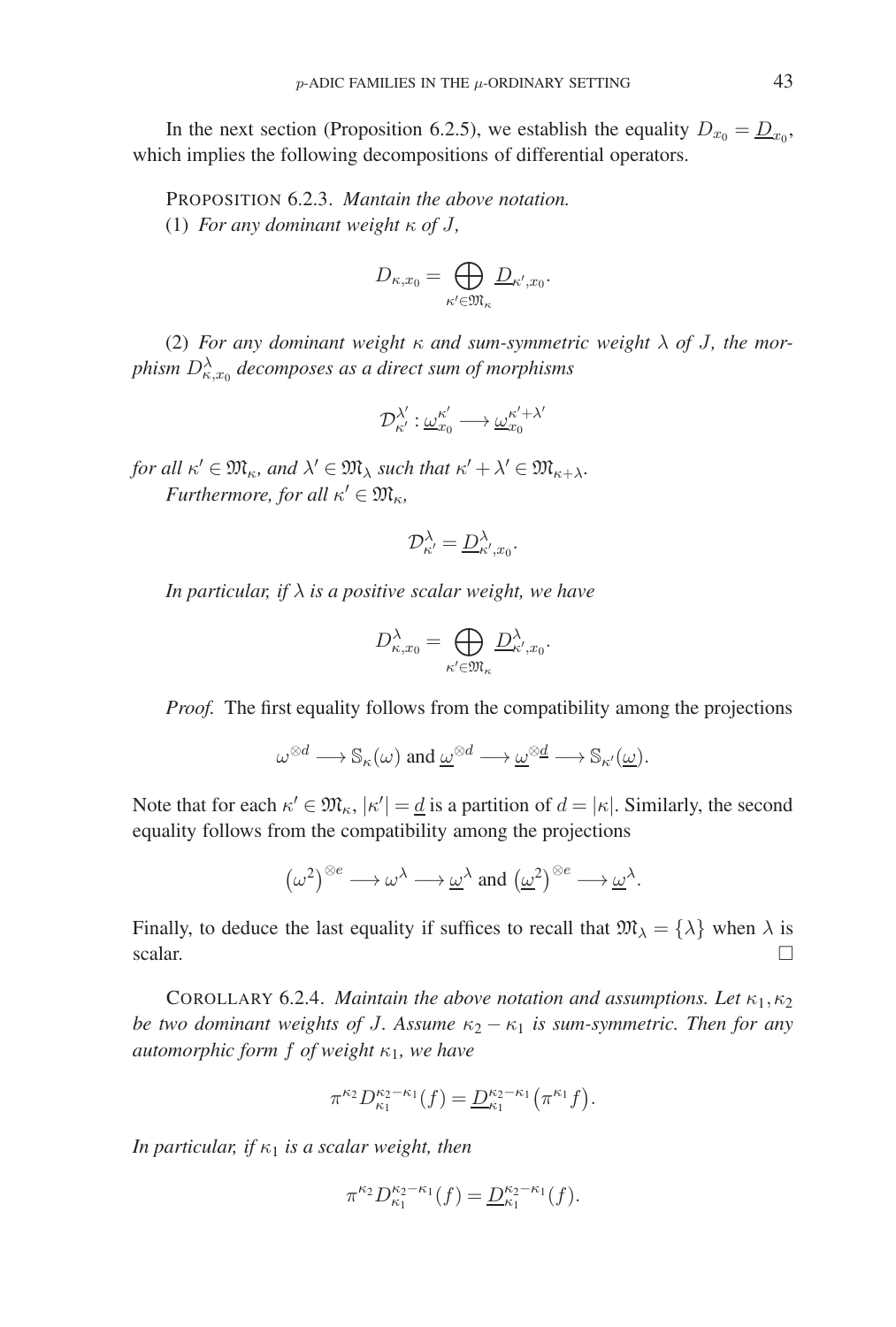In the next section (Proposition 6.2.5), we establish the equality  $D_{x_0} = \underline{D}_{x_0}$ , which implies the following decompositions of differential operators.

PROPOSITION 6.2.3. *Mantain the above notation.* (1) *For any dominant weight* κ *of* J*,*

$$
D_{\kappa,x_0} = \bigoplus_{\kappa' \in \mathfrak{M}_{\kappa}} \underline{D}_{\kappa',x_0}.
$$

(2) *For any dominant weight*  $\kappa$  *and sum-symmetric weight*  $\lambda$  *of J, the mor*phism  $D^{\lambda}_{\kappa, x_0}$  decomposes as a direct sum of morphisms

$$
\mathcal{D}_{\kappa'}^{\lambda'}: \underline{\omega}_{x_0}^{\kappa'} \longrightarrow \underline{\omega}_{x_0}^{\kappa'+\lambda'}
$$

*for all*  $\kappa' \in \mathfrak{M}_{\kappa}$ *, and*  $\lambda' \in \mathfrak{M}_{\lambda}$  *such that*  $\kappa' + \lambda' \in \mathfrak{M}_{\kappa + \lambda}$ *. Furthermore, for all*  $\kappa' \in \mathfrak{M}_{\kappa}$ ,

$$
\mathcal{D}_{\kappa'}^{\lambda} = \underline{D}_{\kappa',x_0}^{\lambda}
$$

.

*In particular, if* λ *is a positive scalar weight, we have*

$$
D_{\kappa,x_0}^{\lambda} = \bigoplus_{\kappa' \in \mathfrak{M}_{\kappa}} D_{\kappa',x_0}^{\lambda}.
$$

*Proof.* The first equality follows from the compatibility among the projections

$$
\omega^{\otimes d} \longrightarrow \mathbb{S}_{\kappa}(\omega) \text{ and } \underline{\omega}^{\otimes d} \longrightarrow \underline{\omega}^{\otimes \underline{d}} \longrightarrow \mathbb{S}_{\kappa'}(\underline{\omega}).
$$

Note that for each  $\kappa' \in \mathfrak{M}_{\kappa}$ ,  $|\kappa'| = \underline{d}$  is a partition of  $d = |\kappa|$ . Similarly, the second equality follows from the compatibility among the projections

$$
(\omega^2)^{\otimes e} \longrightarrow \omega^{\lambda} \longrightarrow \underline{\omega}^{\lambda} \text{ and } (\underline{\omega}^2)^{\otimes e} \longrightarrow \underline{\omega}^{\lambda}.
$$

Finally, to deduce the last equality if suffices to recall that  $\mathfrak{M}_{\lambda} = {\lambda}$  when  $\lambda$  is scalar.  $\Box$  $\Box$ 

COROLLARY 6.2.4. *Maintain the above notation and assumptions. Let*  $\kappa_1, \kappa_2$ *be two dominant weights of J. Assume*  $\kappa_2 - \kappa_1$  *is sum-symmetric. Then for any automorphic form* f *of weight* κ1*, we have*

$$
\pi^{\kappa_2}D_{\kappa_1}^{\kappa_2-\kappa_1}(f)=\underline{D}_{\kappa_1}^{\kappa_2-\kappa_1}\bigl(\pi^{\kappa_1}f\bigr).
$$

*In particular, if*  $\kappa_1$  *is a scalar weight, then* 

$$
\pi^{\kappa_2} D_{\kappa_1}^{\kappa_2 - \kappa_1}(f) = \underline{D}_{\kappa_1}^{\kappa_2 - \kappa_1}(f).
$$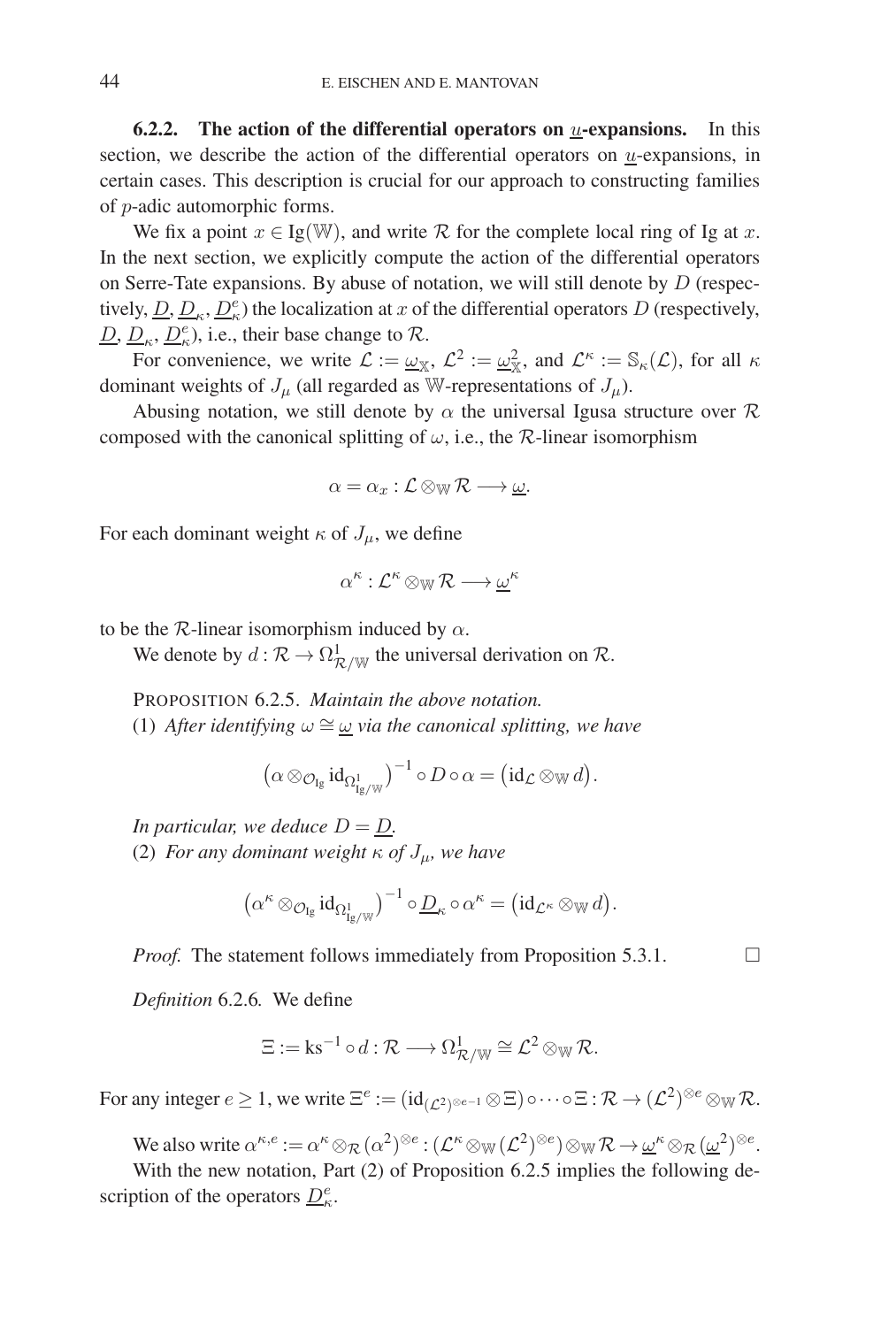**6.2.2.** The action of the differential operators on  $u$ -expansions. In this section, we describe the action of the differential operators on  $\underline{u}$ -expansions, in certain cases. This description is crucial for our approach to constructing families of p-adic automorphic forms.

We fix a point  $x \in I_g(\mathbb{W})$ , and write R for the complete local ring of Ig at x. In the next section, we explicitly compute the action of the differential operators on Serre-Tate expansions. By abuse of notation, we will still denote by  $D$  (respectively,  $\underline{D}, \underline{D}_{\kappa}, \underline{D}_{\kappa}^e$ ) the localization at x of the differential operators D (respectively,  $\underline{D}, \underline{D}_{\kappa}, \underline{D}_{\kappa}^e$ , i.e., their base change to  $\mathcal{R}$ .

For convenience, we write  $\mathcal{L} := \underline{\omega}_{\mathbb{X}}, \mathcal{L}^2 := \underline{\omega}_{\mathbb{X}}^2$ , and  $\mathcal{L}^k := \mathbb{S}_k(\mathcal{L})$ , for all  $\kappa$ dominant weights of  $J_\mu$  (all regarded as W-representations of  $J_\mu$ ).

Abusing notation, we still denote by  $\alpha$  the universal Igusa structure over  $\mathcal R$ composed with the canonical splitting of  $\omega$ , i.e., the R-linear isomorphism

$$
\alpha = \alpha_x : \mathcal{L} \otimes_{\mathbb{W}} \mathcal{R} \longrightarrow \underline{\omega}.
$$

For each dominant weight  $\kappa$  of  $J_{\mu}$ , we define

$$
\alpha^{\kappa}:\mathcal{L}^{\kappa}\otimes_{\mathbb{W}}\mathcal{R}\longrightarrow \underline{\omega}^{\kappa}
$$

to be the R-linear isomorphism induced by  $\alpha$ .

We denote by  $d : \mathcal{R} \to \Omega^1_{\mathcal{R}/\mathbb{W}}$  the universal derivation on  $\mathcal{R}$ .

PROPOSITION 6.2.5. *Maintain the above notation.* (1) *After identifying*  $\omega \cong \omega$  *via the canonical splitting, we have* 

$$
\left(\alpha \otimes_{\mathcal{O}_{\mathrm{Ig}}} \mathrm{id}_{\Omega^1_{\mathrm{Ig}/\mathbb{W}}}\right)^{-1} \circ D \circ \alpha = \left(\mathrm{id}_{\mathcal{L}} \otimes_{\mathbb{W}} d\right).
$$

*In particular, we deduce*  $D = D$ . (2) *For any dominant weight*  $\kappa$  *of*  $J_{\mu}$ *, we have* 

$$
\left(\alpha^{\kappa} \otimes_{\mathcal{O}_{\mathrm{I}\mathrm{g}}} \mathrm{id}_{\Omega^1_{\mathrm{I}\mathrm{g}/\mathbb{W}}}\right)^{-1} \circ \underline{D}_{\kappa} \circ \alpha^{\kappa} = (\mathrm{id}_{\mathcal{L}^{\kappa}} \otimes_{\mathbb{W}} d).
$$

 $\Box$ 

*Proof.* The statement follows immediately from Proposition 5.3.1.

*Definition* 6.2.6*.* We define

$$
\Xi := \mathrm{ks}^{-1} \circ d : \mathcal{R} \longrightarrow \Omega^1_{\mathcal{R}/\mathbb{W}} \cong \mathcal{L}^2 \otimes_{\mathbb{W}} \mathcal{R}.
$$

For any integer  $e \geq 1$ , we write  $\Xi^e := (\mathrm{id}_{(\mathcal{L}^2)^{\otimes e} - 1} \otimes \Xi) \circ \cdots \circ \Xi : \mathcal{R} \to (\mathcal{L}^2)^{\otimes e} \otimes_{\mathbb{W}} \mathcal{R}$ .

We also write  $\alpha^{\kappa,e} := \alpha^{\kappa} \otimes_{\mathcal{R}} (\alpha^2)^{\otimes e} : (\mathcal{L}^{\kappa} \otimes_{\mathbb{W}} (\mathcal{L}^2)^{\otimes e}) \otimes_{\mathbb{W}} \mathcal{R} \to \underline{\omega}^{\kappa} \otimes_{\mathcal{R}} (\underline{\omega}^2)^{\otimes e}.$ 

With the new notation, Part (2) of Proposition 6.2.5 implies the following description of the operators  $\underline{D}_{\kappa}^e$ .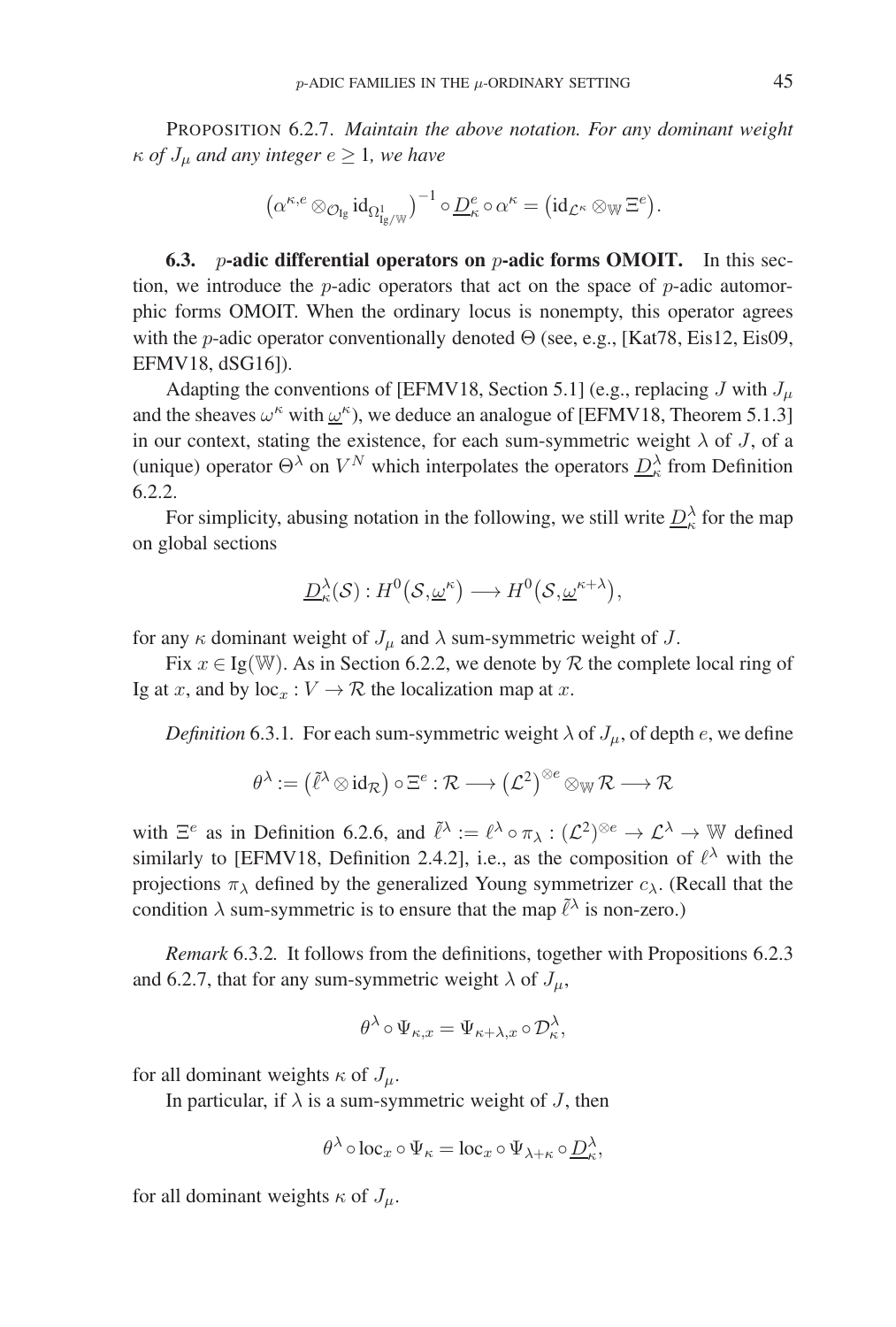PROPOSITION 6.2.7. *Maintain the above notation. For any dominant weight*  $\kappa$  *of*  $J_{\mu}$  *and any integer*  $e \geq 1$ *, we have* 

$$
\left(\alpha^{\kappa,e}\otimes_{\mathcal{O}_{\mathrm{I}\mathrm{g}}}\mathrm{id}_{\Omega^1_{\mathrm{I}\mathrm{g}/\mathbb{W}}}\right)^{-1}\circ \underline{D}^e_\kappa\circ\alpha^\kappa=\left(\mathrm{id}_{\mathcal{L}^\kappa}\otimes_{\mathbb{W}}\Xi^e\right).
$$

**6.3.** p**-adic differential operators on** p**-adic forms OMOIT.** In this section, we introduce the *p*-adic operators that act on the space of *p*-adic automorphic forms OMOIT. When the ordinary locus is nonempty, this operator agrees with the *p*-adic operator conventionally denoted  $\Theta$  (see, e.g., [Kat78, Eis12, Eis09, EFMV18, dSG16]).

Adapting the conventions of [EFMV18, Section 5.1] (e.g., replacing J with  $J_{\mu}$ and the sheaves  $\omega^k$  with  $\underline{\omega}^k$ ), we deduce an analogue of [EFMV18, Theorem 5.1.3] in our context, stating the existence, for each sum-symmetric weight  $\lambda$  of J, of a (unique) operator  $\Theta^{\lambda}$  on  $V^N$  which interpolates the operators  $D_{\kappa}^{\lambda}$  from Definition 6.2.2.

For simplicity, abusing notation in the following, we still write  $D_{\kappa}^{\lambda}$  for the map on global sections

$$
\underline{D}_{\kappa}^{\lambda}(\mathcal{S}):H^{0}(\mathcal{S},\underline{\omega}^{\kappa})\longrightarrow H^{0}(\mathcal{S},\underline{\omega}^{\kappa+\lambda}),
$$

for any  $\kappa$  dominant weight of  $J_\mu$  and  $\lambda$  sum-symmetric weight of  $J$ .

Fix  $x \in \text{Ig}(\mathbb{W})$ . As in Section 6.2.2, we denote by R the complete local ring of Ig at x, and by  $loc_x : V \to \mathcal{R}$  the localization map at x.

*Definition* 6.3.1. For each sum-symmetric weight  $\lambda$  of  $J_\mu$ , of depth e, we define

$$
\theta^\lambda:=\big(\tilde{\ell}^\lambda\!\otimes\!\operatorname{id}_\mathcal{R}\big)\circ\Xi^e:\mathcal{R}\longrightarrow \big(\mathcal{L}^2\big)^{\otimes e}\otimes_{\mathbb{W}}\mathcal{R}\longrightarrow \mathcal{R}
$$

with  $\Xi^e$  as in Definition 6.2.6, and  $\tilde{\ell}^{\lambda} := \ell^{\lambda} \circ \pi_{\lambda} : (\mathcal{L}^2)^{\otimes e} \to \mathcal{L}^{\lambda} \to \mathbb{W}$  defined similarly to [EFMV18, Definition 2.4.2], i.e., as the composition of  $\ell^{\lambda}$  with the projections  $\pi_{\lambda}$  defined by the generalized Young symmetrizer  $c_{\lambda}$ . (Recall that the condition  $\lambda$  sum-symmetric is to ensure that the map  $\tilde{\ell}^{\lambda}$  is non-zero.)

*Remark* 6.3.2*.* It follows from the definitions, together with Propositions 6.2.3 and 6.2.7, that for any sum-symmetric weight  $\lambda$  of  $J_{\mu}$ ,

$$
\theta^{\lambda} \circ \Psi_{\kappa,x} = \Psi_{\kappa+\lambda,x} \circ \mathcal{D}_{\kappa}^{\lambda},
$$

for all dominant weights  $\kappa$  of  $J_\mu$ .

In particular, if  $\lambda$  is a sum-symmetric weight of J, then

$$
\theta^{\lambda} \circ \text{loc}_{x} \circ \Psi_{\kappa} = \text{loc}_{x} \circ \Psi_{\lambda+\kappa} \circ \underline{D}_{\kappa}^{\lambda},
$$

for all dominant weights  $\kappa$  of  $J_\mu$ .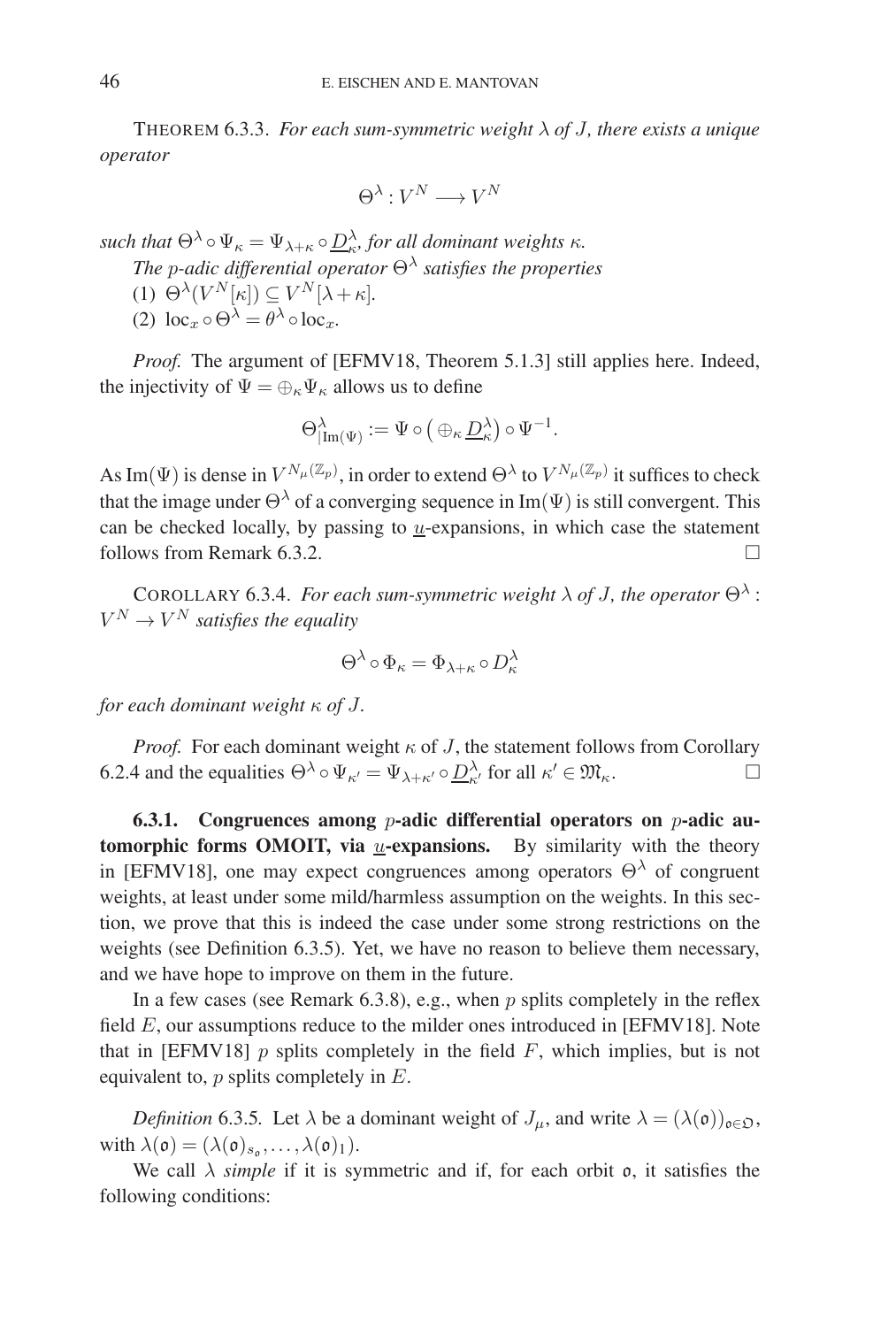THEOREM 6.3.3. *For each sum-symmetric weight* λ *of* J*, there exists a unique operator*

$$
\Theta^\lambda:V^N\longrightarrow V^N
$$

*such that*  $\Theta^{\lambda} \circ \Psi_{\kappa} = \Psi_{\lambda+\kappa} \circ \underline{D}_{\kappa}^{\lambda}$ , for all dominant weights  $\kappa$ .

*The* p*-adic differential operator* Θ<sup>λ</sup> *satisfies the properties*

- (1)  $\Theta^{\lambda}(V^N[\kappa]) \subseteq V^N[\lambda + \kappa].$
- (2)  $\log_x \circ \Theta^{\lambda} = \theta^{\lambda} \circ \log_x$ .

*Proof.* The argument of [EFMV18, Theorem 5.1.3] still applies here. Indeed, the injectivity of  $\Psi = \bigoplus_{\kappa} \Psi_{\kappa}$  allows us to define

$$
\Theta_{|\operatorname{Im}(\Psi)}^{\lambda} := \Psi \circ \left( \oplus_{\kappa} \underline{D}_{\kappa}^{\lambda} \right) \circ \Psi^{-1}.
$$

As Im( $\Psi$ ) is dense in  $V^{N_\mu(\mathbb{Z}_p)}$ , in order to extend  $\Theta^\lambda$  to  $V^{N_\mu(\mathbb{Z}_p)}$  it suffices to check that the image under  $\Theta^{\lambda}$  of a converging sequence in Im( $\Psi$ ) is still convergent. This can be checked locally, by passing to  $u$ -expansions, in which case the statement follows from Remark 6.3.2.

COROLLARY 6.3.4. *For each sum-symmetric weight*  $\lambda$  *of J, the operator*  $\Theta^{\lambda}$ :  $V^N \to V^N$  *satisfies the equality* 

$$
\Theta^\lambda \circ \Phi_\kappa = \Phi_{\lambda + \kappa} \circ D^\lambda_\kappa
$$

*for each dominant weight* κ *of* J*.*

*Proof.* For each dominant weight  $\kappa$  of J, the statement follows from Corollary 6.2.4 and the equalities  $\Theta^{\lambda} \circ \Psi_{\kappa'} = \Psi_{\lambda + \kappa'} \circ \underline{D}_{\kappa'}^{\lambda}$  for all  $\kappa' \in \mathfrak{M}_{\kappa}$ .

**6.3.1. Congruences among** p**-adic differential operators on** p**-adic automorphic forms OMOIT, via** u-expansions. By similarity with the theory in [EFMV18], one may expect congruences among operators  $\Theta^{\lambda}$  of congruent weights, at least under some mild/harmless assumption on the weights. In this section, we prove that this is indeed the case under some strong restrictions on the weights (see Definition 6.3.5). Yet, we have no reason to believe them necessary, and we have hope to improve on them in the future.

In a few cases (see Remark 6.3.8), e.g., when  $p$  splits completely in the reflex field  $E$ , our assumptions reduce to the milder ones introduced in [EFMV18]. Note that in [EFMV18]  $p$  splits completely in the field  $F$ , which implies, but is not equivalent to,  $p$  splits completely in  $E$ .

*Definition* 6.3.5. Let  $\lambda$  be a dominant weight of  $J_\mu$ , and write  $\lambda = (\lambda(\mathfrak{o}))_{\mathfrak{o} \in \mathfrak{O}}$ , with  $\lambda(\mathfrak{o})=(\lambda(\mathfrak{o})_{s_{\mathfrak{o}}},\ldots,\lambda(\mathfrak{o})_1).$ 

We call  $\lambda$  *simple* if it is symmetric and if, for each orbit  $\rho$ , it satisfies the following conditions: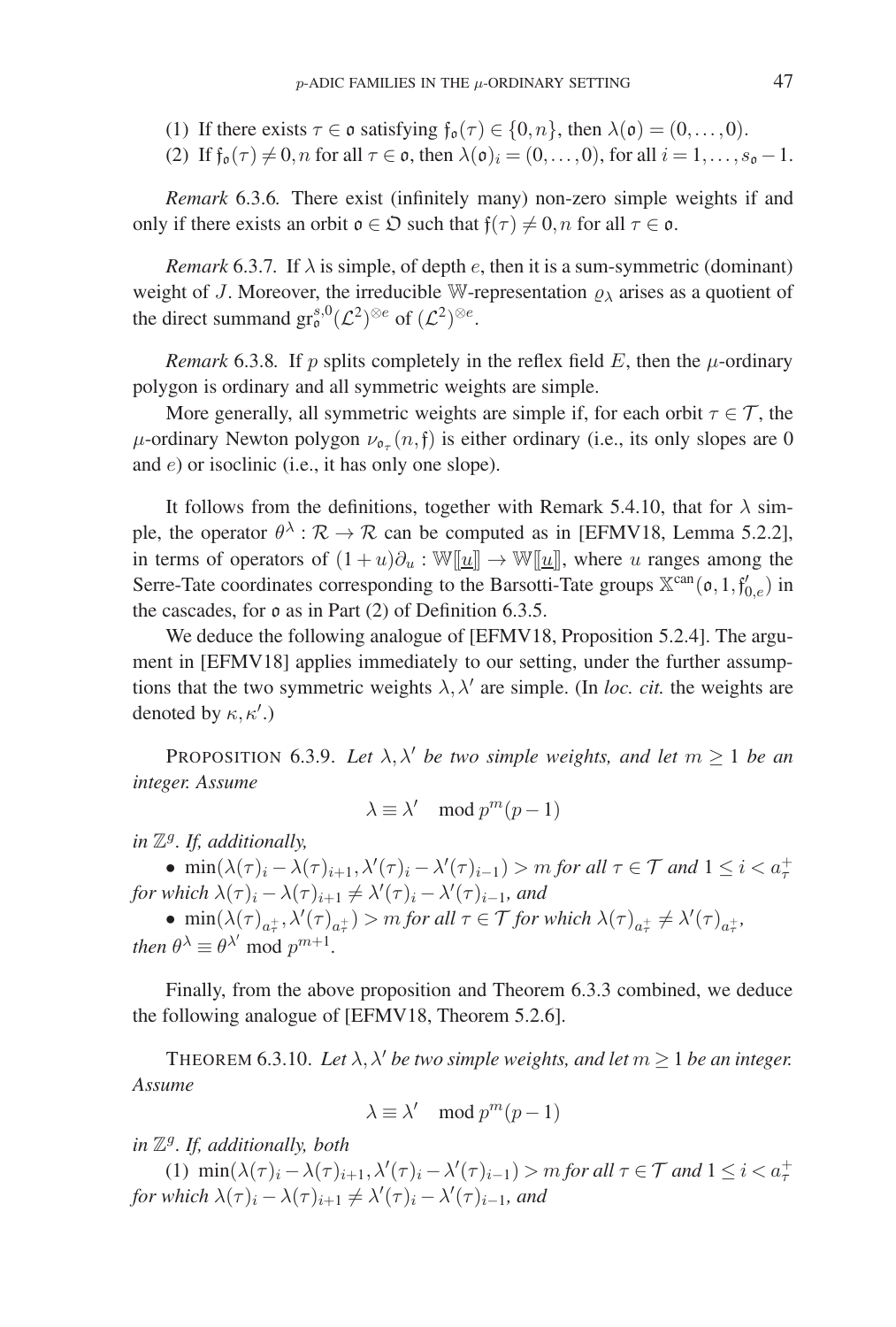- (1) If there exists  $\tau \in \mathfrak{o}$  satisfying  $\mathfrak{f}_{\mathfrak{o}}(\tau) \in \{0,n\}$ , then  $\lambda(\mathfrak{o})=(0,\ldots,0)$ .
- (2) If  $f_0(\tau) \neq 0$ , n for all  $\tau \in \mathfrak{o}$ , then  $\lambda(\mathfrak{o})_i = (0,\ldots,0)$ , for all  $i = 1,\ldots,s_0-1$ .

*Remark* 6.3.6*.* There exist (infinitely many) non-zero simple weights if and only if there exists an orbit  $\mathfrak{o} \in \mathfrak{O}$  such that  $\mathfrak{f}(\tau) \neq 0$ , *n* for all  $\tau \in \mathfrak{o}$ .

*Remark* 6.3.7. If  $\lambda$  is simple, of depth *e*, then it is a sum-symmetric (dominant) weight of J. Moreover, the irreducible W-representation  $\rho_{\lambda}$  arises as a quotient of the direct summand  $gr_0^{s,0}(\mathcal{L}^2)^{\otimes e}$  of  $(\mathcal{L}^2)^{\otimes e}$ .

*Remark* 6.3.8. If p splits completely in the reflex field E, then the  $\mu$ -ordinary polygon is ordinary and all symmetric weights are simple.

More generally, all symmetric weights are simple if, for each orbit  $\tau \in \mathcal{T}$ , the  $\mu$ -ordinary Newton polygon  $\nu_{\sigma_{\tau}}(n, \mathfrak{f})$  is either ordinary (i.e., its only slopes are 0 and e) or isoclinic (i.e., it has only one slope).

It follows from the definitions, together with Remark 5.4.10, that for  $\lambda$  simple, the operator  $\theta^{\lambda}$ :  $\mathcal{R} \to \mathcal{R}$  can be computed as in [EFMV18, Lemma 5.2.2], in terms of operators of  $(1 + u)\partial_u : \mathbb{W}[\underline{u}] \rightarrow \mathbb{W}[\underline{u}]$ , where u ranges among the Serre-Tate coordinates corresponding to the Barsotti-Tate groups  $\mathbb{X}^{\text{can}}(\mathfrak{o}, 1, \mathfrak{f}_{0,e}')$  in the cascades, for  $\mathfrak o$  as in Part (2) of Definition 6.3.5.

We deduce the following analogue of [EFMV18, Proposition 5.2.4]. The argument in [EFMV18] applies immediately to our setting, under the further assumptions that the two symmetric weights  $\lambda$ ,  $\lambda'$  are simple. (In *loc. cit.* the weights are denoted by  $\kappa, \kappa'$ .)

PROPOSITION 6.3.9. Let  $\lambda$ ,  $\lambda'$  *be two simple weights, and let*  $m \geq 1$  *be an integer. Assume*

$$
\lambda \equiv \lambda' \mod p^m(p-1)
$$

*in* Zg*. If, additionally,*

•  $\min(\lambda(\tau)_i - \lambda(\tau)_{i+1}, \lambda'(\tau)_i - \lambda'(\tau)_{i-1}) > m$  *for all*  $\tau \in \mathcal{T}$  *and*  $1 \leq i < a_{\tau}^+$ for which  $\lambda(\tau)_i - \lambda(\tau)_{i+1} \neq \lambda'(\tau)_i - \lambda'(\tau)_{i-1}$ , and

 $\bullet$  min( $\lambda(\tau)_{a_{\tau}^{+}}, \lambda'(\tau)_{a_{\tau}^{+}}$ ) > *m for all*  $\tau \in \mathcal{T}$  *for which*  $\lambda(\tau)_{a_{\tau}^{+}} \neq \lambda'(\tau)_{a_{\tau}^{+}},$ *then*  $\theta^{\lambda} \equiv \theta^{\lambda'}$  mod  $p^{m+1}$ .

Finally, from the above proposition and Theorem 6.3.3 combined, we deduce the following analogue of [EFMV18, Theorem 5.2.6].

THEOREM 6.3.10. Let  $\lambda$ ,  $\lambda'$  be two simple weights, and let  $m \geq 1$  be an integer. *Assume*

$$
\lambda \equiv \lambda' \mod p^m(p-1)
$$

*in* Zg*. If, additionally, both*

(1)  $\min(\lambda(\tau)_i - \lambda(\tau)_{i+1}, \lambda'(\tau)_i - \lambda'(\tau)_{i-1}) > m$  *for all*  $\tau \in \mathcal{T}$  *and*  $1 \leq i < a_{\tau}^+$ for which  $\lambda(\tau)_i - \lambda(\tau)_{i+1} \neq \lambda'(\tau)_i - \lambda'(\tau)_{i-1}$ , and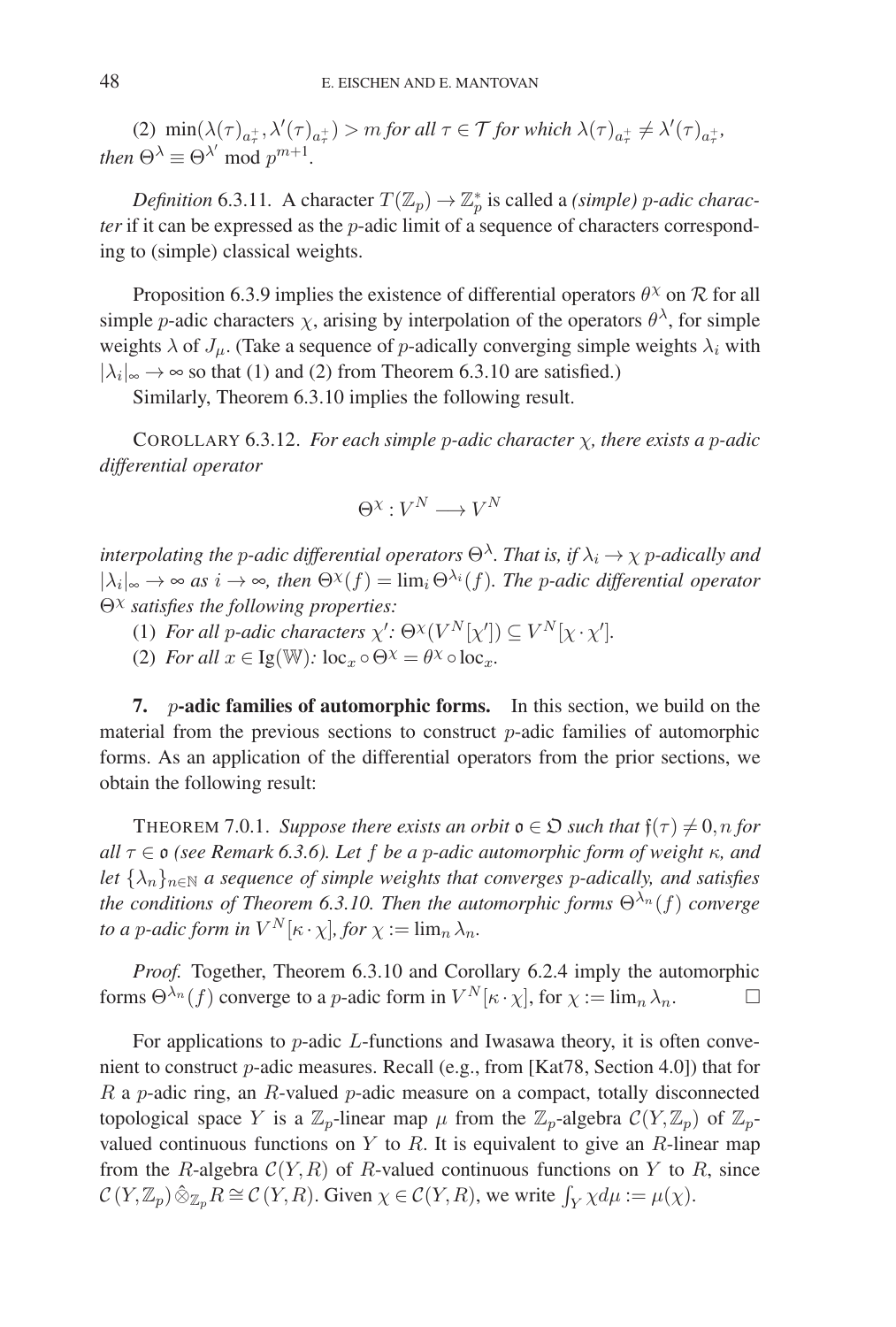(2)  $\min(\lambda(\tau)_{a_{\tau}^{+}}, \lambda'(\tau)_{a_{\tau}^{+}}) > m$  *for all*  $\tau \in \mathcal{T}$  *for which*  $\lambda(\tau)_{a_{\tau}^{+}} \neq \lambda'(\tau)_{a_{\tau}^{+}},$ *then*  $\Theta^{\lambda} \equiv \Theta^{\lambda'}$  mod  $p^{m+1}$ .

*Definition* 6.3.11. A character  $T(\mathbb{Z}_p) \to \mathbb{Z}_p^*$  is called a *(simple) p-adic character* if it can be expressed as the *p*-adic limit of a sequence of characters corresponding to (simple) classical weights.

Proposition 6.3.9 implies the existence of differential operators  $\theta^{\chi}$  on  $\mathcal{R}$  for all simple *p*-adic characters  $\chi$ , arising by interpolation of the operators  $\theta^{\lambda}$ , for simple weights  $\lambda$  of  $J_{\mu}$ . (Take a sequence of *p*-adically converging simple weights  $\lambda_i$  with  $|\lambda_i|_{\infty} \rightarrow \infty$  so that (1) and (2) from Theorem 6.3.10 are satisfied.)

Similarly, Theorem 6.3.10 implies the following result.

COROLLARY 6.3.12. *For each simple* p*-adic character* χ*, there exists a* p*-adic differential operator*

$$
\Theta^{\chi}: V^N\longrightarrow V^N
$$

*interpolating the p-adic differential operators*  $\Theta^{\lambda}$ *. That is, if*  $\lambda_i \to \chi$  *p-adically and*  $|\lambda_i|_{\infty} \to \infty$  *as*  $i \to \infty$ *, then*  $\Theta^{\chi}(f) = \lim_i \Theta^{\lambda_i}(f)$ *. The p-adic differential operator* Θ<sup>χ</sup> *satisfies the following properties:*

- (1) *For all p-adic characters*  $\chi'$ :  $\Theta^{\chi}(V^N[\chi']) \subseteq V^N[\chi \cdot \chi']$ .
- (2) *For all*  $x \in \text{Ig}(\mathbb{W})$ :  $\text{loc}_x \circ \Theta^\chi = \theta^\chi \circ \text{loc}_x$ .

**7.** p**-adic families of automorphic forms.** In this section, we build on the material from the previous sections to construct  $p$ -adic families of automorphic forms. As an application of the differential operators from the prior sections, we obtain the following result:

**THEOREM 7.0.1.** *Suppose there exists an orbit*  $\mathfrak{o} \in \mathfrak{D}$  *such that*  $\mathfrak{f}(\tau) \neq 0, n$  *for all* τ ∈ o *(see Remark 6.3.6). Let* f *be a* p*-adic automorphic form of weight* κ*, and let*  $\{\lambda_n\}_{n\in\mathbb{N}}$  *a sequence of simple weights that converges p-adically, and satisfies the conditions of Theorem 6.3.10. Then the automorphic forms*  $\Theta^{\lambda_n}(f)$  *converge to a p-adic form in*  $V^N[\kappa \cdot \chi]$ *, for*  $\chi := \lim_n \lambda_n$ *.* 

*Proof.* Together, Theorem 6.3.10 and Corollary 6.2.4 imply the automorphic forms  $\Theta^{\lambda_n}(f)$  converge to a p-adic form in  $V^N[\kappa \cdot \chi]$ , for  $\chi := \lim_n \lambda_n$ .

For applications to  $p$ -adic  $L$ -functions and Iwasawa theory, it is often convenient to construct p-adic measures. Recall (e.g., from [Kat78, Section 4.0]) that for  $R$  a p-adic ring, an  $R$ -valued p-adic measure on a compact, totally disconnected topological space Y is a  $\mathbb{Z}_p$ -linear map  $\mu$  from the  $\mathbb{Z}_p$ -algebra  $\mathcal{C}(Y,\mathbb{Z}_p)$  of  $\mathbb{Z}_p$ valued continuous functions on  $Y$  to  $R$ . It is equivalent to give an  $R$ -linear map from the R-algebra  $C(Y, R)$  of R-valued continuous functions on Y to R, since  $\mathcal{C}(Y,\mathbb{Z}_p) \hat{\otimes}_{\mathbb{Z}_p} R \cong \mathcal{C}(Y,R)$ . Given  $\chi \in \mathcal{C}(Y,R)$ , we write  $\int_Y \chi d\mu := \mu(\chi)$ .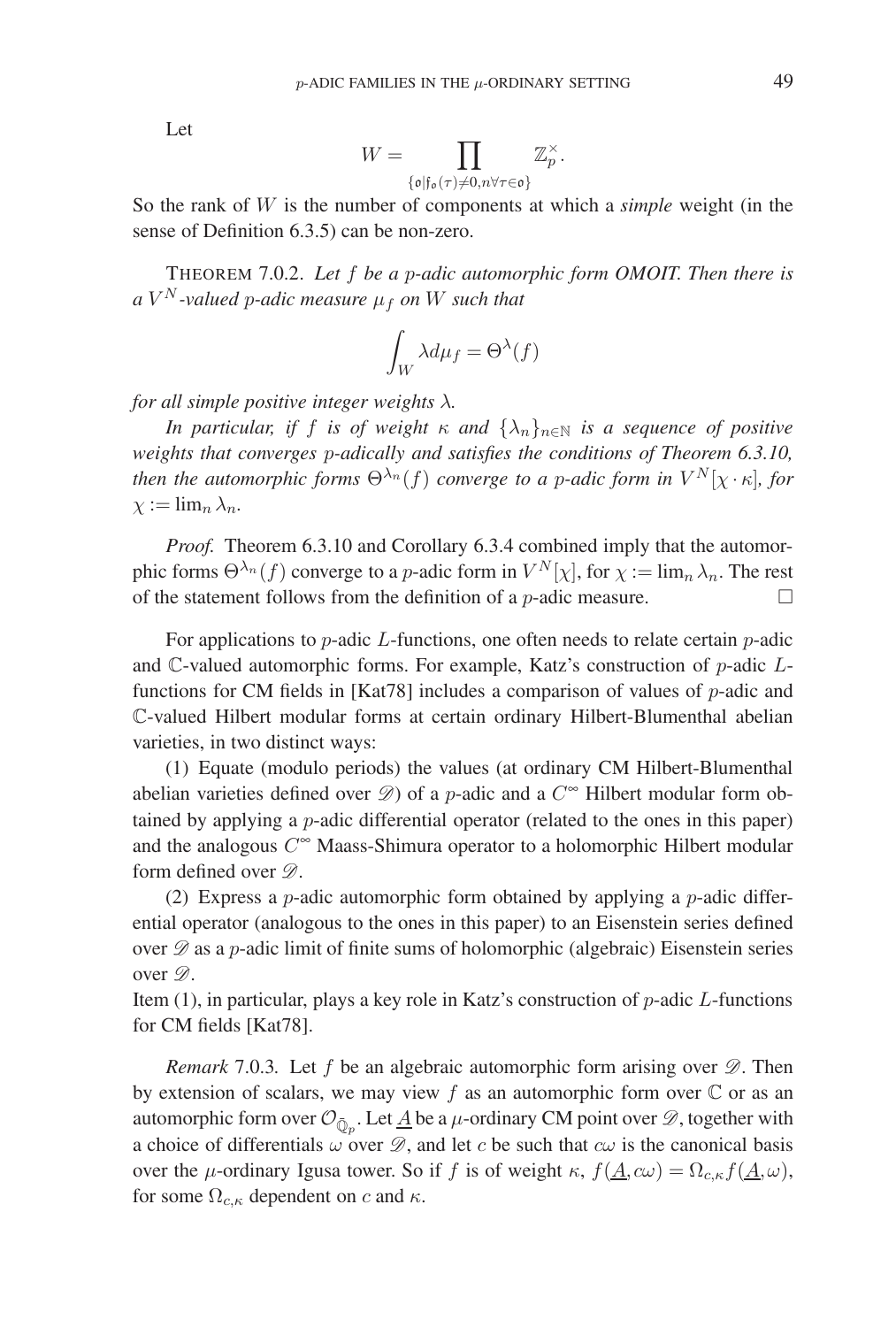Let

$$
W = \prod_{\{\mathfrak{o} \mid \mathfrak{f}_{\mathfrak{o}}(\tau) \neq 0, n \forall \tau \in \mathfrak{o} \}} \mathbb{Z}_p^{\times}.
$$

So the rank of W is the number of components at which a *simple* weight (in the sense of Definition 6.3.5) can be non-zero.

THEOREM 7.0.2. *Let* f *be a* p*-adic automorphic form OMOIT. Then there is*  $aV^N$ -valued *p*-adic measure  $\mu_f$  on W such that

$$
\int_W \lambda d\mu_f = \Theta^{\lambda}(f)
$$

*for all simple positive integer weights* λ*.*

*In particular, if f is of weight*  $\kappa$  *and*  $\{\lambda_n\}_{n\in\mathbb{N}}$  *is a sequence of positive weights that converges* p*-adically and satisfies the conditions of Theorem 6.3.10, then the automorphic forms*  $\Theta^{\lambda_n}(f)$  *converge to a p-adic form in*  $V^N[\chi \cdot \kappa]$ *, for*  $\chi := \lim_n \lambda_n$ .

*Proof.* Theorem 6.3.10 and Corollary 6.3.4 combined imply that the automorphic forms  $\Theta^{\lambda_n}(f)$  converge to a p-adic form in  $V^N[\chi]$ , for  $\chi := \lim_n \lambda_n$ . The rest of the statement follows from the definition of a *p*-adic measure.  $\Box$ 

For applications to  $p$ -adic L-functions, one often needs to relate certain  $p$ -adic and C-valued automorphic forms. For example, Katz's construction of p-adic Lfunctions for CM fields in [Kat78] includes a comparison of values of  $p$ -adic and C-valued Hilbert modular forms at certain ordinary Hilbert-Blumenthal abelian varieties, in two distinct ways:

(1) Equate (modulo periods) the values (at ordinary CM Hilbert-Blumenthal abelian varieties defined over  $\mathscr{D}$ ) of a p-adic and a  $C^{\infty}$  Hilbert modular form obtained by applying a p-adic differential operator (related to the ones in this paper) and the analogous  $C^{\infty}$  Maass-Shimura operator to a holomorphic Hilbert modular form defined over *D*.

(2) Express a *p*-adic automorphic form obtained by applying a *p*-adic differential operator (analogous to the ones in this paper) to an Eisenstein series defined over *D* as a p-adic limit of finite sums of holomorphic (algebraic) Eisenstein series over *D*.

Item (1), in particular, plays a key role in Katz's construction of p-adic L-functions for CM fields [Kat78].

*Remark* 7.0.3*.* Let f be an algebraic automorphic form arising over *D*. Then by extension of scalars, we may view f as an automorphic form over  $\mathbb C$  or as an automorphic form over  $\mathcal{O}_{\bar{\mathbb{Q}}_p}$ . Let <u>A</u> be a  $\mu$ -ordinary CM point over  $\mathcal{D}$ , together with a choice of differentials  $\omega$  over  $\mathscr{D}$ , and let c be such that  $c\omega$  is the canonical basis over the *μ*-ordinary Igusa tower. So if f is of weight  $\kappa$ ,  $f(\underline{A}, c\omega) = \Omega_{c,\kappa}f(\underline{A}, \omega)$ , for some  $\Omega_{c,\kappa}$  dependent on c and  $\kappa$ .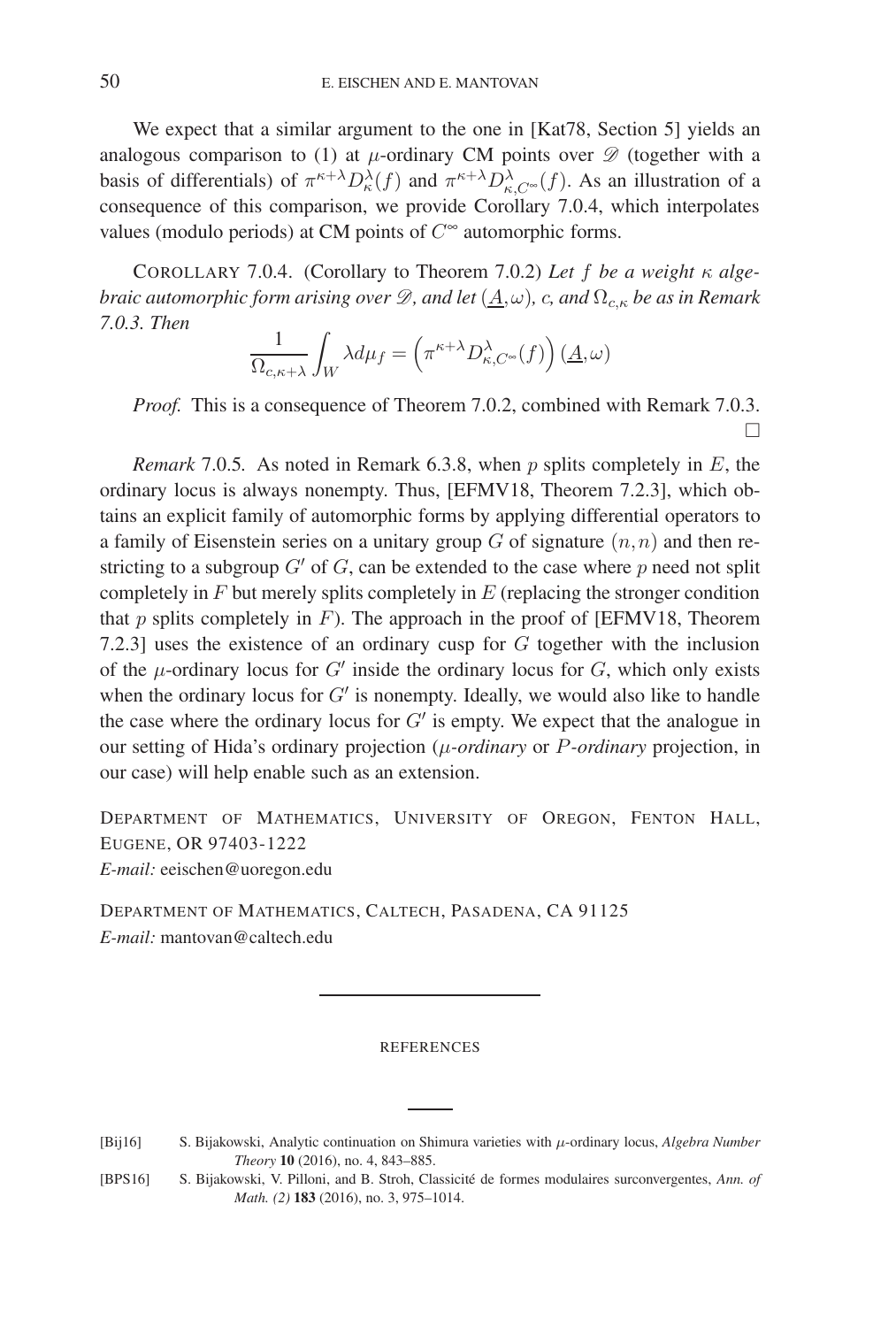We expect that a similar argument to the one in [Kat78, Section 5] yields an analogous comparison to (1) at  $\mu$ -ordinary CM points over  $\mathscr{D}$  (together with a basis of differentials) of  $\pi^{\kappa+\lambda}D^{\lambda}_{\kappa}(f)$  and  $\pi^{\kappa+\lambda}D^{\lambda}_{\kappa,C^{\infty}}(f)$ . As an illustration of a consequence of this comparison, we provide Corollary 7.0.4, which interpolates values (modulo periods) at CM points of  $C^{\infty}$  automorphic forms.

COROLLARY 7.0.4. (Corollary to Theorem 7.0.2) *Let* f *be a weight* κ *algebraic automorphic form arising over*  $\mathcal{D}$ *, and let*  $(\underline{A}, \omega)$ *, c, and*  $\Omega_{c,K}$  *be as in Remark 7.0.3. Then*

$$
\frac{1}{\Omega_{c,\kappa+\lambda}} \int_W \lambda d\mu_f = \left(\pi^{\kappa+\lambda} D^{\lambda}_{\kappa,C^{\infty}}(f)\right) \left(\underline{A},\omega\right)
$$

*Proof.* This is a consequence of Theorem 7.0.2, combined with Remark 7.0.3.  $\Box$ 

*Remark* 7.0.5*.* As noted in Remark 6.3.8, when p splits completely in E, the ordinary locus is always nonempty. Thus, [EFMV18, Theorem 7.2.3], which obtains an explicit family of automorphic forms by applying differential operators to a family of Eisenstein series on a unitary group  $G$  of signature  $(n, n)$  and then restricting to a subgroup  $G'$  of G, can be extended to the case where p need not split completely in  $F$  but merely splits completely in  $E$  (replacing the stronger condition that  $p$  splits completely in  $F$ ). The approach in the proof of [EFMV18, Theorem 7.2.3] uses the existence of an ordinary cusp for G together with the inclusion of the  $\mu$ -ordinary locus for  $G'$  inside the ordinary locus for  $G$ , which only exists when the ordinary locus for  $G'$  is nonempty. Ideally, we would also like to handle the case where the ordinary locus for  $G'$  is empty. We expect that the analogue in our setting of Hida's ordinary projection (μ*-ordinary* or P*-ordinary* projection, in our case) will help enable such as an extension.

DEPARTMENT OF MATHEMATICS, UNIVERSITY OF OREGON, FENTON HALL, EUGENE, OR 97403-1222

*E-mail:* eeischen@uoregon.edu

DEPARTMENT OF MATHEMATICS, CALTECH, PASADENA, CA 91125 *E-mail:* mantovan@caltech.edu

#### REFERENCES

[Bij16] S. Bijakowski, Analytic continuation on Shimura varieties with μ-ordinary locus, *Algebra Number Theory* **10** (2016), no. 4, 843–885.

[BPS16] S. Bijakowski, V. Pilloni, and B. Stroh, Classicit´e de formes modulaires surconvergentes, *Ann. of Math. (2)* **183** (2016), no. 3, 975–1014.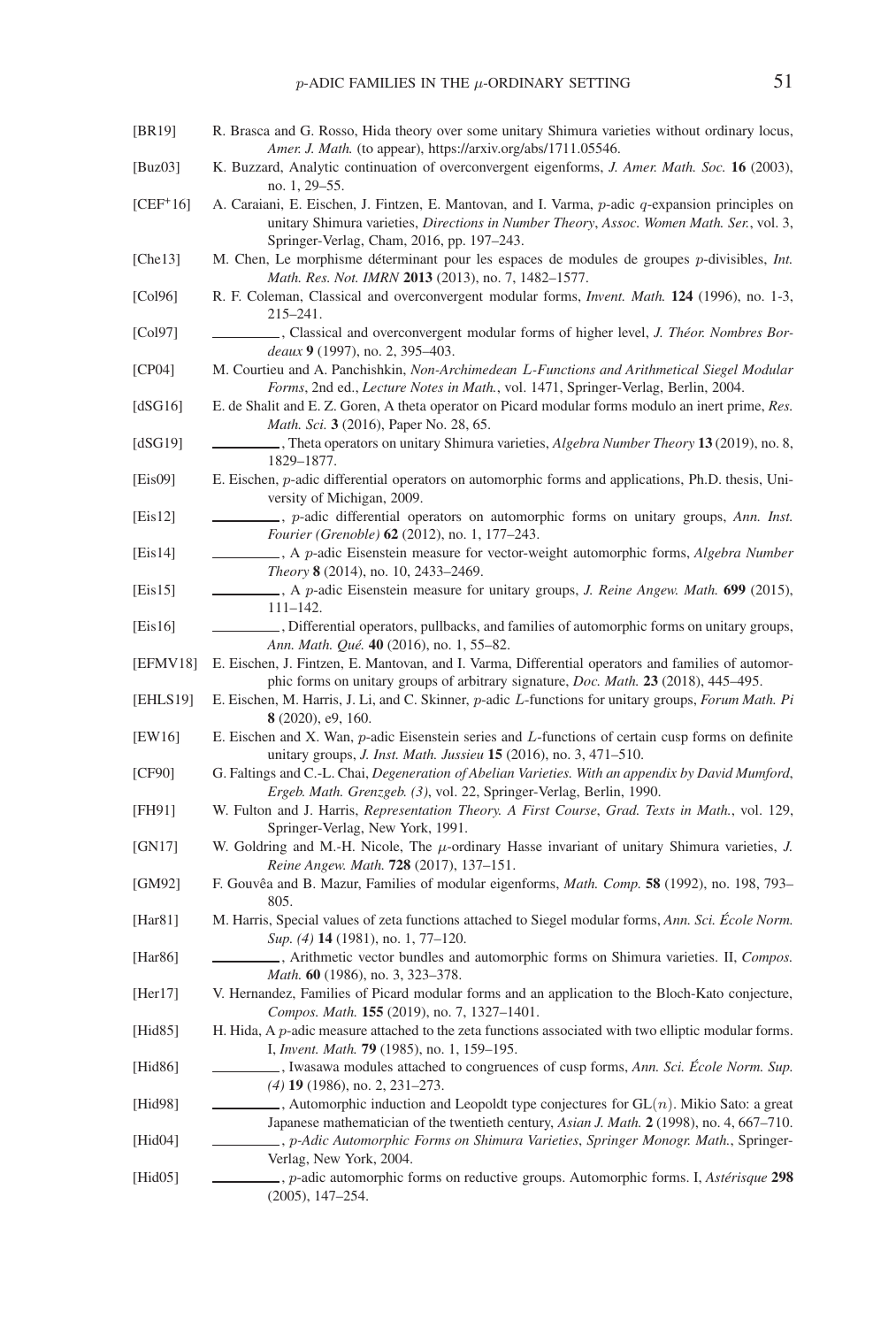- [BR19] R. Brasca and G. Rosso, Hida theory over some unitary Shimura varieties without ordinary locus, *Amer. J. Math.* (to appear), https://arxiv.org/abs/1711.05546.
- [Buz03] K. Buzzard, Analytic continuation of overconvergent eigenforms, *J. Amer. Math. Soc.* **16** (2003), no. 1, 29–55.
- $[CEF<sup>+</sup>16]$  A. Caraiani, E. Eischen, J. Fintzen, E. Mantovan, and I. Varma, p-adic q-expansion principles on unitary Shimura varieties, *Directions in Number Theory*, *Assoc. Women Math. Ser.*, vol. 3, Springer-Verlag, Cham, 2016, pp. 197–243.
- [Che13] M. Chen, Le morphisme déterminant pour les espaces de modules de groupes p-divisibles, *Int. Math. Res. Not. IMRN* **2013** (2013), no. 7, 1482–1577.
- [Col96] R. F. Coleman, Classical and overconvergent modular forms, *Invent. Math.* **124** (1996), no. 1-3, 215–241.
- [Col97] , Classical and overconvergent modular forms of higher level, *J. Théor. Nombres Bordeaux* **9** (1997), no. 2, 395–403.
- [CP04] M. Courtieu and A. Panchishkin, *Non-Archimedean* L*-Functions and Arithmetical Siegel Modular Forms*, 2nd ed., *Lecture Notes in Math.*, vol. 1471, Springer-Verlag, Berlin, 2004.
- [dSG16] E. de Shalit and E. Z. Goren, A theta operator on Picard modular forms modulo an inert prime, *Res. Math. Sci.* **3** (2016), Paper No. 28, 65.
- [dSG19] , Theta operators on unitary Shimura varieties, *Algebra Number Theory* **13** (2019), no. 8, 1829–1877.
- [Eis09] E. Eischen, p-adic differential operators on automorphic forms and applications, Ph.D. thesis, University of Michigan, 2009.
- [Eis12] , p-adic differential operators on automorphic forms on unitary groups, *Ann. Inst. Fourier (Grenoble)* **62** (2012), no. 1, 177–243.
- [Eis14] , A p-adic Eisenstein measure for vector-weight automorphic forms, *Algebra Number Theory* **8** (2014), no. 10, 2433–2469.
- [Eis15] , A p-adic Eisenstein measure for unitary groups, *J. Reine Angew. Math.* **699** (2015), 111–142.
- [Eis16] , Differential operators, pullbacks, and families of automorphic forms on unitary groups, *Ann. Math. Qu´e.* **40** (2016), no. 1, 55–82.
- [EFMV18] E. Eischen, J. Fintzen, E. Mantovan, and I. Varma, Differential operators and families of automorphic forms on unitary groups of arbitrary signature, *Doc. Math.* **23** (2018), 445–495.
- [EHLS19] E. Eischen, M. Harris, J. Li, and C. Skinner, p-adic L-functions for unitary groups, *Forum Math. Pi* **8** (2020), e9, 160.
- [EW16] E. Eischen and X. Wan, p-adic Eisenstein series and L-functions of certain cusp forms on definite unitary groups, *J. Inst. Math. Jussieu* **15** (2016), no. 3, 471–510.
- [CF90] G. Faltings and C.-L. Chai, *Degeneration of Abelian Varieties. With an appendix by David Mumford*, *Ergeb. Math. Grenzgeb. (3)*, vol. 22, Springer-Verlag, Berlin, 1990.
- [FH91] W. Fulton and J. Harris, *Representation Theory. A First Course*, *Grad. Texts in Math.*, vol. 129, Springer-Verlag, New York, 1991.
- [GN17] W. Goldring and M.-H. Nicole, The μ-ordinary Hasse invariant of unitary Shimura varieties, *J. Reine Angew. Math.* **728** (2017), 137–151.
- [GM92] F. Gouvˆea and B. Mazur, Families of modular eigenforms, *Math. Comp.* **58** (1992), no. 198, 793– 805.
- [Har81] M. Harris, Special values of zeta functions attached to Siegel modular forms, *Ann. Sci. Ecole Norm. ´ Sup. (4)* **14** (1981), no. 1, 77–120.
- [Har86] , Arithmetic vector bundles and automorphic forms on Shimura varieties. II, *Compos. Math.* **60** (1986), no. 3, 323–378.
- [Her17] V. Hernandez, Families of Picard modular forms and an application to the Bloch-Kato conjecture, *Compos. Math.* **155** (2019), no. 7, 1327–1401.
- [Hid85] H. Hida, A p-adic measure attached to the zeta functions associated with two elliptic modular forms. I, *Invent. Math.* **79** (1985), no. 1, 159–195.
- [Hid86] , Iwasawa modules attached to congruences of cusp forms, *Ann. Sci. Ecole Norm. Sup. ´ (4)* **19** (1986), no. 2, 231–273.
- [Hid98] , Automorphic induction and Leopoldt type conjectures for GL(n). Mikio Sato: a great Japanese mathematician of the twentieth century, *Asian J. Math.* **2** (1998), no. 4, 667–710.
- [Hid04] , p*-Adic Automorphic Forms on Shimura Varieties*, *Springer Monogr. Math.*, Springer-Verlag, New York, 2004.
- [Hid05] , p-adic automorphic forms on reductive groups. Automorphic forms. I, *Astérisque* 298 (2005), 147–254.